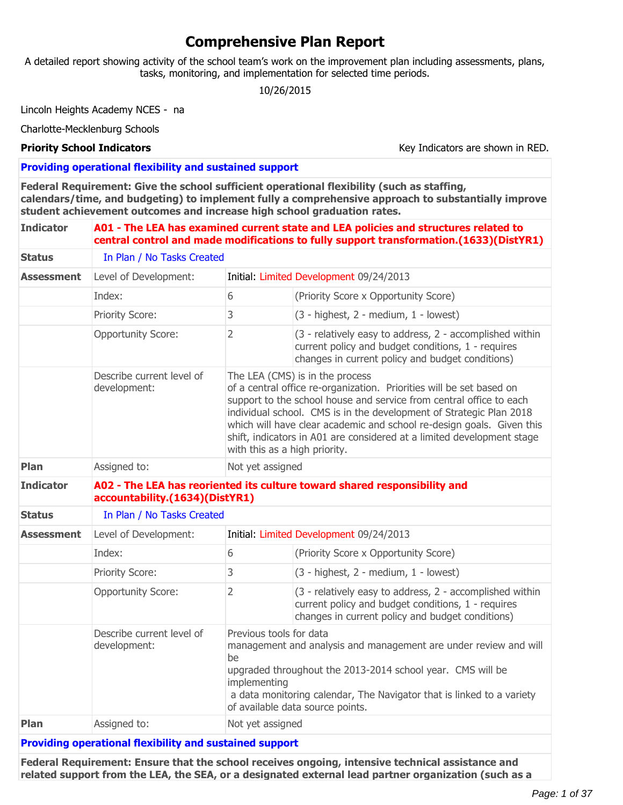# **Comprehensive Plan Report**

A detailed report showing activity of the school team's work on the improvement plan including assessments, plans, tasks, monitoring, and implementation for selected time periods.

10/26/2015

Lincoln Heights Academy NCES - na

Charlotte-Mecklenburg Schools

**Priority School Indicators Key Indicators** Key Indicators are shown in RED.

**Providing operational flexibility and sustained support**

**Federal Requirement: Give the school sufficient operational flexibility (such as staffing, calendars/time, and budgeting) to implement fully a comprehensive approach to substantially improve student achievement outcomes and increase high school graduation rates.**

| <b>Indicator</b>                          |                                                                | A01 - The LEA has examined current state and LEA policies and structures related to<br>central control and made modifications to fully support transformation.(1633)(DistYR1)                                                                                                                                                                                                                                                             |                                                                                                                                                                                                                                             |
|-------------------------------------------|----------------------------------------------------------------|-------------------------------------------------------------------------------------------------------------------------------------------------------------------------------------------------------------------------------------------------------------------------------------------------------------------------------------------------------------------------------------------------------------------------------------------|---------------------------------------------------------------------------------------------------------------------------------------------------------------------------------------------------------------------------------------------|
| <b>Status</b>                             | In Plan / No Tasks Created                                     |                                                                                                                                                                                                                                                                                                                                                                                                                                           |                                                                                                                                                                                                                                             |
| <b>Assessment</b>                         | Level of Development:                                          |                                                                                                                                                                                                                                                                                                                                                                                                                                           | Initial: Limited Development 09/24/2013                                                                                                                                                                                                     |
|                                           | Index:                                                         | 6                                                                                                                                                                                                                                                                                                                                                                                                                                         | (Priority Score x Opportunity Score)                                                                                                                                                                                                        |
|                                           | Priority Score:                                                | 3                                                                                                                                                                                                                                                                                                                                                                                                                                         | (3 - highest, 2 - medium, 1 - lowest)                                                                                                                                                                                                       |
|                                           | <b>Opportunity Score:</b>                                      | $\overline{2}$                                                                                                                                                                                                                                                                                                                                                                                                                            | (3 - relatively easy to address, 2 - accomplished within<br>current policy and budget conditions, 1 - requires<br>changes in current policy and budget conditions)                                                                          |
| Describe current level of<br>development: |                                                                | The LEA (CMS) is in the process<br>of a central office re-organization. Priorities will be set based on<br>support to the school house and service from central office to each<br>individual school. CMS is in the development of Strategic Plan 2018<br>which will have clear academic and school re-design goals. Given this<br>shift, indicators in A01 are considered at a limited development stage<br>with this as a high priority. |                                                                                                                                                                                                                                             |
| Plan                                      | Assigned to:                                                   | Not yet assigned                                                                                                                                                                                                                                                                                                                                                                                                                          |                                                                                                                                                                                                                                             |
| <b>Indicator</b>                          | accountability.(1634)(DistYR1)                                 | A02 - The LEA has reoriented its culture toward shared responsibility and                                                                                                                                                                                                                                                                                                                                                                 |                                                                                                                                                                                                                                             |
| <b>Status</b>                             | In Plan / No Tasks Created                                     |                                                                                                                                                                                                                                                                                                                                                                                                                                           |                                                                                                                                                                                                                                             |
| Assessment                                | Level of Development:                                          |                                                                                                                                                                                                                                                                                                                                                                                                                                           | Initial: Limited Development 09/24/2013                                                                                                                                                                                                     |
|                                           | Index:                                                         | 6                                                                                                                                                                                                                                                                                                                                                                                                                                         | (Priority Score x Opportunity Score)                                                                                                                                                                                                        |
|                                           | Priority Score:                                                | 3                                                                                                                                                                                                                                                                                                                                                                                                                                         | (3 - highest, 2 - medium, 1 - lowest)                                                                                                                                                                                                       |
|                                           | <b>Opportunity Score:</b>                                      | $\overline{2}$                                                                                                                                                                                                                                                                                                                                                                                                                            | (3 - relatively easy to address, 2 - accomplished within<br>current policy and budget conditions, 1 - requires<br>changes in current policy and budget conditions)                                                                          |
|                                           | Describe current level of<br>development:                      | Previous tools for data<br>be<br>implementing                                                                                                                                                                                                                                                                                                                                                                                             | management and analysis and management are under review and will<br>upgraded throughout the 2013-2014 school year. CMS will be<br>a data monitoring calendar, The Navigator that is linked to a variety<br>of available data source points. |
| Plan                                      | Assigned to:                                                   | Not yet assigned                                                                                                                                                                                                                                                                                                                                                                                                                          |                                                                                                                                                                                                                                             |
|                                           | <b>Providing operational flexibility and sustained support</b> |                                                                                                                                                                                                                                                                                                                                                                                                                                           |                                                                                                                                                                                                                                             |

**Federal Requirement: Ensure that the school receives ongoing, intensive technical assistance and related support from the LEA, the SEA, or a designated external lead partner organization (such as a**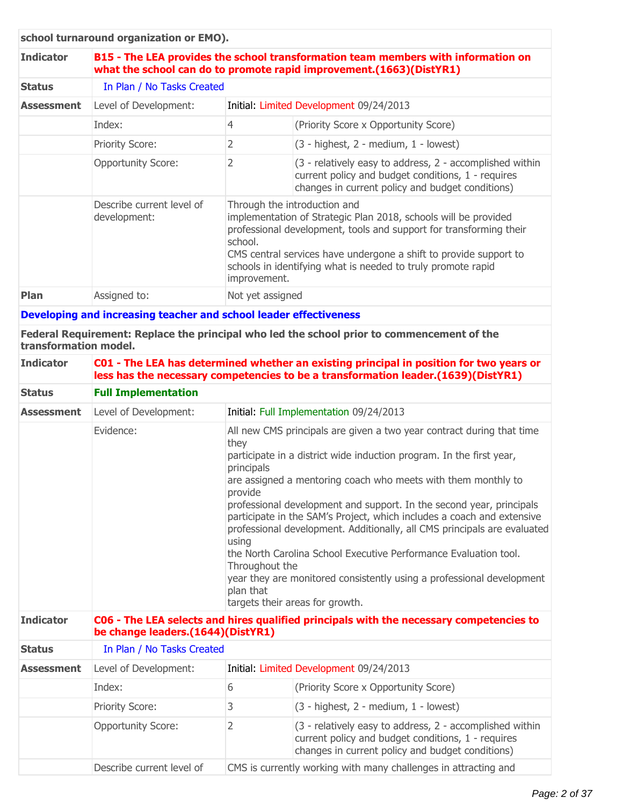|                   | school turnaround organization or EMO).                                                                                                                  |                                                                                                                                                                                                                                                                                                                                       |                                                                                                                                                                    |
|-------------------|----------------------------------------------------------------------------------------------------------------------------------------------------------|---------------------------------------------------------------------------------------------------------------------------------------------------------------------------------------------------------------------------------------------------------------------------------------------------------------------------------------|--------------------------------------------------------------------------------------------------------------------------------------------------------------------|
| <b>Indicator</b>  | B15 - The LEA provides the school transformation team members with information on<br>what the school can do to promote rapid improvement.(1663)(DistYR1) |                                                                                                                                                                                                                                                                                                                                       |                                                                                                                                                                    |
| <b>Status</b>     | In Plan / No Tasks Created                                                                                                                               |                                                                                                                                                                                                                                                                                                                                       |                                                                                                                                                                    |
| <b>Assessment</b> | Level of Development:                                                                                                                                    | Initial: Limited Development 09/24/2013                                                                                                                                                                                                                                                                                               |                                                                                                                                                                    |
|                   | Index:                                                                                                                                                   | 4                                                                                                                                                                                                                                                                                                                                     | (Priority Score x Opportunity Score)                                                                                                                               |
|                   | <b>Priority Score:</b>                                                                                                                                   | 2                                                                                                                                                                                                                                                                                                                                     | $(3 - highest, 2 - medium, 1 - lowest)$                                                                                                                            |
|                   | <b>Opportunity Score:</b>                                                                                                                                | 2                                                                                                                                                                                                                                                                                                                                     | (3 - relatively easy to address, 2 - accomplished within<br>current policy and budget conditions, 1 - requires<br>changes in current policy and budget conditions) |
|                   | Describe current level of<br>development:                                                                                                                | Through the introduction and<br>implementation of Strategic Plan 2018, schools will be provided<br>professional development, tools and support for transforming their<br>school.<br>CMS central services have undergone a shift to provide support to<br>schools in identifying what is needed to truly promote rapid<br>improvement. |                                                                                                                                                                    |
| Plan              | Assigned to:                                                                                                                                             | Not yet assigned                                                                                                                                                                                                                                                                                                                      |                                                                                                                                                                    |
|                   | Developing and increasing teacher and school leader effectiveness                                                                                        |                                                                                                                                                                                                                                                                                                                                       |                                                                                                                                                                    |

**Federal Requirement: Replace the principal who led the school prior to commencement of the transformation model.**

| <b>Indicator</b>  |                                   |                                                                                                                                                                                                                                                                                                                                                                                                                                                                                                                                                                                                                                                                                                       | C01 - The LEA has determined whether an existing principal in position for two years or<br>less has the necessary competencies to be a transformation leader.(1639)(DistYR1) |  |
|-------------------|-----------------------------------|-------------------------------------------------------------------------------------------------------------------------------------------------------------------------------------------------------------------------------------------------------------------------------------------------------------------------------------------------------------------------------------------------------------------------------------------------------------------------------------------------------------------------------------------------------------------------------------------------------------------------------------------------------------------------------------------------------|------------------------------------------------------------------------------------------------------------------------------------------------------------------------------|--|
| <b>Status</b>     | <b>Full Implementation</b>        |                                                                                                                                                                                                                                                                                                                                                                                                                                                                                                                                                                                                                                                                                                       |                                                                                                                                                                              |  |
| <b>Assessment</b> | Level of Development:             |                                                                                                                                                                                                                                                                                                                                                                                                                                                                                                                                                                                                                                                                                                       | Initial: Full Implementation 09/24/2013                                                                                                                                      |  |
|                   | Evidence:                         | All new CMS principals are given a two year contract during that time<br>they<br>participate in a district wide induction program. In the first year,<br>principals<br>are assigned a mentoring coach who meets with them monthly to<br>provide<br>professional development and support. In the second year, principals<br>participate in the SAM's Project, which includes a coach and extensive<br>professional development. Additionally, all CMS principals are evaluated<br>using<br>the North Carolina School Executive Performance Evaluation tool.<br>Throughout the<br>year they are monitored consistently using a professional development<br>plan that<br>targets their areas for growth. |                                                                                                                                                                              |  |
| <b>Indicator</b>  | be change leaders.(1644)(DistYR1) |                                                                                                                                                                                                                                                                                                                                                                                                                                                                                                                                                                                                                                                                                                       | C06 - The LEA selects and hires qualified principals with the necessary competencies to                                                                                      |  |
| <b>Status</b>     | In Plan / No Tasks Created        |                                                                                                                                                                                                                                                                                                                                                                                                                                                                                                                                                                                                                                                                                                       |                                                                                                                                                                              |  |
| <b>Assessment</b> | Level of Development:             | Initial: Limited Development 09/24/2013                                                                                                                                                                                                                                                                                                                                                                                                                                                                                                                                                                                                                                                               |                                                                                                                                                                              |  |
|                   | Index:                            | 6                                                                                                                                                                                                                                                                                                                                                                                                                                                                                                                                                                                                                                                                                                     | (Priority Score x Opportunity Score)                                                                                                                                         |  |
|                   | Priority Score:                   | 3                                                                                                                                                                                                                                                                                                                                                                                                                                                                                                                                                                                                                                                                                                     | (3 - highest, 2 - medium, 1 - lowest)                                                                                                                                        |  |
|                   | <b>Opportunity Score:</b>         | $\overline{2}$                                                                                                                                                                                                                                                                                                                                                                                                                                                                                                                                                                                                                                                                                        | (3 - relatively easy to address, 2 - accomplished within<br>current policy and budget conditions, 1 - requires<br>changes in current policy and budget conditions)           |  |
|                   | Describe current level of         |                                                                                                                                                                                                                                                                                                                                                                                                                                                                                                                                                                                                                                                                                                       | CMS is currently working with many challenges in attracting and                                                                                                              |  |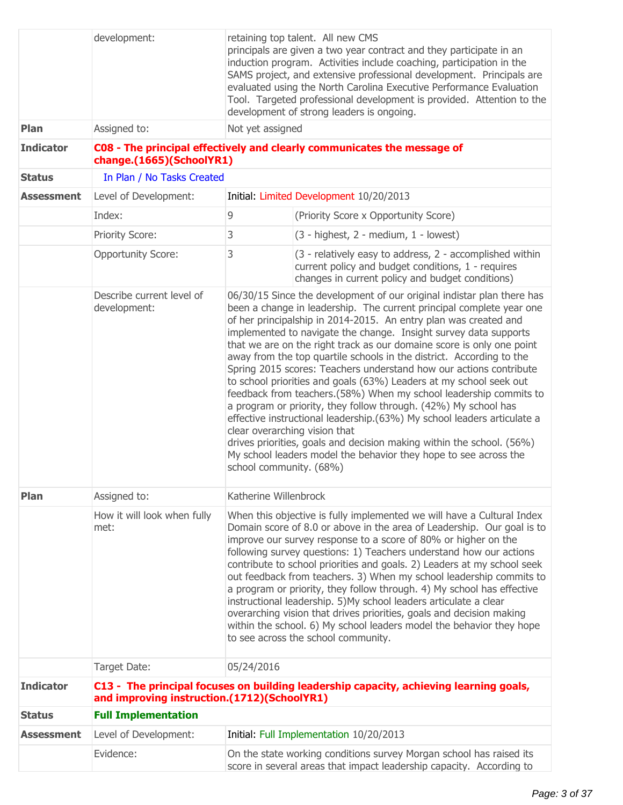|                   | development:                                | retaining top talent. All new CMS<br>principals are given a two year contract and they participate in an<br>induction program. Activities include coaching, participation in the<br>SAMS project, and extensive professional development. Principals are<br>evaluated using the North Carolina Executive Performance Evaluation<br>Tool. Targeted professional development is provided. Attention to the<br>development of strong leaders is ongoing.                                                                                                                                                                                                                                                                                                                                                                                                                                                                                                                                                           |                                                                                                                                                                                                                                                                                                                                                                                                                                                                                                                                                                                                                                                                                                                                                                                  |  |
|-------------------|---------------------------------------------|-----------------------------------------------------------------------------------------------------------------------------------------------------------------------------------------------------------------------------------------------------------------------------------------------------------------------------------------------------------------------------------------------------------------------------------------------------------------------------------------------------------------------------------------------------------------------------------------------------------------------------------------------------------------------------------------------------------------------------------------------------------------------------------------------------------------------------------------------------------------------------------------------------------------------------------------------------------------------------------------------------------------|----------------------------------------------------------------------------------------------------------------------------------------------------------------------------------------------------------------------------------------------------------------------------------------------------------------------------------------------------------------------------------------------------------------------------------------------------------------------------------------------------------------------------------------------------------------------------------------------------------------------------------------------------------------------------------------------------------------------------------------------------------------------------------|--|
| Plan              | Assigned to:                                | Not yet assigned                                                                                                                                                                                                                                                                                                                                                                                                                                                                                                                                                                                                                                                                                                                                                                                                                                                                                                                                                                                                |                                                                                                                                                                                                                                                                                                                                                                                                                                                                                                                                                                                                                                                                                                                                                                                  |  |
| <b>Indicator</b>  | change.(1665)(SchoolYR1)                    |                                                                                                                                                                                                                                                                                                                                                                                                                                                                                                                                                                                                                                                                                                                                                                                                                                                                                                                                                                                                                 | C08 - The principal effectively and clearly communicates the message of                                                                                                                                                                                                                                                                                                                                                                                                                                                                                                                                                                                                                                                                                                          |  |
| <b>Status</b>     | In Plan / No Tasks Created                  |                                                                                                                                                                                                                                                                                                                                                                                                                                                                                                                                                                                                                                                                                                                                                                                                                                                                                                                                                                                                                 |                                                                                                                                                                                                                                                                                                                                                                                                                                                                                                                                                                                                                                                                                                                                                                                  |  |
| <b>Assessment</b> | Level of Development:                       |                                                                                                                                                                                                                                                                                                                                                                                                                                                                                                                                                                                                                                                                                                                                                                                                                                                                                                                                                                                                                 | Initial: Limited Development 10/20/2013                                                                                                                                                                                                                                                                                                                                                                                                                                                                                                                                                                                                                                                                                                                                          |  |
|                   | Index:                                      | 9                                                                                                                                                                                                                                                                                                                                                                                                                                                                                                                                                                                                                                                                                                                                                                                                                                                                                                                                                                                                               | (Priority Score x Opportunity Score)                                                                                                                                                                                                                                                                                                                                                                                                                                                                                                                                                                                                                                                                                                                                             |  |
|                   | Priority Score:                             | 3                                                                                                                                                                                                                                                                                                                                                                                                                                                                                                                                                                                                                                                                                                                                                                                                                                                                                                                                                                                                               | (3 - highest, 2 - medium, 1 - lowest)                                                                                                                                                                                                                                                                                                                                                                                                                                                                                                                                                                                                                                                                                                                                            |  |
|                   | <b>Opportunity Score:</b>                   | 3                                                                                                                                                                                                                                                                                                                                                                                                                                                                                                                                                                                                                                                                                                                                                                                                                                                                                                                                                                                                               | (3 - relatively easy to address, 2 - accomplished within<br>current policy and budget conditions, 1 - requires<br>changes in current policy and budget conditions)                                                                                                                                                                                                                                                                                                                                                                                                                                                                                                                                                                                                               |  |
|                   | Describe current level of<br>development:   | 06/30/15 Since the development of our original indistar plan there has<br>been a change in leadership. The current principal complete year one<br>of her principalship in 2014-2015. An entry plan was created and<br>implemented to navigate the change. Insight survey data supports<br>that we are on the right track as our domaine score is only one point<br>away from the top quartile schools in the district. According to the<br>Spring 2015 scores: Teachers understand how our actions contribute<br>to school priorities and goals (63%) Leaders at my school seek out<br>feedback from teachers.(58%) When my school leadership commits to<br>a program or priority, they follow through. (42%) My school has<br>effective instructional leadership.(63%) My school leaders articulate a<br>clear overarching vision that<br>drives priorities, goals and decision making within the school. (56%)<br>My school leaders model the behavior they hope to see across the<br>school community. (68%) |                                                                                                                                                                                                                                                                                                                                                                                                                                                                                                                                                                                                                                                                                                                                                                                  |  |
| Plan              | Assigned to:                                | Katherine Willenbrock                                                                                                                                                                                                                                                                                                                                                                                                                                                                                                                                                                                                                                                                                                                                                                                                                                                                                                                                                                                           |                                                                                                                                                                                                                                                                                                                                                                                                                                                                                                                                                                                                                                                                                                                                                                                  |  |
|                   | How it will look when fully<br>met:         |                                                                                                                                                                                                                                                                                                                                                                                                                                                                                                                                                                                                                                                                                                                                                                                                                                                                                                                                                                                                                 | When this objective is fully implemented we will have a Cultural Index<br>Domain score of 8.0 or above in the area of Leadership. Our goal is to<br>improve our survey response to a score of 80% or higher on the<br>following survey questions: 1) Teachers understand how our actions<br>contribute to school priorities and goals. 2) Leaders at my school seek<br>out feedback from teachers. 3) When my school leadership commits to<br>a program or priority, they follow through. 4) My school has effective<br>instructional leadership. 5) My school leaders articulate a clear<br>overarching vision that drives priorities, goals and decision making<br>within the school. 6) My school leaders model the behavior they hope<br>to see across the school community. |  |
|                   | Target Date:                                | 05/24/2016                                                                                                                                                                                                                                                                                                                                                                                                                                                                                                                                                                                                                                                                                                                                                                                                                                                                                                                                                                                                      |                                                                                                                                                                                                                                                                                                                                                                                                                                                                                                                                                                                                                                                                                                                                                                                  |  |
| <b>Indicator</b>  | and improving instruction.(1712)(SchoolYR1) |                                                                                                                                                                                                                                                                                                                                                                                                                                                                                                                                                                                                                                                                                                                                                                                                                                                                                                                                                                                                                 | C13 - The principal focuses on building leadership capacity, achieving learning goals,                                                                                                                                                                                                                                                                                                                                                                                                                                                                                                                                                                                                                                                                                           |  |
| <b>Status</b>     | <b>Full Implementation</b>                  |                                                                                                                                                                                                                                                                                                                                                                                                                                                                                                                                                                                                                                                                                                                                                                                                                                                                                                                                                                                                                 |                                                                                                                                                                                                                                                                                                                                                                                                                                                                                                                                                                                                                                                                                                                                                                                  |  |
| <b>Assessment</b> | Level of Development:                       |                                                                                                                                                                                                                                                                                                                                                                                                                                                                                                                                                                                                                                                                                                                                                                                                                                                                                                                                                                                                                 | Initial: Full Implementation 10/20/2013                                                                                                                                                                                                                                                                                                                                                                                                                                                                                                                                                                                                                                                                                                                                          |  |
|                   | Evidence:                                   |                                                                                                                                                                                                                                                                                                                                                                                                                                                                                                                                                                                                                                                                                                                                                                                                                                                                                                                                                                                                                 | On the state working conditions survey Morgan school has raised its<br>score in several areas that impact leadership capacity. According to                                                                                                                                                                                                                                                                                                                                                                                                                                                                                                                                                                                                                                      |  |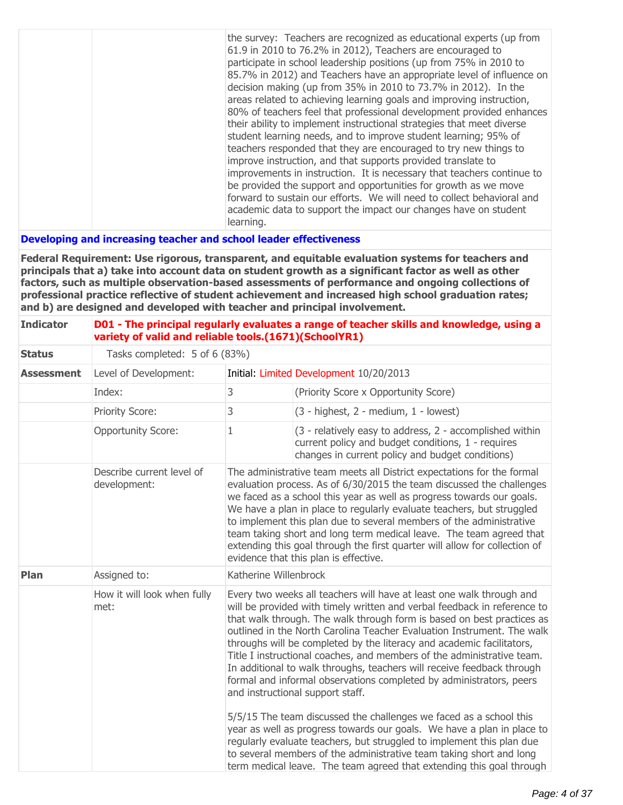|  | the survey: Teachers are recognized as educational experts (up from    |
|--|------------------------------------------------------------------------|
|  | 61.9 in 2010 to 76.2% in 2012), Teachers are encouraged to             |
|  | participate in school leadership positions (up from 75% in 2010 to     |
|  | 85.7% in 2012) and Teachers have an appropriate level of influence on  |
|  | decision making (up from 35% in 2010 to 73.7% in 2012). In the         |
|  | areas related to achieving learning goals and improving instruction,   |
|  | 80% of teachers feel that professional development provided enhances   |
|  | their ability to implement instructional strategies that meet diverse  |
|  | student learning needs, and to improve student learning; 95% of        |
|  | teachers responded that they are encouraged to try new things to       |
|  | improve instruction, and that supports provided translate to           |
|  | improvements in instruction. It is necessary that teachers continue to |
|  | be provided the support and opportunities for growth as we move        |
|  | forward to sustain our efforts. We will need to collect behavioral and |
|  | academic data to support the impact our changes have on student        |
|  | learning.                                                              |

## **Developing and increasing teacher and school leader effectiveness**

**Federal Requirement: Use rigorous, transparent, and equitable evaluation systems for teachers and principals that a) take into account data on student growth as a significant factor as well as other factors, such as multiple observation-based assessments of performance and ongoing collections of professional practice reflective of student achievement and increased high school graduation rates; and b) are designed and developed with teacher and principal involvement.**

| <b>Indicator</b>  |                                           | D01 - The principal regularly evaluates a range of teacher skills and knowledge, using a<br>variety of valid and reliable tools.(1671)(SchoolYR1) |                                                                                                                                                                                                                                                                                                                                                                                                                                                                                                                                                                                                                                                                                                                                                                                              |
|-------------------|-------------------------------------------|---------------------------------------------------------------------------------------------------------------------------------------------------|----------------------------------------------------------------------------------------------------------------------------------------------------------------------------------------------------------------------------------------------------------------------------------------------------------------------------------------------------------------------------------------------------------------------------------------------------------------------------------------------------------------------------------------------------------------------------------------------------------------------------------------------------------------------------------------------------------------------------------------------------------------------------------------------|
| <b>Status</b>     | Tasks completed: 5 of 6 (83%)             |                                                                                                                                                   |                                                                                                                                                                                                                                                                                                                                                                                                                                                                                                                                                                                                                                                                                                                                                                                              |
| <b>Assessment</b> | Level of Development:                     |                                                                                                                                                   | Initial: Limited Development 10/20/2013                                                                                                                                                                                                                                                                                                                                                                                                                                                                                                                                                                                                                                                                                                                                                      |
|                   | Index:                                    | 3                                                                                                                                                 | (Priority Score x Opportunity Score)                                                                                                                                                                                                                                                                                                                                                                                                                                                                                                                                                                                                                                                                                                                                                         |
|                   | Priority Score:                           | 3                                                                                                                                                 | $(3 - highest, 2 - medium, 1 - lowest)$                                                                                                                                                                                                                                                                                                                                                                                                                                                                                                                                                                                                                                                                                                                                                      |
|                   | <b>Opportunity Score:</b>                 | 1                                                                                                                                                 | (3 - relatively easy to address, 2 - accomplished within<br>current policy and budget conditions, 1 - requires<br>changes in current policy and budget conditions)                                                                                                                                                                                                                                                                                                                                                                                                                                                                                                                                                                                                                           |
|                   | Describe current level of<br>development: |                                                                                                                                                   | The administrative team meets all District expectations for the formal<br>evaluation process. As of 6/30/2015 the team discussed the challenges<br>we faced as a school this year as well as progress towards our goals.<br>We have a plan in place to regularly evaluate teachers, but struggled<br>to implement this plan due to several members of the administrative<br>team taking short and long term medical leave. The team agreed that<br>extending this goal through the first quarter will allow for collection of<br>evidence that this plan is effective.                                                                                                                                                                                                                       |
| Plan              | Assigned to:                              | Katherine Willenbrock                                                                                                                             |                                                                                                                                                                                                                                                                                                                                                                                                                                                                                                                                                                                                                                                                                                                                                                                              |
|                   | How it will look when fully<br>met:       |                                                                                                                                                   | Every two weeks all teachers will have at least one walk through and<br>will be provided with timely written and verbal feedback in reference to<br>that walk through. The walk through form is based on best practices as<br>outlined in the North Carolina Teacher Evaluation Instrument. The walk<br>throughs will be completed by the literacy and academic facilitators,<br>Title I instructional coaches, and members of the administrative team.<br>In additional to walk throughs, teachers will receive feedback through<br>formal and informal observations completed by administrators, peers<br>and instructional support staff.<br>5/5/15 The team discussed the challenges we faced as a school this<br>year as well as progress towards our goals. We have a plan in place to |
|                   |                                           |                                                                                                                                                   | regularly evaluate teachers, but struggled to implement this plan due<br>to several members of the administrative team taking short and long<br>term medical leave. The team agreed that extending this goal through                                                                                                                                                                                                                                                                                                                                                                                                                                                                                                                                                                         |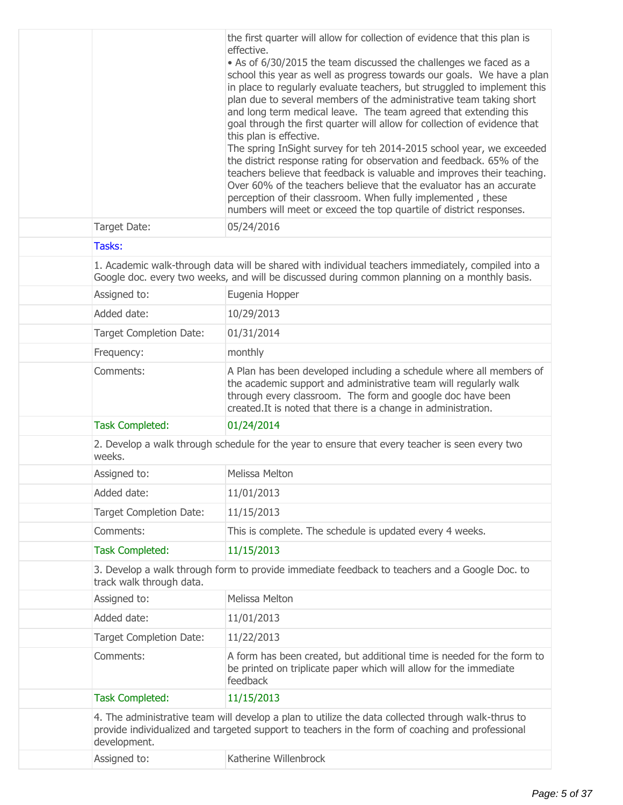|                                | the first quarter will allow for collection of evidence that this plan is<br>effective.<br>• As of 6/30/2015 the team discussed the challenges we faced as a<br>school this year as well as progress towards our goals. We have a plan<br>in place to regularly evaluate teachers, but struggled to implement this<br>plan due to several members of the administrative team taking short<br>and long term medical leave. The team agreed that extending this<br>goal through the first quarter will allow for collection of evidence that<br>this plan is effective.<br>The spring InSight survey for teh 2014-2015 school year, we exceeded<br>the district response rating for observation and feedback. 65% of the<br>teachers believe that feedback is valuable and improves their teaching.<br>Over 60% of the teachers believe that the evaluator has an accurate<br>perception of their classroom. When fully implemented, these<br>numbers will meet or exceed the top quartile of district responses. |
|--------------------------------|-----------------------------------------------------------------------------------------------------------------------------------------------------------------------------------------------------------------------------------------------------------------------------------------------------------------------------------------------------------------------------------------------------------------------------------------------------------------------------------------------------------------------------------------------------------------------------------------------------------------------------------------------------------------------------------------------------------------------------------------------------------------------------------------------------------------------------------------------------------------------------------------------------------------------------------------------------------------------------------------------------------------|
| Target Date:                   | 05/24/2016                                                                                                                                                                                                                                                                                                                                                                                                                                                                                                                                                                                                                                                                                                                                                                                                                                                                                                                                                                                                      |
| Tasks:                         |                                                                                                                                                                                                                                                                                                                                                                                                                                                                                                                                                                                                                                                                                                                                                                                                                                                                                                                                                                                                                 |
|                                | 1. Academic walk-through data will be shared with individual teachers immediately, compiled into a<br>Google doc. every two weeks, and will be discussed during common planning on a monthly basis.                                                                                                                                                                                                                                                                                                                                                                                                                                                                                                                                                                                                                                                                                                                                                                                                             |
| Assigned to:                   | Eugenia Hopper                                                                                                                                                                                                                                                                                                                                                                                                                                                                                                                                                                                                                                                                                                                                                                                                                                                                                                                                                                                                  |
| Added date:                    | 10/29/2013                                                                                                                                                                                                                                                                                                                                                                                                                                                                                                                                                                                                                                                                                                                                                                                                                                                                                                                                                                                                      |
| <b>Target Completion Date:</b> | 01/31/2014                                                                                                                                                                                                                                                                                                                                                                                                                                                                                                                                                                                                                                                                                                                                                                                                                                                                                                                                                                                                      |
| Frequency:                     | monthly                                                                                                                                                                                                                                                                                                                                                                                                                                                                                                                                                                                                                                                                                                                                                                                                                                                                                                                                                                                                         |
| Comments:                      | A Plan has been developed including a schedule where all members of<br>the academic support and administrative team will regularly walk<br>through every classroom. The form and google doc have been<br>created. It is noted that there is a change in administration.                                                                                                                                                                                                                                                                                                                                                                                                                                                                                                                                                                                                                                                                                                                                         |
| <b>Task Completed:</b>         | 01/24/2014                                                                                                                                                                                                                                                                                                                                                                                                                                                                                                                                                                                                                                                                                                                                                                                                                                                                                                                                                                                                      |
| weeks.                         | 2. Develop a walk through schedule for the year to ensure that every teacher is seen every two                                                                                                                                                                                                                                                                                                                                                                                                                                                                                                                                                                                                                                                                                                                                                                                                                                                                                                                  |
| Assigned to:                   | Melissa Melton                                                                                                                                                                                                                                                                                                                                                                                                                                                                                                                                                                                                                                                                                                                                                                                                                                                                                                                                                                                                  |
| Added date:                    | 11/01/2013                                                                                                                                                                                                                                                                                                                                                                                                                                                                                                                                                                                                                                                                                                                                                                                                                                                                                                                                                                                                      |
| <b>Target Completion Date:</b> | 11/15/2013                                                                                                                                                                                                                                                                                                                                                                                                                                                                                                                                                                                                                                                                                                                                                                                                                                                                                                                                                                                                      |
| Comments:                      | This is complete. The schedule is updated every 4 weeks.                                                                                                                                                                                                                                                                                                                                                                                                                                                                                                                                                                                                                                                                                                                                                                                                                                                                                                                                                        |
| <b>Task Completed:</b>         | 11/15/2013                                                                                                                                                                                                                                                                                                                                                                                                                                                                                                                                                                                                                                                                                                                                                                                                                                                                                                                                                                                                      |
| track walk through data.       | 3. Develop a walk through form to provide immediate feedback to teachers and a Google Doc. to                                                                                                                                                                                                                                                                                                                                                                                                                                                                                                                                                                                                                                                                                                                                                                                                                                                                                                                   |
| Assigned to:                   | <b>Melissa Melton</b>                                                                                                                                                                                                                                                                                                                                                                                                                                                                                                                                                                                                                                                                                                                                                                                                                                                                                                                                                                                           |
| Added date:                    | 11/01/2013                                                                                                                                                                                                                                                                                                                                                                                                                                                                                                                                                                                                                                                                                                                                                                                                                                                                                                                                                                                                      |
| <b>Target Completion Date:</b> | 11/22/2013                                                                                                                                                                                                                                                                                                                                                                                                                                                                                                                                                                                                                                                                                                                                                                                                                                                                                                                                                                                                      |
| Comments:                      | A form has been created, but additional time is needed for the form to<br>be printed on triplicate paper which will allow for the immediate<br>feedback                                                                                                                                                                                                                                                                                                                                                                                                                                                                                                                                                                                                                                                                                                                                                                                                                                                         |
| <b>Task Completed:</b>         | 11/15/2013                                                                                                                                                                                                                                                                                                                                                                                                                                                                                                                                                                                                                                                                                                                                                                                                                                                                                                                                                                                                      |
| development.                   | 4. The administrative team will develop a plan to utilize the data collected through walk-thrus to<br>provide individualized and targeted support to teachers in the form of coaching and professional                                                                                                                                                                                                                                                                                                                                                                                                                                                                                                                                                                                                                                                                                                                                                                                                          |
| Assigned to:                   | Katherine Willenbrock                                                                                                                                                                                                                                                                                                                                                                                                                                                                                                                                                                                                                                                                                                                                                                                                                                                                                                                                                                                           |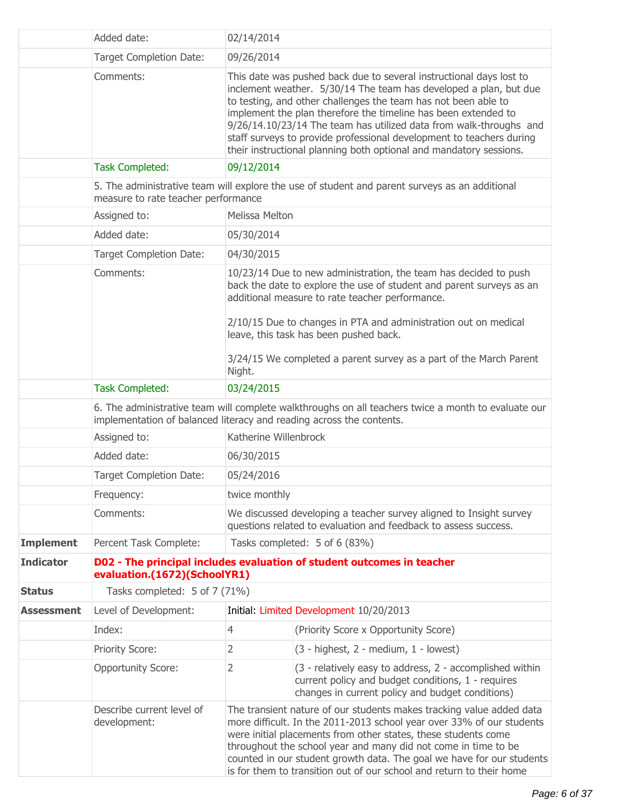|                   | Added date:                                                                                                                                                                 | 02/14/2014                                                                                                                                                                                                                                                                                                                                                                                                                                                                                       |                                                                                                                                                                                                                                                                                                                                                                                                                                    |  |
|-------------------|-----------------------------------------------------------------------------------------------------------------------------------------------------------------------------|--------------------------------------------------------------------------------------------------------------------------------------------------------------------------------------------------------------------------------------------------------------------------------------------------------------------------------------------------------------------------------------------------------------------------------------------------------------------------------------------------|------------------------------------------------------------------------------------------------------------------------------------------------------------------------------------------------------------------------------------------------------------------------------------------------------------------------------------------------------------------------------------------------------------------------------------|--|
|                   | <b>Target Completion Date:</b>                                                                                                                                              | 09/26/2014                                                                                                                                                                                                                                                                                                                                                                                                                                                                                       |                                                                                                                                                                                                                                                                                                                                                                                                                                    |  |
|                   | Comments:                                                                                                                                                                   | This date was pushed back due to several instructional days lost to<br>inclement weather. 5/30/14 The team has developed a plan, but due<br>to testing, and other challenges the team has not been able to<br>implement the plan therefore the timeline has been extended to<br>9/26/14.10/23/14 The team has utilized data from walk-throughs and<br>staff surveys to provide professional development to teachers during<br>their instructional planning both optional and mandatory sessions. |                                                                                                                                                                                                                                                                                                                                                                                                                                    |  |
|                   | <b>Task Completed:</b>                                                                                                                                                      | 09/12/2014                                                                                                                                                                                                                                                                                                                                                                                                                                                                                       |                                                                                                                                                                                                                                                                                                                                                                                                                                    |  |
|                   | measure to rate teacher performance                                                                                                                                         |                                                                                                                                                                                                                                                                                                                                                                                                                                                                                                  | 5. The administrative team will explore the use of student and parent surveys as an additional                                                                                                                                                                                                                                                                                                                                     |  |
|                   | Assigned to:                                                                                                                                                                | Melissa Melton                                                                                                                                                                                                                                                                                                                                                                                                                                                                                   |                                                                                                                                                                                                                                                                                                                                                                                                                                    |  |
|                   | Added date:                                                                                                                                                                 | 05/30/2014                                                                                                                                                                                                                                                                                                                                                                                                                                                                                       |                                                                                                                                                                                                                                                                                                                                                                                                                                    |  |
|                   | <b>Target Completion Date:</b>                                                                                                                                              | 04/30/2015                                                                                                                                                                                                                                                                                                                                                                                                                                                                                       |                                                                                                                                                                                                                                                                                                                                                                                                                                    |  |
|                   | Comments:                                                                                                                                                                   | 10/23/14 Due to new administration, the team has decided to push<br>back the date to explore the use of student and parent surveys as an<br>additional measure to rate teacher performance.<br>2/10/15 Due to changes in PTA and administration out on medical<br>leave, this task has been pushed back.                                                                                                                                                                                         |                                                                                                                                                                                                                                                                                                                                                                                                                                    |  |
|                   |                                                                                                                                                                             |                                                                                                                                                                                                                                                                                                                                                                                                                                                                                                  | 3/24/15 We completed a parent survey as a part of the March Parent<br>Night.                                                                                                                                                                                                                                                                                                                                                       |  |
|                   | <b>Task Completed:</b><br>03/24/2015                                                                                                                                        |                                                                                                                                                                                                                                                                                                                                                                                                                                                                                                  |                                                                                                                                                                                                                                                                                                                                                                                                                                    |  |
|                   | 6. The administrative team will complete walkthroughs on all teachers twice a month to evaluate our<br>implementation of balanced literacy and reading across the contents. |                                                                                                                                                                                                                                                                                                                                                                                                                                                                                                  |                                                                                                                                                                                                                                                                                                                                                                                                                                    |  |
|                   | Assigned to:                                                                                                                                                                | Katherine Willenbrock                                                                                                                                                                                                                                                                                                                                                                                                                                                                            |                                                                                                                                                                                                                                                                                                                                                                                                                                    |  |
|                   | Added date:                                                                                                                                                                 | 06/30/2015                                                                                                                                                                                                                                                                                                                                                                                                                                                                                       |                                                                                                                                                                                                                                                                                                                                                                                                                                    |  |
|                   | <b>Target Completion Date:</b>                                                                                                                                              | 05/24/2016                                                                                                                                                                                                                                                                                                                                                                                                                                                                                       |                                                                                                                                                                                                                                                                                                                                                                                                                                    |  |
|                   | Frequency:                                                                                                                                                                  | twice monthly                                                                                                                                                                                                                                                                                                                                                                                                                                                                                    |                                                                                                                                                                                                                                                                                                                                                                                                                                    |  |
|                   | Comments:                                                                                                                                                                   |                                                                                                                                                                                                                                                                                                                                                                                                                                                                                                  | We discussed developing a teacher survey aligned to Insight survey<br>questions related to evaluation and feedback to assess success.                                                                                                                                                                                                                                                                                              |  |
| <b>Implement</b>  | Percent Task Complete:                                                                                                                                                      |                                                                                                                                                                                                                                                                                                                                                                                                                                                                                                  | Tasks completed: 5 of 6 (83%)                                                                                                                                                                                                                                                                                                                                                                                                      |  |
| <b>Indicator</b>  | evaluation.(1672)(SchoolYR1)                                                                                                                                                |                                                                                                                                                                                                                                                                                                                                                                                                                                                                                                  | D02 - The principal includes evaluation of student outcomes in teacher                                                                                                                                                                                                                                                                                                                                                             |  |
| <b>Status</b>     | Tasks completed: 5 of 7 (71%)                                                                                                                                               |                                                                                                                                                                                                                                                                                                                                                                                                                                                                                                  |                                                                                                                                                                                                                                                                                                                                                                                                                                    |  |
| <b>Assessment</b> | Level of Development:                                                                                                                                                       |                                                                                                                                                                                                                                                                                                                                                                                                                                                                                                  | Initial: Limited Development 10/20/2013                                                                                                                                                                                                                                                                                                                                                                                            |  |
|                   | Index:                                                                                                                                                                      | 4                                                                                                                                                                                                                                                                                                                                                                                                                                                                                                | (Priority Score x Opportunity Score)                                                                                                                                                                                                                                                                                                                                                                                               |  |
|                   | Priority Score:                                                                                                                                                             | 2                                                                                                                                                                                                                                                                                                                                                                                                                                                                                                | (3 - highest, 2 - medium, 1 - lowest)                                                                                                                                                                                                                                                                                                                                                                                              |  |
|                   | <b>Opportunity Score:</b>                                                                                                                                                   | 2                                                                                                                                                                                                                                                                                                                                                                                                                                                                                                | (3 - relatively easy to address, 2 - accomplished within<br>current policy and budget conditions, 1 - requires<br>changes in current policy and budget conditions)                                                                                                                                                                                                                                                                 |  |
|                   | Describe current level of<br>development:                                                                                                                                   |                                                                                                                                                                                                                                                                                                                                                                                                                                                                                                  | The transient nature of our students makes tracking value added data<br>more difficult. In the 2011-2013 school year over 33% of our students<br>were initial placements from other states, these students come<br>throughout the school year and many did not come in time to be<br>counted in our student growth data. The goal we have for our students<br>is for them to transition out of our school and return to their home |  |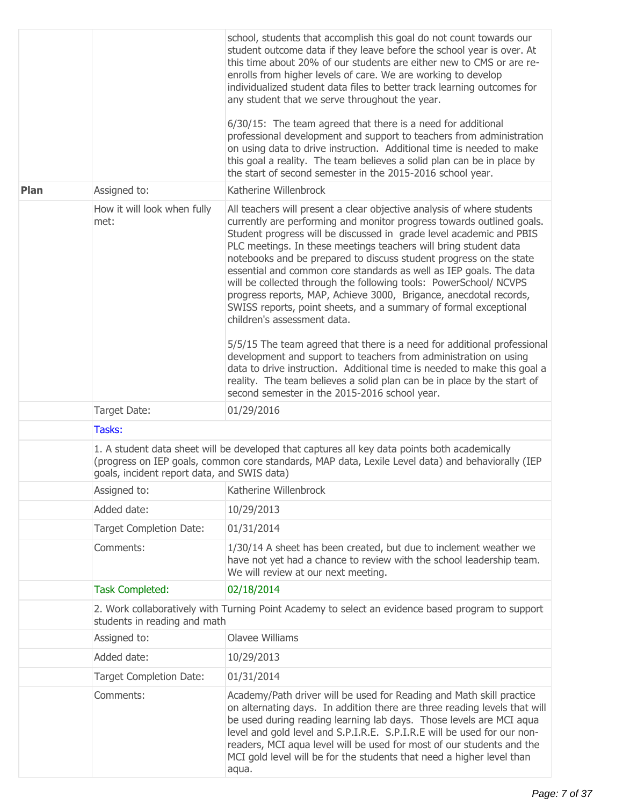|      |                                                                                                                                                                                                                                                   | school, students that accomplish this goal do not count towards our<br>student outcome data if they leave before the school year is over. At<br>this time about 20% of our students are either new to CMS or are re-<br>enrolls from higher levels of care. We are working to develop<br>individualized student data files to better track learning outcomes for<br>any student that we serve throughout the year.<br>6/30/15: The team agreed that there is a need for additional<br>professional development and support to teachers from administration<br>on using data to drive instruction. Additional time is needed to make<br>this goal a reality. The team believes a solid plan can be in place by<br>the start of second semester in the 2015-2016 school year.                                                                                                                                                                                                                                                                |  |  |
|------|---------------------------------------------------------------------------------------------------------------------------------------------------------------------------------------------------------------------------------------------------|--------------------------------------------------------------------------------------------------------------------------------------------------------------------------------------------------------------------------------------------------------------------------------------------------------------------------------------------------------------------------------------------------------------------------------------------------------------------------------------------------------------------------------------------------------------------------------------------------------------------------------------------------------------------------------------------------------------------------------------------------------------------------------------------------------------------------------------------------------------------------------------------------------------------------------------------------------------------------------------------------------------------------------------------|--|--|
| Plan | Assigned to:                                                                                                                                                                                                                                      | Katherine Willenbrock                                                                                                                                                                                                                                                                                                                                                                                                                                                                                                                                                                                                                                                                                                                                                                                                                                                                                                                                                                                                                      |  |  |
|      | How it will look when fully<br>met:                                                                                                                                                                                                               | All teachers will present a clear objective analysis of where students<br>currently are performing and monitor progress towards outlined goals.<br>Student progress will be discussed in grade level academic and PBIS<br>PLC meetings. In these meetings teachers will bring student data<br>notebooks and be prepared to discuss student progress on the state<br>essential and common core standards as well as IEP goals. The data<br>will be collected through the following tools: PowerSchool/ NCVPS<br>progress reports, MAP, Achieve 3000, Brigance, anecdotal records,<br>SWISS reports, point sheets, and a summary of formal exceptional<br>children's assessment data.<br>5/5/15 The team agreed that there is a need for additional professional<br>development and support to teachers from administration on using<br>data to drive instruction. Additional time is needed to make this goal a<br>reality. The team believes a solid plan can be in place by the start of<br>second semester in the 2015-2016 school year. |  |  |
|      | Target Date:                                                                                                                                                                                                                                      | 01/29/2016                                                                                                                                                                                                                                                                                                                                                                                                                                                                                                                                                                                                                                                                                                                                                                                                                                                                                                                                                                                                                                 |  |  |
|      | Tasks:                                                                                                                                                                                                                                            |                                                                                                                                                                                                                                                                                                                                                                                                                                                                                                                                                                                                                                                                                                                                                                                                                                                                                                                                                                                                                                            |  |  |
|      | 1. A student data sheet will be developed that captures all key data points both academically<br>(progress on IEP goals, common core standards, MAP data, Lexile Level data) and behaviorally (IEP<br>goals, incident report data, and SWIS data) |                                                                                                                                                                                                                                                                                                                                                                                                                                                                                                                                                                                                                                                                                                                                                                                                                                                                                                                                                                                                                                            |  |  |
|      | Assigned to:                                                                                                                                                                                                                                      | Katherine Willenbrock                                                                                                                                                                                                                                                                                                                                                                                                                                                                                                                                                                                                                                                                                                                                                                                                                                                                                                                                                                                                                      |  |  |
|      | Added date:                                                                                                                                                                                                                                       | 10/29/2013                                                                                                                                                                                                                                                                                                                                                                                                                                                                                                                                                                                                                                                                                                                                                                                                                                                                                                                                                                                                                                 |  |  |
|      | <b>Target Completion Date:</b>                                                                                                                                                                                                                    | 01/31/2014                                                                                                                                                                                                                                                                                                                                                                                                                                                                                                                                                                                                                                                                                                                                                                                                                                                                                                                                                                                                                                 |  |  |
|      | Comments:                                                                                                                                                                                                                                         | 1/30/14 A sheet has been created, but due to inclement weather we<br>have not yet had a chance to review with the school leadership team.<br>We will review at our next meeting.                                                                                                                                                                                                                                                                                                                                                                                                                                                                                                                                                                                                                                                                                                                                                                                                                                                           |  |  |
|      | <b>Task Completed:</b>                                                                                                                                                                                                                            | 02/18/2014                                                                                                                                                                                                                                                                                                                                                                                                                                                                                                                                                                                                                                                                                                                                                                                                                                                                                                                                                                                                                                 |  |  |
|      | students in reading and math                                                                                                                                                                                                                      | 2. Work collaboratively with Turning Point Academy to select an evidence based program to support                                                                                                                                                                                                                                                                                                                                                                                                                                                                                                                                                                                                                                                                                                                                                                                                                                                                                                                                          |  |  |
|      | Assigned to:                                                                                                                                                                                                                                      | <b>Olavee Williams</b>                                                                                                                                                                                                                                                                                                                                                                                                                                                                                                                                                                                                                                                                                                                                                                                                                                                                                                                                                                                                                     |  |  |
|      | Added date:                                                                                                                                                                                                                                       | 10/29/2013                                                                                                                                                                                                                                                                                                                                                                                                                                                                                                                                                                                                                                                                                                                                                                                                                                                                                                                                                                                                                                 |  |  |
|      | <b>Target Completion Date:</b>                                                                                                                                                                                                                    | 01/31/2014                                                                                                                                                                                                                                                                                                                                                                                                                                                                                                                                                                                                                                                                                                                                                                                                                                                                                                                                                                                                                                 |  |  |
|      | Comments:                                                                                                                                                                                                                                         | Academy/Path driver will be used for Reading and Math skill practice<br>on alternating days. In addition there are three reading levels that will<br>be used during reading learning lab days. Those levels are MCI aqua<br>level and gold level and S.P.I.R.E. S.P.I.R.E will be used for our non-<br>readers, MCI aqua level will be used for most of our students and the<br>MCI gold level will be for the students that need a higher level than<br>aqua.                                                                                                                                                                                                                                                                                                                                                                                                                                                                                                                                                                             |  |  |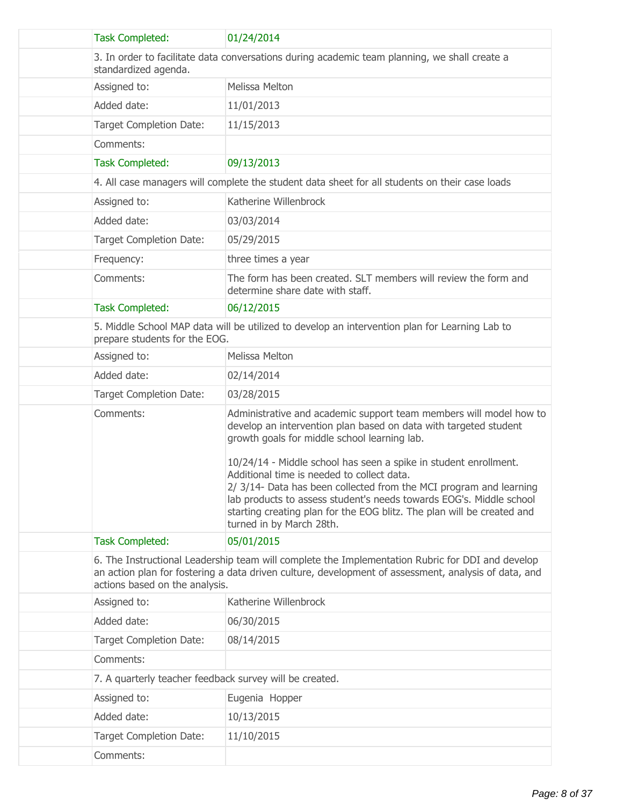| <b>Task Completed:</b>                                                                                                | 01/24/2014                                                                                                                                                                                                                                                                                                                                                        |  |
|-----------------------------------------------------------------------------------------------------------------------|-------------------------------------------------------------------------------------------------------------------------------------------------------------------------------------------------------------------------------------------------------------------------------------------------------------------------------------------------------------------|--|
| 3. In order to facilitate data conversations during academic team planning, we shall create a<br>standardized agenda. |                                                                                                                                                                                                                                                                                                                                                                   |  |
| Assigned to:                                                                                                          | Melissa Melton                                                                                                                                                                                                                                                                                                                                                    |  |
| Added date:                                                                                                           | 11/01/2013                                                                                                                                                                                                                                                                                                                                                        |  |
| <b>Target Completion Date:</b>                                                                                        | 11/15/2013                                                                                                                                                                                                                                                                                                                                                        |  |
| Comments:                                                                                                             |                                                                                                                                                                                                                                                                                                                                                                   |  |
| <b>Task Completed:</b>                                                                                                | 09/13/2013                                                                                                                                                                                                                                                                                                                                                        |  |
|                                                                                                                       | 4. All case managers will complete the student data sheet for all students on their case loads                                                                                                                                                                                                                                                                    |  |
| Assigned to:                                                                                                          | Katherine Willenbrock                                                                                                                                                                                                                                                                                                                                             |  |
| Added date:                                                                                                           | 03/03/2014                                                                                                                                                                                                                                                                                                                                                        |  |
| Target Completion Date:                                                                                               | 05/29/2015                                                                                                                                                                                                                                                                                                                                                        |  |
| Frequency:                                                                                                            | three times a year                                                                                                                                                                                                                                                                                                                                                |  |
| Comments:                                                                                                             | The form has been created. SLT members will review the form and<br>determine share date with staff.                                                                                                                                                                                                                                                               |  |
| <b>Task Completed:</b>                                                                                                | 06/12/2015                                                                                                                                                                                                                                                                                                                                                        |  |
| prepare students for the EOG.                                                                                         | 5. Middle School MAP data will be utilized to develop an intervention plan for Learning Lab to                                                                                                                                                                                                                                                                    |  |
| Assigned to:                                                                                                          | Melissa Melton                                                                                                                                                                                                                                                                                                                                                    |  |
| Added date:                                                                                                           | 02/14/2014                                                                                                                                                                                                                                                                                                                                                        |  |
| Target Completion Date:                                                                                               | 03/28/2015                                                                                                                                                                                                                                                                                                                                                        |  |
| Comments:                                                                                                             | Administrative and academic support team members will model how to<br>develop an intervention plan based on data with targeted student<br>growth goals for middle school learning lab.                                                                                                                                                                            |  |
|                                                                                                                       | 10/24/14 - Middle school has seen a spike in student enrollment.<br>Additional time is needed to collect data.<br>2/ 3/14- Data has been collected from the MCI program and learning<br>lab products to assess student's needs towards EOG's. Middle school<br>starting creating plan for the EOG blitz. The plan will be created and<br>turned in by March 28th. |  |
| <b>Task Completed:</b>                                                                                                | 05/01/2015                                                                                                                                                                                                                                                                                                                                                        |  |
| actions based on the analysis.                                                                                        | 6. The Instructional Leadership team will complete the Implementation Rubric for DDI and develop<br>an action plan for fostering a data driven culture, development of assessment, analysis of data, and                                                                                                                                                          |  |
| Assigned to:                                                                                                          | Katherine Willenbrock                                                                                                                                                                                                                                                                                                                                             |  |
| Added date:                                                                                                           | 06/30/2015                                                                                                                                                                                                                                                                                                                                                        |  |
| <b>Target Completion Date:</b>                                                                                        | 08/14/2015                                                                                                                                                                                                                                                                                                                                                        |  |
| Comments:                                                                                                             |                                                                                                                                                                                                                                                                                                                                                                   |  |
| 7. A quarterly teacher feedback survey will be created.                                                               |                                                                                                                                                                                                                                                                                                                                                                   |  |
| Assigned to:                                                                                                          | Eugenia Hopper                                                                                                                                                                                                                                                                                                                                                    |  |
| Added date:                                                                                                           | 10/13/2015                                                                                                                                                                                                                                                                                                                                                        |  |
| <b>Target Completion Date:</b>                                                                                        | 11/10/2015                                                                                                                                                                                                                                                                                                                                                        |  |
| Comments:                                                                                                             |                                                                                                                                                                                                                                                                                                                                                                   |  |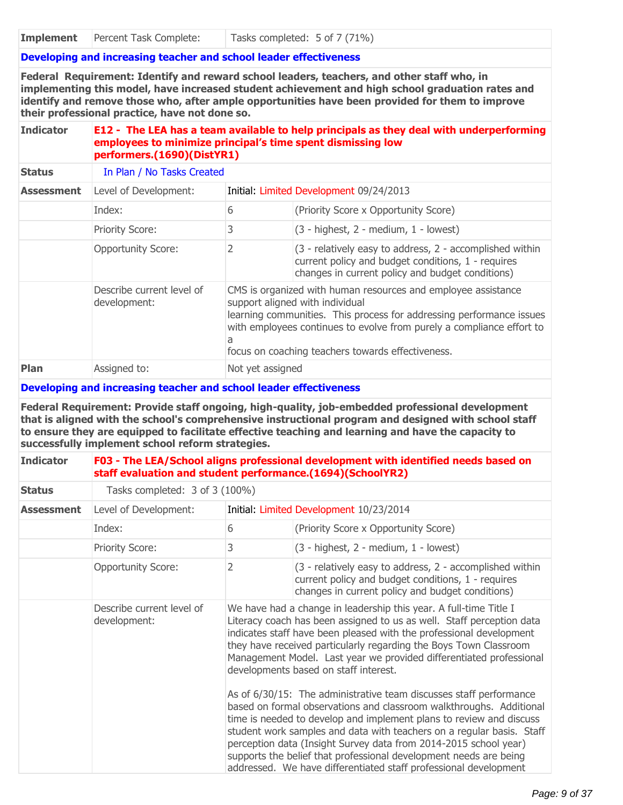## **Developing and increasing teacher and school leader effectiveness**

**Federal Requirement: Identify and reward school leaders, teachers, and other staff who, in implementing this model, have increased student achievement and high school graduation rates and identify and remove those who, after ample opportunities have been provided for them to improve their professional practice, have not done so.**

## **Indicator E12 - The LEA has a team available to help principals as they deal with underperforming employees to minimize principal's time spent dismissing low performers.(1690)(DistYR1)**

| <b>Status</b>     | In Plan / No Tasks Created                |                                                                                                                                                                                                                                                                                                             |                                                                                                                                                                    |
|-------------------|-------------------------------------------|-------------------------------------------------------------------------------------------------------------------------------------------------------------------------------------------------------------------------------------------------------------------------------------------------------------|--------------------------------------------------------------------------------------------------------------------------------------------------------------------|
| <b>Assessment</b> | Level of Development:                     | Initial: Limited Development 09/24/2013                                                                                                                                                                                                                                                                     |                                                                                                                                                                    |
|                   | Index:                                    | 6                                                                                                                                                                                                                                                                                                           | (Priority Score x Opportunity Score)                                                                                                                               |
|                   | <b>Priority Score:</b>                    | 3                                                                                                                                                                                                                                                                                                           | $(3 - highest, 2 - medium, 1 - lowest)$                                                                                                                            |
|                   | <b>Opportunity Score:</b>                 |                                                                                                                                                                                                                                                                                                             | (3 - relatively easy to address, 2 - accomplished within<br>current policy and budget conditions, 1 - requires<br>changes in current policy and budget conditions) |
|                   | Describe current level of<br>development: | CMS is organized with human resources and employee assistance<br>support aligned with individual<br>learning communities. This process for addressing performance issues<br>with employees continues to evolve from purely a compliance effort to<br>a<br>focus on coaching teachers towards effectiveness. |                                                                                                                                                                    |
| <b>Plan</b>       | Assigned to:                              | Not yet assigned                                                                                                                                                                                                                                                                                            |                                                                                                                                                                    |

#### **Developing and increasing teacher and school leader effectiveness**

**Federal Requirement: Provide staff ongoing, high-quality, job-embedded professional development that is aligned with the school's comprehensive instructional program and designed with school staff to ensure they are equipped to facilitate effective teaching and learning and have the capacity to successfully implement school reform strategies.**

| <b>Indicator</b>  | F03 - The LEA/School aligns professional development with identified needs based on<br>staff evaluation and student performance.(1694)(SchoolYR2) |                                         |                                                                                                                                                                                                                                                                                                                                                                                                                                                                                                                                                                                                                                                                                                                                                                                                                                                                                                                  |
|-------------------|---------------------------------------------------------------------------------------------------------------------------------------------------|-----------------------------------------|------------------------------------------------------------------------------------------------------------------------------------------------------------------------------------------------------------------------------------------------------------------------------------------------------------------------------------------------------------------------------------------------------------------------------------------------------------------------------------------------------------------------------------------------------------------------------------------------------------------------------------------------------------------------------------------------------------------------------------------------------------------------------------------------------------------------------------------------------------------------------------------------------------------|
| <b>Status</b>     | Tasks completed: 3 of 3 (100%)                                                                                                                    |                                         |                                                                                                                                                                                                                                                                                                                                                                                                                                                                                                                                                                                                                                                                                                                                                                                                                                                                                                                  |
| <b>Assessment</b> | Level of Development:                                                                                                                             | Initial: Limited Development 10/23/2014 |                                                                                                                                                                                                                                                                                                                                                                                                                                                                                                                                                                                                                                                                                                                                                                                                                                                                                                                  |
|                   | Index:                                                                                                                                            | 6                                       | (Priority Score x Opportunity Score)                                                                                                                                                                                                                                                                                                                                                                                                                                                                                                                                                                                                                                                                                                                                                                                                                                                                             |
|                   | Priority Score:                                                                                                                                   | 3                                       | $(3 - highest, 2 - medium, 1 - lowest)$                                                                                                                                                                                                                                                                                                                                                                                                                                                                                                                                                                                                                                                                                                                                                                                                                                                                          |
|                   | <b>Opportunity Score:</b>                                                                                                                         | 2                                       | (3 - relatively easy to address, 2 - accomplished within<br>current policy and budget conditions, 1 - requires<br>changes in current policy and budget conditions)                                                                                                                                                                                                                                                                                                                                                                                                                                                                                                                                                                                                                                                                                                                                               |
|                   | Describe current level of<br>development:                                                                                                         |                                         | We have had a change in leadership this year. A full-time Title I<br>Literacy coach has been assigned to us as well. Staff perception data<br>indicates staff have been pleased with the professional development<br>they have received particularly regarding the Boys Town Classroom<br>Management Model. Last year we provided differentiated professional<br>developments based on staff interest.<br>As of 6/30/15: The administrative team discusses staff performance<br>based on formal observations and classroom walkthroughs. Additional<br>time is needed to develop and implement plans to review and discuss<br>student work samples and data with teachers on a regular basis. Staff<br>perception data (Insight Survey data from 2014-2015 school year)<br>supports the belief that professional development needs are being<br>addressed. We have differentiated staff professional development |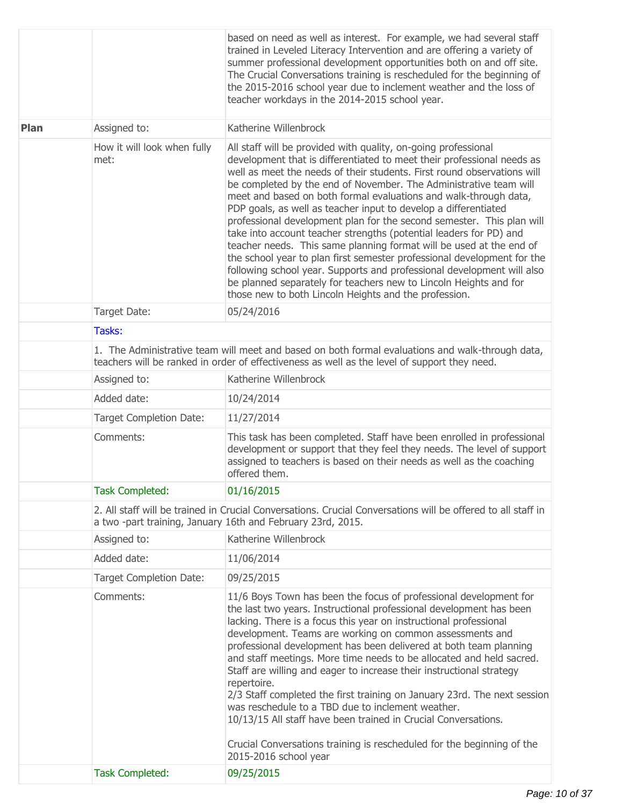|             |                                                                                                                                                                             | based on need as well as interest. For example, we had several staff<br>trained in Leveled Literacy Intervention and are offering a variety of<br>summer professional development opportunities both on and off site.<br>The Crucial Conversations training is rescheduled for the beginning of<br>the 2015-2016 school year due to inclement weather and the loss of<br>teacher workdays in the 2014-2015 school year.                                                                                                                                                                                                                                                                                                                                                                                                                                                                                                                  |  |  |
|-------------|-----------------------------------------------------------------------------------------------------------------------------------------------------------------------------|------------------------------------------------------------------------------------------------------------------------------------------------------------------------------------------------------------------------------------------------------------------------------------------------------------------------------------------------------------------------------------------------------------------------------------------------------------------------------------------------------------------------------------------------------------------------------------------------------------------------------------------------------------------------------------------------------------------------------------------------------------------------------------------------------------------------------------------------------------------------------------------------------------------------------------------|--|--|
| <b>Plan</b> | Assigned to:                                                                                                                                                                | Katherine Willenbrock                                                                                                                                                                                                                                                                                                                                                                                                                                                                                                                                                                                                                                                                                                                                                                                                                                                                                                                    |  |  |
|             | How it will look when fully<br>met:                                                                                                                                         | All staff will be provided with quality, on-going professional<br>development that is differentiated to meet their professional needs as<br>well as meet the needs of their students. First round observations will<br>be completed by the end of November. The Administrative team will<br>meet and based on both formal evaluations and walk-through data,<br>PDP goals, as well as teacher input to develop a differentiated<br>professional development plan for the second semester. This plan will<br>take into account teacher strengths (potential leaders for PD) and<br>teacher needs. This same planning format will be used at the end of<br>the school year to plan first semester professional development for the<br>following school year. Supports and professional development will also<br>be planned separately for teachers new to Lincoln Heights and for<br>those new to both Lincoln Heights and the profession. |  |  |
|             | Target Date:                                                                                                                                                                | 05/24/2016                                                                                                                                                                                                                                                                                                                                                                                                                                                                                                                                                                                                                                                                                                                                                                                                                                                                                                                               |  |  |
|             | Tasks:                                                                                                                                                                      |                                                                                                                                                                                                                                                                                                                                                                                                                                                                                                                                                                                                                                                                                                                                                                                                                                                                                                                                          |  |  |
|             |                                                                                                                                                                             | 1. The Administrative team will meet and based on both formal evaluations and walk-through data,<br>teachers will be ranked in order of effectiveness as well as the level of support they need.                                                                                                                                                                                                                                                                                                                                                                                                                                                                                                                                                                                                                                                                                                                                         |  |  |
|             | Assigned to:                                                                                                                                                                | Katherine Willenbrock                                                                                                                                                                                                                                                                                                                                                                                                                                                                                                                                                                                                                                                                                                                                                                                                                                                                                                                    |  |  |
|             | Added date:                                                                                                                                                                 | 10/24/2014                                                                                                                                                                                                                                                                                                                                                                                                                                                                                                                                                                                                                                                                                                                                                                                                                                                                                                                               |  |  |
|             | Target Completion Date:                                                                                                                                                     | 11/27/2014                                                                                                                                                                                                                                                                                                                                                                                                                                                                                                                                                                                                                                                                                                                                                                                                                                                                                                                               |  |  |
|             | Comments:                                                                                                                                                                   | This task has been completed. Staff have been enrolled in professional<br>development or support that they feel they needs. The level of support<br>assigned to teachers is based on their needs as well as the coaching<br>offered them.                                                                                                                                                                                                                                                                                                                                                                                                                                                                                                                                                                                                                                                                                                |  |  |
|             | <b>Task Completed:</b>                                                                                                                                                      | 01/16/2015                                                                                                                                                                                                                                                                                                                                                                                                                                                                                                                                                                                                                                                                                                                                                                                                                                                                                                                               |  |  |
|             | 2. All staff will be trained in Crucial Conversations. Crucial Conversations will be offered to all staff in<br>a two -part training, January 16th and February 23rd, 2015. |                                                                                                                                                                                                                                                                                                                                                                                                                                                                                                                                                                                                                                                                                                                                                                                                                                                                                                                                          |  |  |
|             | Assigned to:                                                                                                                                                                | Katherine Willenbrock                                                                                                                                                                                                                                                                                                                                                                                                                                                                                                                                                                                                                                                                                                                                                                                                                                                                                                                    |  |  |
|             | Added date:                                                                                                                                                                 | 11/06/2014                                                                                                                                                                                                                                                                                                                                                                                                                                                                                                                                                                                                                                                                                                                                                                                                                                                                                                                               |  |  |
|             | <b>Target Completion Date:</b>                                                                                                                                              | 09/25/2015                                                                                                                                                                                                                                                                                                                                                                                                                                                                                                                                                                                                                                                                                                                                                                                                                                                                                                                               |  |  |
|             | Comments:                                                                                                                                                                   | 11/6 Boys Town has been the focus of professional development for<br>the last two years. Instructional professional development has been<br>lacking. There is a focus this year on instructional professional<br>development. Teams are working on common assessments and<br>professional development has been delivered at both team planning<br>and staff meetings. More time needs to be allocated and held sacred.<br>Staff are willing and eager to increase their instructional strategy<br>repertoire.<br>2/3 Staff completed the first training on January 23rd. The next session<br>was reschedule to a TBD due to inclement weather.<br>10/13/15 All staff have been trained in Crucial Conversations.<br>Crucial Conversations training is rescheduled for the beginning of the                                                                                                                                               |  |  |
|             |                                                                                                                                                                             | 2015-2016 school year                                                                                                                                                                                                                                                                                                                                                                                                                                                                                                                                                                                                                                                                                                                                                                                                                                                                                                                    |  |  |
|             | <b>Task Completed:</b>                                                                                                                                                      | 09/25/2015                                                                                                                                                                                                                                                                                                                                                                                                                                                                                                                                                                                                                                                                                                                                                                                                                                                                                                                               |  |  |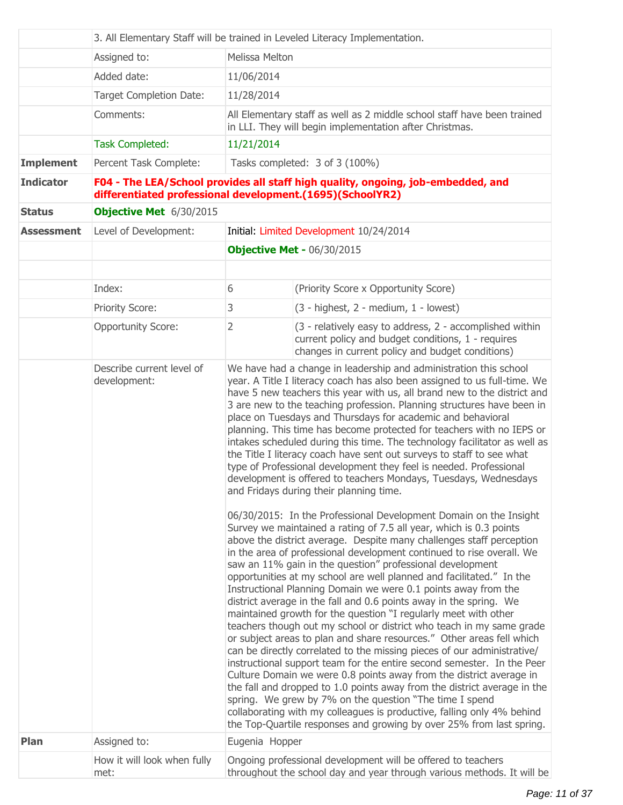|                   | 3. All Elementary Staff will be trained in Leveled Literacy Implementation. |                                                                                                                                                                                                                                                                                                                                                                                                                                                                                                                                                                                                                                                                                                                                                                                                                                                                                                                                                                                                                                                                                                                                                                                                                                                                                                                |                                                                                                                                                                    |  |
|-------------------|-----------------------------------------------------------------------------|----------------------------------------------------------------------------------------------------------------------------------------------------------------------------------------------------------------------------------------------------------------------------------------------------------------------------------------------------------------------------------------------------------------------------------------------------------------------------------------------------------------------------------------------------------------------------------------------------------------------------------------------------------------------------------------------------------------------------------------------------------------------------------------------------------------------------------------------------------------------------------------------------------------------------------------------------------------------------------------------------------------------------------------------------------------------------------------------------------------------------------------------------------------------------------------------------------------------------------------------------------------------------------------------------------------|--------------------------------------------------------------------------------------------------------------------------------------------------------------------|--|
|                   | Assigned to:                                                                |                                                                                                                                                                                                                                                                                                                                                                                                                                                                                                                                                                                                                                                                                                                                                                                                                                                                                                                                                                                                                                                                                                                                                                                                                                                                                                                | Melissa Melton                                                                                                                                                     |  |
|                   | Added date:                                                                 | 11/06/2014                                                                                                                                                                                                                                                                                                                                                                                                                                                                                                                                                                                                                                                                                                                                                                                                                                                                                                                                                                                                                                                                                                                                                                                                                                                                                                     |                                                                                                                                                                    |  |
|                   | <b>Target Completion Date:</b>                                              | 11/28/2014                                                                                                                                                                                                                                                                                                                                                                                                                                                                                                                                                                                                                                                                                                                                                                                                                                                                                                                                                                                                                                                                                                                                                                                                                                                                                                     |                                                                                                                                                                    |  |
|                   | Comments:                                                                   | All Elementary staff as well as 2 middle school staff have been trained<br>in LLI. They will begin implementation after Christmas.                                                                                                                                                                                                                                                                                                                                                                                                                                                                                                                                                                                                                                                                                                                                                                                                                                                                                                                                                                                                                                                                                                                                                                             |                                                                                                                                                                    |  |
|                   | <b>Task Completed:</b>                                                      | 11/21/2014                                                                                                                                                                                                                                                                                                                                                                                                                                                                                                                                                                                                                                                                                                                                                                                                                                                                                                                                                                                                                                                                                                                                                                                                                                                                                                     |                                                                                                                                                                    |  |
| <b>Implement</b>  | Percent Task Complete:                                                      |                                                                                                                                                                                                                                                                                                                                                                                                                                                                                                                                                                                                                                                                                                                                                                                                                                                                                                                                                                                                                                                                                                                                                                                                                                                                                                                | Tasks completed: 3 of 3 (100%)                                                                                                                                     |  |
| <b>Indicator</b>  |                                                                             |                                                                                                                                                                                                                                                                                                                                                                                                                                                                                                                                                                                                                                                                                                                                                                                                                                                                                                                                                                                                                                                                                                                                                                                                                                                                                                                | F04 - The LEA/School provides all staff high quality, ongoing, job-embedded, and<br>differentiated professional development.(1695)(SchoolYR2)                      |  |
| <b>Status</b>     | Objective Met 6/30/2015                                                     |                                                                                                                                                                                                                                                                                                                                                                                                                                                                                                                                                                                                                                                                                                                                                                                                                                                                                                                                                                                                                                                                                                                                                                                                                                                                                                                |                                                                                                                                                                    |  |
| <b>Assessment</b> | Level of Development:                                                       |                                                                                                                                                                                                                                                                                                                                                                                                                                                                                                                                                                                                                                                                                                                                                                                                                                                                                                                                                                                                                                                                                                                                                                                                                                                                                                                | Initial: Limited Development 10/24/2014                                                                                                                            |  |
|                   |                                                                             |                                                                                                                                                                                                                                                                                                                                                                                                                                                                                                                                                                                                                                                                                                                                                                                                                                                                                                                                                                                                                                                                                                                                                                                                                                                                                                                | <b>Objective Met - 06/30/2015</b>                                                                                                                                  |  |
|                   |                                                                             |                                                                                                                                                                                                                                                                                                                                                                                                                                                                                                                                                                                                                                                                                                                                                                                                                                                                                                                                                                                                                                                                                                                                                                                                                                                                                                                |                                                                                                                                                                    |  |
|                   | Index:                                                                      | 6                                                                                                                                                                                                                                                                                                                                                                                                                                                                                                                                                                                                                                                                                                                                                                                                                                                                                                                                                                                                                                                                                                                                                                                                                                                                                                              | (Priority Score x Opportunity Score)                                                                                                                               |  |
|                   | Priority Score:                                                             | 3                                                                                                                                                                                                                                                                                                                                                                                                                                                                                                                                                                                                                                                                                                                                                                                                                                                                                                                                                                                                                                                                                                                                                                                                                                                                                                              | (3 - highest, 2 - medium, 1 - lowest)                                                                                                                              |  |
|                   | <b>Opportunity Score:</b>                                                   | 2                                                                                                                                                                                                                                                                                                                                                                                                                                                                                                                                                                                                                                                                                                                                                                                                                                                                                                                                                                                                                                                                                                                                                                                                                                                                                                              | (3 - relatively easy to address, 2 - accomplished within<br>current policy and budget conditions, 1 - requires<br>changes in current policy and budget conditions) |  |
|                   | development:                                                                | We have had a change in leadership and administration this school<br>year. A Title I literacy coach has also been assigned to us full-time. We<br>have 5 new teachers this year with us, all brand new to the district and<br>3 are new to the teaching profession. Planning structures have been in<br>place on Tuesdays and Thursdays for academic and behavioral<br>planning. This time has become protected for teachers with no IEPS or<br>intakes scheduled during this time. The technology facilitator as well as<br>the Title I literacy coach have sent out surveys to staff to see what<br>type of Professional development they feel is needed. Professional<br>development is offered to teachers Mondays, Tuesdays, Wednesdays<br>and Fridays during their planning time.                                                                                                                                                                                                                                                                                                                                                                                                                                                                                                                        |                                                                                                                                                                    |  |
|                   |                                                                             | 06/30/2015: In the Professional Development Domain on the Insight<br>Survey we maintained a rating of 7.5 all year, which is 0.3 points<br>above the district average. Despite many challenges staff perception<br>in the area of professional development continued to rise overall. We<br>saw an 11% gain in the question" professional development<br>opportunities at my school are well planned and facilitated." In the<br>Instructional Planning Domain we were 0.1 points away from the<br>district average in the fall and 0.6 points away in the spring. We<br>maintained growth for the question "I regularly meet with other<br>teachers though out my school or district who teach in my same grade<br>or subject areas to plan and share resources." Other areas fell which<br>can be directly correlated to the missing pieces of our administrative/<br>instructional support team for the entire second semester. In the Peer<br>Culture Domain we were 0.8 points away from the district average in<br>the fall and dropped to 1.0 points away from the district average in the<br>spring. We grew by 7% on the question "The time I spend<br>collaborating with my colleagues is productive, falling only 4% behind<br>the Top-Quartile responses and growing by over 25% from last spring. |                                                                                                                                                                    |  |
| <b>Plan</b>       | Assigned to:                                                                | Eugenia Hopper                                                                                                                                                                                                                                                                                                                                                                                                                                                                                                                                                                                                                                                                                                                                                                                                                                                                                                                                                                                                                                                                                                                                                                                                                                                                                                 |                                                                                                                                                                    |  |
|                   | How it will look when fully<br>met:                                         |                                                                                                                                                                                                                                                                                                                                                                                                                                                                                                                                                                                                                                                                                                                                                                                                                                                                                                                                                                                                                                                                                                                                                                                                                                                                                                                | Ongoing professional development will be offered to teachers<br>throughout the school day and year through various methods. It will be                             |  |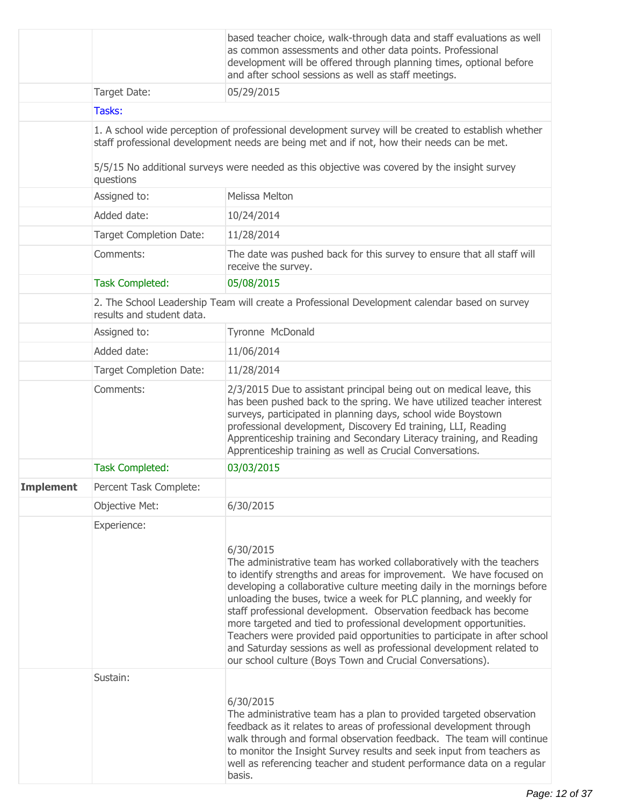|                  |                                | based teacher choice, walk-through data and staff evaluations as well<br>as common assessments and other data points. Professional<br>development will be offered through planning times, optional before<br>and after school sessions as well as staff meetings.                                                                                                                                                                                                                                                                                                                                                                                                  |
|------------------|--------------------------------|--------------------------------------------------------------------------------------------------------------------------------------------------------------------------------------------------------------------------------------------------------------------------------------------------------------------------------------------------------------------------------------------------------------------------------------------------------------------------------------------------------------------------------------------------------------------------------------------------------------------------------------------------------------------|
|                  | Target Date:                   | 05/29/2015                                                                                                                                                                                                                                                                                                                                                                                                                                                                                                                                                                                                                                                         |
|                  | Tasks:                         |                                                                                                                                                                                                                                                                                                                                                                                                                                                                                                                                                                                                                                                                    |
|                  |                                | 1. A school wide perception of professional development survey will be created to establish whether<br>staff professional development needs are being met and if not, how their needs can be met.<br>5/5/15 No additional surveys were needed as this objective was covered by the insight survey                                                                                                                                                                                                                                                                                                                                                                  |
|                  | questions<br>Assigned to:      | Melissa Melton                                                                                                                                                                                                                                                                                                                                                                                                                                                                                                                                                                                                                                                     |
|                  | Added date:                    | 10/24/2014                                                                                                                                                                                                                                                                                                                                                                                                                                                                                                                                                                                                                                                         |
|                  |                                |                                                                                                                                                                                                                                                                                                                                                                                                                                                                                                                                                                                                                                                                    |
|                  | <b>Target Completion Date:</b> | 11/28/2014                                                                                                                                                                                                                                                                                                                                                                                                                                                                                                                                                                                                                                                         |
|                  | Comments:                      | The date was pushed back for this survey to ensure that all staff will<br>receive the survey.                                                                                                                                                                                                                                                                                                                                                                                                                                                                                                                                                                      |
|                  | <b>Task Completed:</b>         | 05/08/2015                                                                                                                                                                                                                                                                                                                                                                                                                                                                                                                                                                                                                                                         |
|                  | results and student data.      | 2. The School Leadership Team will create a Professional Development calendar based on survey                                                                                                                                                                                                                                                                                                                                                                                                                                                                                                                                                                      |
|                  | Assigned to:                   | Tyronne McDonald                                                                                                                                                                                                                                                                                                                                                                                                                                                                                                                                                                                                                                                   |
|                  | Added date:                    | 11/06/2014                                                                                                                                                                                                                                                                                                                                                                                                                                                                                                                                                                                                                                                         |
|                  | <b>Target Completion Date:</b> | 11/28/2014                                                                                                                                                                                                                                                                                                                                                                                                                                                                                                                                                                                                                                                         |
|                  | Comments:                      | 2/3/2015 Due to assistant principal being out on medical leave, this<br>has been pushed back to the spring. We have utilized teacher interest<br>surveys, participated in planning days, school wide Boystown<br>professional development, Discovery Ed training, LLI, Reading<br>Apprenticeship training and Secondary Literacy training, and Reading<br>Apprenticeship training as well as Crucial Conversations.                                                                                                                                                                                                                                                |
|                  | <b>Task Completed:</b>         | 03/03/2015                                                                                                                                                                                                                                                                                                                                                                                                                                                                                                                                                                                                                                                         |
| <b>Implement</b> | Percent Task Complete:         |                                                                                                                                                                                                                                                                                                                                                                                                                                                                                                                                                                                                                                                                    |
|                  | <b>Objective Met:</b>          | 6/30/2015                                                                                                                                                                                                                                                                                                                                                                                                                                                                                                                                                                                                                                                          |
|                  | Experience:                    | 6/30/2015<br>The administrative team has worked collaboratively with the teachers<br>to identify strengths and areas for improvement. We have focused on<br>developing a collaborative culture meeting daily in the mornings before<br>unloading the buses, twice a week for PLC planning, and weekly for<br>staff professional development. Observation feedback has become<br>more targeted and tied to professional development opportunities.<br>Teachers were provided paid opportunities to participate in after school<br>and Saturday sessions as well as professional development related to<br>our school culture (Boys Town and Crucial Conversations). |
|                  | Sustain:                       | 6/30/2015<br>The administrative team has a plan to provided targeted observation<br>feedback as it relates to areas of professional development through<br>walk through and formal observation feedback. The team will continue<br>to monitor the Insight Survey results and seek input from teachers as<br>well as referencing teacher and student performance data on a regular<br>basis.                                                                                                                                                                                                                                                                        |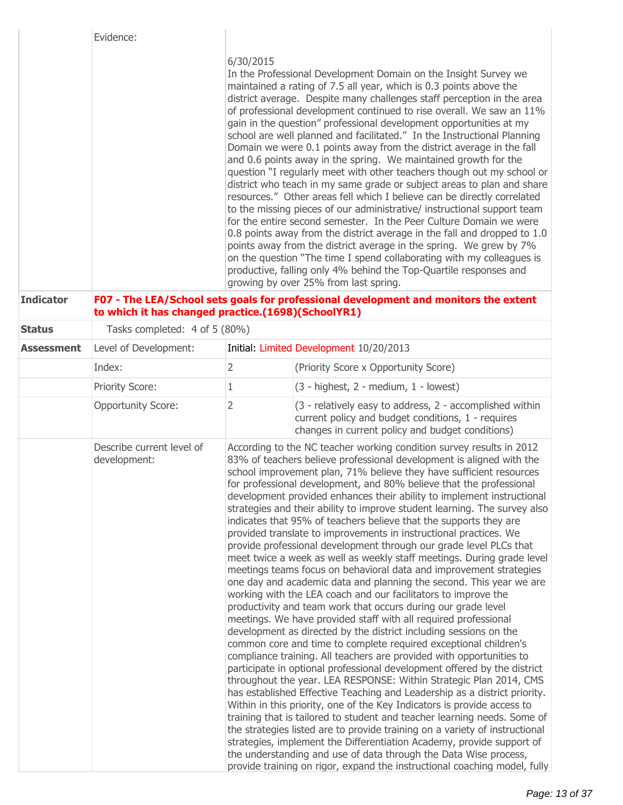|                   | Evidence:                                          |                |                                                                                                                                                                                                                                                                                                                                                                                                                                                                                                                                                                                                                                                                                                                                                                                                                                                                                                                                                                                                                                                                                                                                                                                                                                                                                                                                                                                                                                                                                                                                                                                                                                                                                                                                                                                                                                                                                                                                                                                                                |
|-------------------|----------------------------------------------------|----------------|----------------------------------------------------------------------------------------------------------------------------------------------------------------------------------------------------------------------------------------------------------------------------------------------------------------------------------------------------------------------------------------------------------------------------------------------------------------------------------------------------------------------------------------------------------------------------------------------------------------------------------------------------------------------------------------------------------------------------------------------------------------------------------------------------------------------------------------------------------------------------------------------------------------------------------------------------------------------------------------------------------------------------------------------------------------------------------------------------------------------------------------------------------------------------------------------------------------------------------------------------------------------------------------------------------------------------------------------------------------------------------------------------------------------------------------------------------------------------------------------------------------------------------------------------------------------------------------------------------------------------------------------------------------------------------------------------------------------------------------------------------------------------------------------------------------------------------------------------------------------------------------------------------------------------------------------------------------------------------------------------------------|
|                   |                                                    | 6/30/2015      | In the Professional Development Domain on the Insight Survey we<br>maintained a rating of 7.5 all year, which is 0.3 points above the<br>district average. Despite many challenges staff perception in the area<br>of professional development continued to rise overall. We saw an 11%<br>gain in the question" professional development opportunities at my<br>school are well planned and facilitated." In the Instructional Planning<br>Domain we were 0.1 points away from the district average in the fall<br>and 0.6 points away in the spring. We maintained growth for the<br>question "I regularly meet with other teachers though out my school or<br>district who teach in my same grade or subject areas to plan and share<br>resources." Other areas fell which I believe can be directly correlated<br>to the missing pieces of our administrative/ instructional support team<br>for the entire second semester. In the Peer Culture Domain we were<br>0.8 points away from the district average in the fall and dropped to 1.0<br>points away from the district average in the spring. We grew by 7%<br>on the question "The time I spend collaborating with my colleagues is<br>productive, falling only 4% behind the Top-Quartile responses and<br>growing by over 25% from last spring.                                                                                                                                                                                                                                                                                                                                                                                                                                                                                                                                                                                                                                                                                                   |
| <b>Indicator</b>  | to which it has changed practice.(1698)(SchoolYR1) |                | F07 - The LEA/School sets goals for professional development and monitors the extent                                                                                                                                                                                                                                                                                                                                                                                                                                                                                                                                                                                                                                                                                                                                                                                                                                                                                                                                                                                                                                                                                                                                                                                                                                                                                                                                                                                                                                                                                                                                                                                                                                                                                                                                                                                                                                                                                                                           |
| <b>Status</b>     | Tasks completed: 4 of 5 (80%)                      |                |                                                                                                                                                                                                                                                                                                                                                                                                                                                                                                                                                                                                                                                                                                                                                                                                                                                                                                                                                                                                                                                                                                                                                                                                                                                                                                                                                                                                                                                                                                                                                                                                                                                                                                                                                                                                                                                                                                                                                                                                                |
| <b>Assessment</b> | Level of Development:                              |                | Initial: Limited Development 10/20/2013                                                                                                                                                                                                                                                                                                                                                                                                                                                                                                                                                                                                                                                                                                                                                                                                                                                                                                                                                                                                                                                                                                                                                                                                                                                                                                                                                                                                                                                                                                                                                                                                                                                                                                                                                                                                                                                                                                                                                                        |
|                   | Index:                                             | 2              | (Priority Score x Opportunity Score)                                                                                                                                                                                                                                                                                                                                                                                                                                                                                                                                                                                                                                                                                                                                                                                                                                                                                                                                                                                                                                                                                                                                                                                                                                                                                                                                                                                                                                                                                                                                                                                                                                                                                                                                                                                                                                                                                                                                                                           |
|                   | <b>Priority Score:</b>                             | 1              | $(3 - highest, 2 - medium, 1 - lowest)$                                                                                                                                                                                                                                                                                                                                                                                                                                                                                                                                                                                                                                                                                                                                                                                                                                                                                                                                                                                                                                                                                                                                                                                                                                                                                                                                                                                                                                                                                                                                                                                                                                                                                                                                                                                                                                                                                                                                                                        |
|                   | <b>Opportunity Score:</b>                          | $\overline{2}$ | (3 - relatively easy to address, 2 - accomplished within<br>current policy and budget conditions, 1 - requires<br>changes in current policy and budget conditions)                                                                                                                                                                                                                                                                                                                                                                                                                                                                                                                                                                                                                                                                                                                                                                                                                                                                                                                                                                                                                                                                                                                                                                                                                                                                                                                                                                                                                                                                                                                                                                                                                                                                                                                                                                                                                                             |
|                   | Describe current level of<br>development:          |                | According to the NC teacher working condition survey results in 2012<br>83% of teachers believe professional development is aligned with the<br>school improvement plan, 71% believe they have sufficient resources<br>for professional development, and 80% believe that the professional<br>development provided enhances their ability to implement instructional<br>strategies and their ability to improve student learning. The survey also<br>indicates that 95% of teachers believe that the supports they are<br>provided translate to improvements in instructional practices. We<br>provide professional development through our grade level PLCs that<br>meet twice a week as well as weekly staff meetings. During grade level<br>meetings teams focus on behavioral data and improvement strategies<br>one day and academic data and planning the second. This year we are<br>working with the LEA coach and our facilitators to improve the<br>productivity and team work that occurs during our grade level<br>meetings. We have provided staff with all required professional<br>development as directed by the district including sessions on the<br>common core and time to complete required exceptional children's<br>compliance training. All teachers are provided with opportunities to<br>participate in optional professional development offered by the district<br>throughout the year. LEA RESPONSE: Within Strategic Plan 2014, CMS<br>has established Effective Teaching and Leadership as a district priority.<br>Within in this priority, one of the Key Indicators is provide access to<br>training that is tailored to student and teacher learning needs. Some of<br>the strategies listed are to provide training on a variety of instructional<br>strategies, implement the Differentiation Academy, provide support of<br>the understanding and use of data through the Data Wise process,<br>provide training on rigor, expand the instructional coaching model, fully |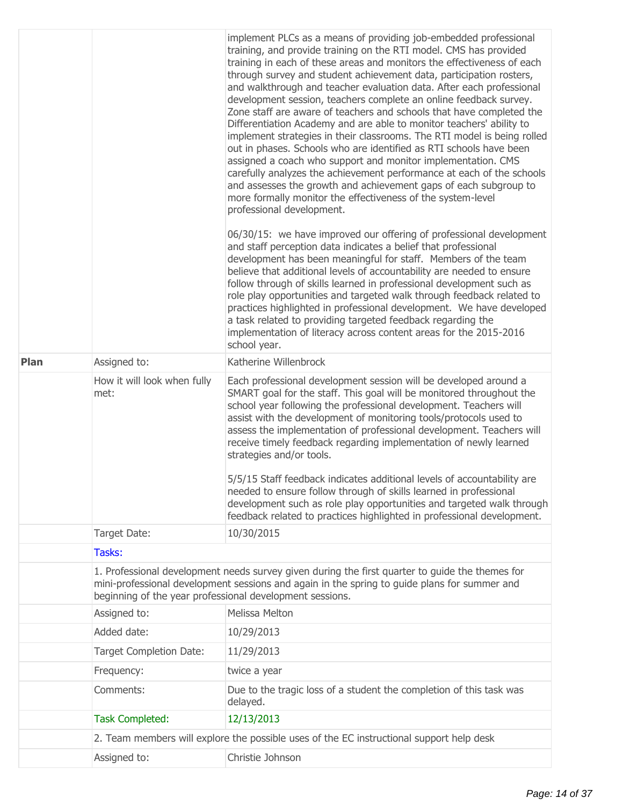|             |                                                                                                                                                                                                                                                             | implement PLCs as a means of providing job-embedded professional<br>training, and provide training on the RTI model. CMS has provided<br>training in each of these areas and monitors the effectiveness of each<br>through survey and student achievement data, participation rosters,<br>and walkthrough and teacher evaluation data. After each professional<br>development session, teachers complete an online feedback survey.<br>Zone staff are aware of teachers and schools that have completed the<br>Differentiation Academy and are able to monitor teachers' ability to<br>implement strategies in their classrooms. The RTI model is being rolled<br>out in phases. Schools who are identified as RTI schools have been<br>assigned a coach who support and monitor implementation. CMS<br>carefully analyzes the achievement performance at each of the schools<br>and assesses the growth and achievement gaps of each subgroup to<br>more formally monitor the effectiveness of the system-level<br>professional development.<br>06/30/15: we have improved our offering of professional development<br>and staff perception data indicates a belief that professional<br>development has been meaningful for staff. Members of the team<br>believe that additional levels of accountability are needed to ensure<br>follow through of skills learned in professional development such as<br>role play opportunities and targeted walk through feedback related to<br>practices highlighted in professional development. We have developed<br>a task related to providing targeted feedback regarding the<br>implementation of literacy across content areas for the 2015-2016<br>school year. |  |  |
|-------------|-------------------------------------------------------------------------------------------------------------------------------------------------------------------------------------------------------------------------------------------------------------|----------------------------------------------------------------------------------------------------------------------------------------------------------------------------------------------------------------------------------------------------------------------------------------------------------------------------------------------------------------------------------------------------------------------------------------------------------------------------------------------------------------------------------------------------------------------------------------------------------------------------------------------------------------------------------------------------------------------------------------------------------------------------------------------------------------------------------------------------------------------------------------------------------------------------------------------------------------------------------------------------------------------------------------------------------------------------------------------------------------------------------------------------------------------------------------------------------------------------------------------------------------------------------------------------------------------------------------------------------------------------------------------------------------------------------------------------------------------------------------------------------------------------------------------------------------------------------------------------------------------------------------------------------------------------------------------------------------|--|--|
| <b>Plan</b> | Assigned to:                                                                                                                                                                                                                                                | Katherine Willenbrock                                                                                                                                                                                                                                                                                                                                                                                                                                                                                                                                                                                                                                                                                                                                                                                                                                                                                                                                                                                                                                                                                                                                                                                                                                                                                                                                                                                                                                                                                                                                                                                                                                                                                          |  |  |
|             | How it will look when fully<br>met:                                                                                                                                                                                                                         | Each professional development session will be developed around a<br>SMART goal for the staff. This goal will be monitored throughout the<br>school year following the professional development. Teachers will<br>assist with the development of monitoring tools/protocols used to<br>assess the implementation of professional development. Teachers will<br>receive timely feedback regarding implementation of newly learned<br>strategies and/or tools.<br>5/5/15 Staff feedback indicates additional levels of accountability are<br>needed to ensure follow through of skills learned in professional<br>development such as role play opportunities and targeted walk through<br>feedback related to practices highlighted in professional development.                                                                                                                                                                                                                                                                                                                                                                                                                                                                                                                                                                                                                                                                                                                                                                                                                                                                                                                                                 |  |  |
|             | Target Date:                                                                                                                                                                                                                                                | 10/30/2015                                                                                                                                                                                                                                                                                                                                                                                                                                                                                                                                                                                                                                                                                                                                                                                                                                                                                                                                                                                                                                                                                                                                                                                                                                                                                                                                                                                                                                                                                                                                                                                                                                                                                                     |  |  |
|             | Tasks:                                                                                                                                                                                                                                                      |                                                                                                                                                                                                                                                                                                                                                                                                                                                                                                                                                                                                                                                                                                                                                                                                                                                                                                                                                                                                                                                                                                                                                                                                                                                                                                                                                                                                                                                                                                                                                                                                                                                                                                                |  |  |
|             | 1. Professional development needs survey given during the first quarter to guide the themes for<br>mini-professional development sessions and again in the spring to guide plans for summer and<br>beginning of the year professional development sessions. |                                                                                                                                                                                                                                                                                                                                                                                                                                                                                                                                                                                                                                                                                                                                                                                                                                                                                                                                                                                                                                                                                                                                                                                                                                                                                                                                                                                                                                                                                                                                                                                                                                                                                                                |  |  |
|             | Assigned to:                                                                                                                                                                                                                                                | Melissa Melton                                                                                                                                                                                                                                                                                                                                                                                                                                                                                                                                                                                                                                                                                                                                                                                                                                                                                                                                                                                                                                                                                                                                                                                                                                                                                                                                                                                                                                                                                                                                                                                                                                                                                                 |  |  |
|             | Added date:                                                                                                                                                                                                                                                 | 10/29/2013                                                                                                                                                                                                                                                                                                                                                                                                                                                                                                                                                                                                                                                                                                                                                                                                                                                                                                                                                                                                                                                                                                                                                                                                                                                                                                                                                                                                                                                                                                                                                                                                                                                                                                     |  |  |
|             | <b>Target Completion Date:</b>                                                                                                                                                                                                                              | 11/29/2013                                                                                                                                                                                                                                                                                                                                                                                                                                                                                                                                                                                                                                                                                                                                                                                                                                                                                                                                                                                                                                                                                                                                                                                                                                                                                                                                                                                                                                                                                                                                                                                                                                                                                                     |  |  |
|             | Frequency:                                                                                                                                                                                                                                                  | twice a year                                                                                                                                                                                                                                                                                                                                                                                                                                                                                                                                                                                                                                                                                                                                                                                                                                                                                                                                                                                                                                                                                                                                                                                                                                                                                                                                                                                                                                                                                                                                                                                                                                                                                                   |  |  |
|             | Comments:                                                                                                                                                                                                                                                   | Due to the tragic loss of a student the completion of this task was<br>delayed.                                                                                                                                                                                                                                                                                                                                                                                                                                                                                                                                                                                                                                                                                                                                                                                                                                                                                                                                                                                                                                                                                                                                                                                                                                                                                                                                                                                                                                                                                                                                                                                                                                |  |  |
|             | <b>Task Completed:</b>                                                                                                                                                                                                                                      | 12/13/2013                                                                                                                                                                                                                                                                                                                                                                                                                                                                                                                                                                                                                                                                                                                                                                                                                                                                                                                                                                                                                                                                                                                                                                                                                                                                                                                                                                                                                                                                                                                                                                                                                                                                                                     |  |  |
|             | 2. Team members will explore the possible uses of the EC instructional support help desk                                                                                                                                                                    |                                                                                                                                                                                                                                                                                                                                                                                                                                                                                                                                                                                                                                                                                                                                                                                                                                                                                                                                                                                                                                                                                                                                                                                                                                                                                                                                                                                                                                                                                                                                                                                                                                                                                                                |  |  |
|             | Assigned to:                                                                                                                                                                                                                                                | Christie Johnson                                                                                                                                                                                                                                                                                                                                                                                                                                                                                                                                                                                                                                                                                                                                                                                                                                                                                                                                                                                                                                                                                                                                                                                                                                                                                                                                                                                                                                                                                                                                                                                                                                                                                               |  |  |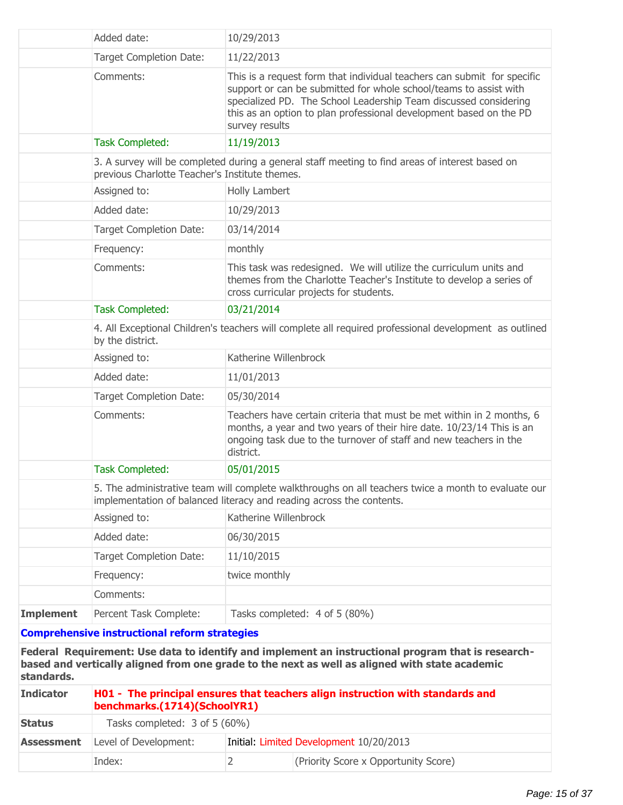|                   | Added date:                                                                                                    | 10/29/2013                    |                                                                                                                                                                                                                                                                                        |
|-------------------|----------------------------------------------------------------------------------------------------------------|-------------------------------|----------------------------------------------------------------------------------------------------------------------------------------------------------------------------------------------------------------------------------------------------------------------------------------|
|                   | Target Completion Date:                                                                                        | 11/22/2013                    |                                                                                                                                                                                                                                                                                        |
|                   | Comments:                                                                                                      | survey results                | This is a request form that individual teachers can submit for specific<br>support or can be submitted for whole school/teams to assist with<br>specialized PD. The School Leadership Team discussed considering<br>this as an option to plan professional development based on the PD |
|                   | <b>Task Completed:</b>                                                                                         | 11/19/2013                    |                                                                                                                                                                                                                                                                                        |
|                   | previous Charlotte Teacher's Institute themes.                                                                 |                               | 3. A survey will be completed during a general staff meeting to find areas of interest based on                                                                                                                                                                                        |
|                   | Assigned to:                                                                                                   | Holly Lambert                 |                                                                                                                                                                                                                                                                                        |
|                   | Added date:                                                                                                    | 10/29/2013                    |                                                                                                                                                                                                                                                                                        |
|                   | Target Completion Date:                                                                                        | 03/14/2014                    |                                                                                                                                                                                                                                                                                        |
|                   | Frequency:                                                                                                     | monthly                       |                                                                                                                                                                                                                                                                                        |
|                   | Comments:                                                                                                      |                               | This task was redesigned. We will utilize the curriculum units and<br>themes from the Charlotte Teacher's Institute to develop a series of<br>cross curricular projects for students.                                                                                                  |
|                   | <b>Task Completed:</b>                                                                                         | 03/21/2014                    |                                                                                                                                                                                                                                                                                        |
|                   | by the district.                                                                                               |                               | 4. All Exceptional Children's teachers will complete all required professional development as outlined                                                                                                                                                                                 |
|                   | Assigned to:                                                                                                   | Katherine Willenbrock         |                                                                                                                                                                                                                                                                                        |
|                   | Added date:                                                                                                    | 11/01/2013                    |                                                                                                                                                                                                                                                                                        |
|                   | Target Completion Date:                                                                                        | 05/30/2014                    |                                                                                                                                                                                                                                                                                        |
|                   | Comments:                                                                                                      | district.                     | Teachers have certain criteria that must be met within in 2 months, 6<br>months, a year and two years of their hire date. 10/23/14 This is an<br>ongoing task due to the turnover of staff and new teachers in the                                                                     |
|                   | <b>Task Completed:</b>                                                                                         | 05/01/2015                    |                                                                                                                                                                                                                                                                                        |
|                   | implementation of balanced literacy and reading across the contents.                                           |                               | 5. The administrative team will complete walkthroughs on all teachers twice a month to evaluate our                                                                                                                                                                                    |
|                   | Assigned to:                                                                                                   | Katherine Willenbrock         |                                                                                                                                                                                                                                                                                        |
|                   | Added date:                                                                                                    | 06/30/2015                    |                                                                                                                                                                                                                                                                                        |
|                   | <b>Target Completion Date:</b>                                                                                 | 11/10/2015                    |                                                                                                                                                                                                                                                                                        |
|                   | Frequency:                                                                                                     | twice monthly                 |                                                                                                                                                                                                                                                                                        |
|                   | Comments:                                                                                                      |                               |                                                                                                                                                                                                                                                                                        |
| <b>Implement</b>  | Percent Task Complete:                                                                                         | Tasks completed: 4 of 5 (80%) |                                                                                                                                                                                                                                                                                        |
|                   | <b>Comprehensive instructional reform strategies</b>                                                           |                               |                                                                                                                                                                                                                                                                                        |
| standards.        |                                                                                                                |                               | Federal Requirement: Use data to identify and implement an instructional program that is research-<br>based and vertically aligned from one grade to the next as well as aligned with state academic                                                                                   |
| <b>Indicator</b>  | H01 - The principal ensures that teachers align instruction with standards and<br>benchmarks.(1714)(SchoolYR1) |                               |                                                                                                                                                                                                                                                                                        |
| <b>Status</b>     | Tasks completed: 3 of 5 (60%)                                                                                  |                               |                                                                                                                                                                                                                                                                                        |
| <b>Assessment</b> | Level of Development:                                                                                          |                               | Initial: Limited Development 10/20/2013                                                                                                                                                                                                                                                |
|                   | Index:                                                                                                         | $\overline{2}$                | (Priority Score x Opportunity Score)                                                                                                                                                                                                                                                   |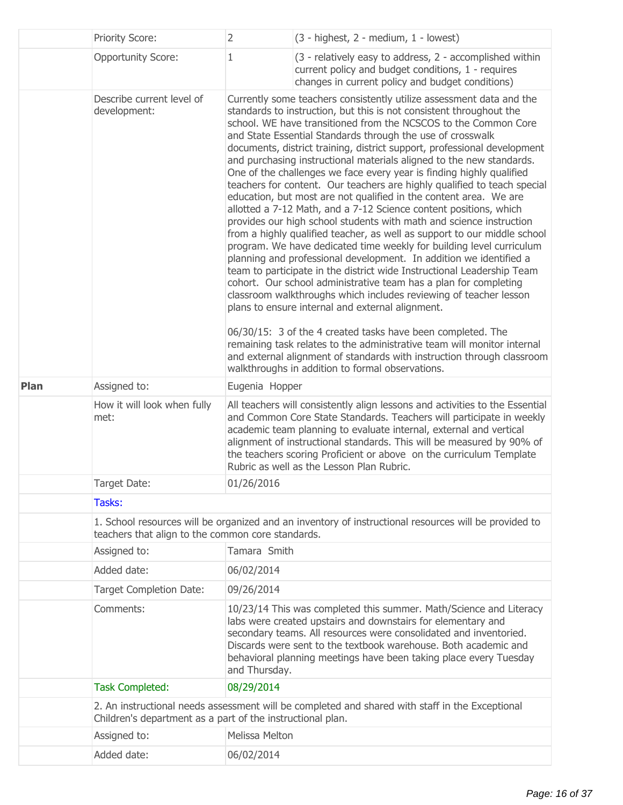|      | <b>Priority Score:</b>                                                                                                                                     | $\overline{2}$                                                                                                                                                                                                                                                                                                                                                                                                                                                                                                                                                                                                                                                                                                                                                                                                                                                                                                                                                                                                                                                                                                                                                                                                                                                                                                                                                                                                                                                                                                             | (3 - highest, 2 - medium, 1 - lowest)                                                                                                                                                                                                                                                                                                                                                                                   |  |  |
|------|------------------------------------------------------------------------------------------------------------------------------------------------------------|----------------------------------------------------------------------------------------------------------------------------------------------------------------------------------------------------------------------------------------------------------------------------------------------------------------------------------------------------------------------------------------------------------------------------------------------------------------------------------------------------------------------------------------------------------------------------------------------------------------------------------------------------------------------------------------------------------------------------------------------------------------------------------------------------------------------------------------------------------------------------------------------------------------------------------------------------------------------------------------------------------------------------------------------------------------------------------------------------------------------------------------------------------------------------------------------------------------------------------------------------------------------------------------------------------------------------------------------------------------------------------------------------------------------------------------------------------------------------------------------------------------------------|-------------------------------------------------------------------------------------------------------------------------------------------------------------------------------------------------------------------------------------------------------------------------------------------------------------------------------------------------------------------------------------------------------------------------|--|--|
|      | <b>Opportunity Score:</b>                                                                                                                                  | 1                                                                                                                                                                                                                                                                                                                                                                                                                                                                                                                                                                                                                                                                                                                                                                                                                                                                                                                                                                                                                                                                                                                                                                                                                                                                                                                                                                                                                                                                                                                          | (3 - relatively easy to address, 2 - accomplished within<br>current policy and budget conditions, 1 - requires<br>changes in current policy and budget conditions)                                                                                                                                                                                                                                                      |  |  |
|      | Describe current level of<br>development:                                                                                                                  | Currently some teachers consistently utilize assessment data and the<br>standards to instruction, but this is not consistent throughout the<br>school. WE have transitioned from the NCSCOS to the Common Core<br>and State Essential Standards through the use of crosswalk<br>documents, district training, district support, professional development<br>and purchasing instructional materials aligned to the new standards.<br>One of the challenges we face every year is finding highly qualified<br>teachers for content. Our teachers are highly qualified to teach special<br>education, but most are not qualified in the content area. We are<br>allotted a 7-12 Math, and a 7-12 Science content positions, which<br>provides our high school students with math and science instruction<br>from a highly qualified teacher, as well as support to our middle school<br>program. We have dedicated time weekly for building level curriculum<br>planning and professional development. In addition we identified a<br>team to participate in the district wide Instructional Leadership Team<br>cohort. Our school administrative team has a plan for completing<br>classroom walkthroughs which includes reviewing of teacher lesson<br>plans to ensure internal and external alignment.<br>06/30/15: 3 of the 4 created tasks have been completed. The<br>remaining task relates to the administrative team will monitor internal<br>and external alignment of standards with instruction through classroom |                                                                                                                                                                                                                                                                                                                                                                                                                         |  |  |
| Plan | Assigned to:                                                                                                                                               | Eugenia Hopper                                                                                                                                                                                                                                                                                                                                                                                                                                                                                                                                                                                                                                                                                                                                                                                                                                                                                                                                                                                                                                                                                                                                                                                                                                                                                                                                                                                                                                                                                                             | walkthroughs in addition to formal observations.                                                                                                                                                                                                                                                                                                                                                                        |  |  |
|      | How it will look when fully<br>met:                                                                                                                        |                                                                                                                                                                                                                                                                                                                                                                                                                                                                                                                                                                                                                                                                                                                                                                                                                                                                                                                                                                                                                                                                                                                                                                                                                                                                                                                                                                                                                                                                                                                            | All teachers will consistently align lessons and activities to the Essential<br>and Common Core State Standards. Teachers will participate in weekly<br>academic team planning to evaluate internal, external and vertical<br>alignment of instructional standards. This will be measured by 90% of<br>the teachers scoring Proficient or above on the curriculum Template<br>Rubric as well as the Lesson Plan Rubric. |  |  |
|      | Target Date:                                                                                                                                               | 01/26/2016                                                                                                                                                                                                                                                                                                                                                                                                                                                                                                                                                                                                                                                                                                                                                                                                                                                                                                                                                                                                                                                                                                                                                                                                                                                                                                                                                                                                                                                                                                                 |                                                                                                                                                                                                                                                                                                                                                                                                                         |  |  |
|      | Tasks:                                                                                                                                                     |                                                                                                                                                                                                                                                                                                                                                                                                                                                                                                                                                                                                                                                                                                                                                                                                                                                                                                                                                                                                                                                                                                                                                                                                                                                                                                                                                                                                                                                                                                                            |                                                                                                                                                                                                                                                                                                                                                                                                                         |  |  |
|      | 1. School resources will be organized and an inventory of instructional resources will be provided to<br>teachers that align to the common core standards. |                                                                                                                                                                                                                                                                                                                                                                                                                                                                                                                                                                                                                                                                                                                                                                                                                                                                                                                                                                                                                                                                                                                                                                                                                                                                                                                                                                                                                                                                                                                            |                                                                                                                                                                                                                                                                                                                                                                                                                         |  |  |
|      | Assigned to:                                                                                                                                               | Tamara Smith                                                                                                                                                                                                                                                                                                                                                                                                                                                                                                                                                                                                                                                                                                                                                                                                                                                                                                                                                                                                                                                                                                                                                                                                                                                                                                                                                                                                                                                                                                               |                                                                                                                                                                                                                                                                                                                                                                                                                         |  |  |
|      | Added date:                                                                                                                                                | 06/02/2014                                                                                                                                                                                                                                                                                                                                                                                                                                                                                                                                                                                                                                                                                                                                                                                                                                                                                                                                                                                                                                                                                                                                                                                                                                                                                                                                                                                                                                                                                                                 |                                                                                                                                                                                                                                                                                                                                                                                                                         |  |  |
|      | <b>Target Completion Date:</b>                                                                                                                             | 09/26/2014                                                                                                                                                                                                                                                                                                                                                                                                                                                                                                                                                                                                                                                                                                                                                                                                                                                                                                                                                                                                                                                                                                                                                                                                                                                                                                                                                                                                                                                                                                                 |                                                                                                                                                                                                                                                                                                                                                                                                                         |  |  |
|      | Comments:                                                                                                                                                  | 10/23/14 This was completed this summer. Math/Science and Literacy<br>labs were created upstairs and downstairs for elementary and<br>secondary teams. All resources were consolidated and inventoried.<br>Discards were sent to the textbook warehouse. Both academic and<br>behavioral planning meetings have been taking place every Tuesday<br>and Thursday.                                                                                                                                                                                                                                                                                                                                                                                                                                                                                                                                                                                                                                                                                                                                                                                                                                                                                                                                                                                                                                                                                                                                                           |                                                                                                                                                                                                                                                                                                                                                                                                                         |  |  |
|      | <b>Task Completed:</b>                                                                                                                                     | 08/29/2014                                                                                                                                                                                                                                                                                                                                                                                                                                                                                                                                                                                                                                                                                                                                                                                                                                                                                                                                                                                                                                                                                                                                                                                                                                                                                                                                                                                                                                                                                                                 |                                                                                                                                                                                                                                                                                                                                                                                                                         |  |  |
|      | Children's department as a part of the instructional plan.                                                                                                 |                                                                                                                                                                                                                                                                                                                                                                                                                                                                                                                                                                                                                                                                                                                                                                                                                                                                                                                                                                                                                                                                                                                                                                                                                                                                                                                                                                                                                                                                                                                            | 2. An instructional needs assessment will be completed and shared with staff in the Exceptional                                                                                                                                                                                                                                                                                                                         |  |  |
|      | Assigned to:                                                                                                                                               | Melissa Melton                                                                                                                                                                                                                                                                                                                                                                                                                                                                                                                                                                                                                                                                                                                                                                                                                                                                                                                                                                                                                                                                                                                                                                                                                                                                                                                                                                                                                                                                                                             |                                                                                                                                                                                                                                                                                                                                                                                                                         |  |  |
|      | Added date:                                                                                                                                                | 06/02/2014                                                                                                                                                                                                                                                                                                                                                                                                                                                                                                                                                                                                                                                                                                                                                                                                                                                                                                                                                                                                                                                                                                                                                                                                                                                                                                                                                                                                                                                                                                                 |                                                                                                                                                                                                                                                                                                                                                                                                                         |  |  |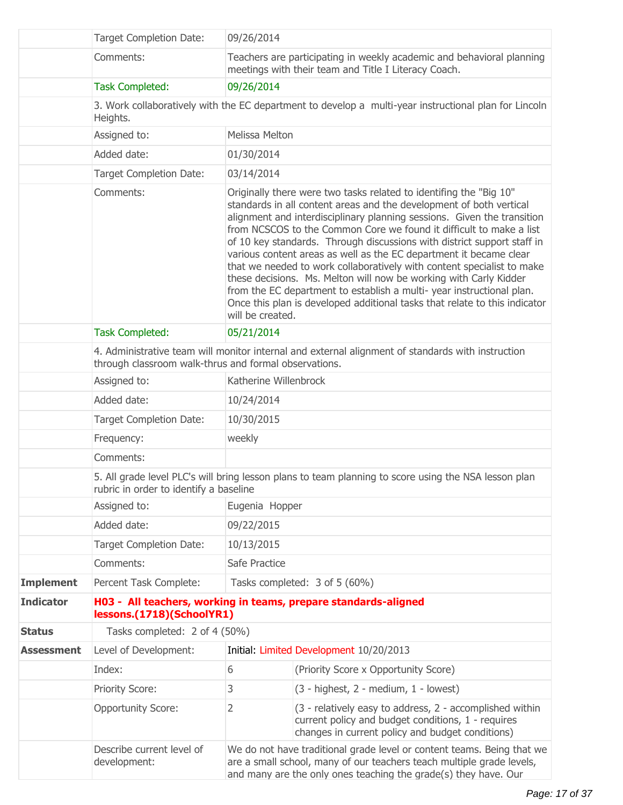|                   | <b>Target Completion Date:</b>                                                                                                                             | 09/26/2014                                                                                                                                                                                                                                                                                                                                                                                                                                                                                                                                                                                                                                                                                                                                                            |                                                                                                                                                                    |  |  |
|-------------------|------------------------------------------------------------------------------------------------------------------------------------------------------------|-----------------------------------------------------------------------------------------------------------------------------------------------------------------------------------------------------------------------------------------------------------------------------------------------------------------------------------------------------------------------------------------------------------------------------------------------------------------------------------------------------------------------------------------------------------------------------------------------------------------------------------------------------------------------------------------------------------------------------------------------------------------------|--------------------------------------------------------------------------------------------------------------------------------------------------------------------|--|--|
|                   | Comments:                                                                                                                                                  | Teachers are participating in weekly academic and behavioral planning<br>meetings with their team and Title I Literacy Coach.                                                                                                                                                                                                                                                                                                                                                                                                                                                                                                                                                                                                                                         |                                                                                                                                                                    |  |  |
|                   | <b>Task Completed:</b>                                                                                                                                     | 09/26/2014                                                                                                                                                                                                                                                                                                                                                                                                                                                                                                                                                                                                                                                                                                                                                            |                                                                                                                                                                    |  |  |
|                   | Heights.                                                                                                                                                   |                                                                                                                                                                                                                                                                                                                                                                                                                                                                                                                                                                                                                                                                                                                                                                       | 3. Work collaboratively with the EC department to develop a multi-year instructional plan for Lincoln                                                              |  |  |
|                   | Assigned to:                                                                                                                                               | Melissa Melton                                                                                                                                                                                                                                                                                                                                                                                                                                                                                                                                                                                                                                                                                                                                                        |                                                                                                                                                                    |  |  |
|                   | Added date:                                                                                                                                                | 01/30/2014                                                                                                                                                                                                                                                                                                                                                                                                                                                                                                                                                                                                                                                                                                                                                            |                                                                                                                                                                    |  |  |
|                   | <b>Target Completion Date:</b>                                                                                                                             | 03/14/2014                                                                                                                                                                                                                                                                                                                                                                                                                                                                                                                                                                                                                                                                                                                                                            |                                                                                                                                                                    |  |  |
|                   | Comments:                                                                                                                                                  | Originally there were two tasks related to identifing the "Big 10"<br>standards in all content areas and the development of both vertical<br>alignment and interdisciplinary planning sessions. Given the transition<br>from NCSCOS to the Common Core we found it difficult to make a list<br>of 10 key standards. Through discussions with district support staff in<br>various content areas as well as the EC department it became clear<br>that we needed to work collaboratively with content specialist to make<br>these decisions. Ms. Melton will now be working with Carly Kidder<br>from the EC department to establish a multi-year instructional plan.<br>Once this plan is developed additional tasks that relate to this indicator<br>will be created. |                                                                                                                                                                    |  |  |
|                   | <b>Task Completed:</b>                                                                                                                                     | 05/21/2014                                                                                                                                                                                                                                                                                                                                                                                                                                                                                                                                                                                                                                                                                                                                                            |                                                                                                                                                                    |  |  |
|                   | 4. Administrative team will monitor internal and external alignment of standards with instruction<br>through classroom walk-thrus and formal observations. |                                                                                                                                                                                                                                                                                                                                                                                                                                                                                                                                                                                                                                                                                                                                                                       |                                                                                                                                                                    |  |  |
|                   | Assigned to:                                                                                                                                               | Katherine Willenbrock                                                                                                                                                                                                                                                                                                                                                                                                                                                                                                                                                                                                                                                                                                                                                 |                                                                                                                                                                    |  |  |
|                   | Added date:                                                                                                                                                | 10/24/2014                                                                                                                                                                                                                                                                                                                                                                                                                                                                                                                                                                                                                                                                                                                                                            |                                                                                                                                                                    |  |  |
|                   | <b>Target Completion Date:</b>                                                                                                                             | 10/30/2015                                                                                                                                                                                                                                                                                                                                                                                                                                                                                                                                                                                                                                                                                                                                                            |                                                                                                                                                                    |  |  |
|                   | Frequency:                                                                                                                                                 | weekly                                                                                                                                                                                                                                                                                                                                                                                                                                                                                                                                                                                                                                                                                                                                                                |                                                                                                                                                                    |  |  |
|                   | Comments:                                                                                                                                                  |                                                                                                                                                                                                                                                                                                                                                                                                                                                                                                                                                                                                                                                                                                                                                                       |                                                                                                                                                                    |  |  |
|                   | 5. All grade level PLC's will bring lesson plans to team planning to score using the NSA lesson plan<br>rubric in order to identify a baseline             |                                                                                                                                                                                                                                                                                                                                                                                                                                                                                                                                                                                                                                                                                                                                                                       |                                                                                                                                                                    |  |  |
|                   | Assigned to:                                                                                                                                               | Eugenia Hopper                                                                                                                                                                                                                                                                                                                                                                                                                                                                                                                                                                                                                                                                                                                                                        |                                                                                                                                                                    |  |  |
|                   | Added date:                                                                                                                                                | 09/22/2015                                                                                                                                                                                                                                                                                                                                                                                                                                                                                                                                                                                                                                                                                                                                                            |                                                                                                                                                                    |  |  |
|                   | <b>Target Completion Date:</b>                                                                                                                             | 10/13/2015                                                                                                                                                                                                                                                                                                                                                                                                                                                                                                                                                                                                                                                                                                                                                            |                                                                                                                                                                    |  |  |
|                   | Comments:                                                                                                                                                  | Safe Practice                                                                                                                                                                                                                                                                                                                                                                                                                                                                                                                                                                                                                                                                                                                                                         |                                                                                                                                                                    |  |  |
| <b>Implement</b>  | Percent Task Complete:                                                                                                                                     |                                                                                                                                                                                                                                                                                                                                                                                                                                                                                                                                                                                                                                                                                                                                                                       | Tasks completed: 3 of 5 (60%)                                                                                                                                      |  |  |
| <b>Indicator</b>  | lessons.(1718)(SchoolYR1)                                                                                                                                  | H03 - All teachers, working in teams, prepare standards-aligned                                                                                                                                                                                                                                                                                                                                                                                                                                                                                                                                                                                                                                                                                                       |                                                                                                                                                                    |  |  |
| <b>Status</b>     | Tasks completed: 2 of 4 (50%)                                                                                                                              |                                                                                                                                                                                                                                                                                                                                                                                                                                                                                                                                                                                                                                                                                                                                                                       |                                                                                                                                                                    |  |  |
| <b>Assessment</b> | Level of Development:                                                                                                                                      |                                                                                                                                                                                                                                                                                                                                                                                                                                                                                                                                                                                                                                                                                                                                                                       | Initial: Limited Development 10/20/2013                                                                                                                            |  |  |
|                   | Index:                                                                                                                                                     | 6                                                                                                                                                                                                                                                                                                                                                                                                                                                                                                                                                                                                                                                                                                                                                                     | (Priority Score x Opportunity Score)                                                                                                                               |  |  |
|                   | <b>Priority Score:</b>                                                                                                                                     | 3                                                                                                                                                                                                                                                                                                                                                                                                                                                                                                                                                                                                                                                                                                                                                                     | $(3 - highest, 2 - medium, 1 - lowest)$                                                                                                                            |  |  |
|                   | <b>Opportunity Score:</b>                                                                                                                                  | 2                                                                                                                                                                                                                                                                                                                                                                                                                                                                                                                                                                                                                                                                                                                                                                     | (3 - relatively easy to address, 2 - accomplished within<br>current policy and budget conditions, 1 - requires<br>changes in current policy and budget conditions) |  |  |
|                   | Describe current level of<br>development:                                                                                                                  | We do not have traditional grade level or content teams. Being that we<br>are a small school, many of our teachers teach multiple grade levels,<br>and many are the only ones teaching the grade(s) they have. Our                                                                                                                                                                                                                                                                                                                                                                                                                                                                                                                                                    |                                                                                                                                                                    |  |  |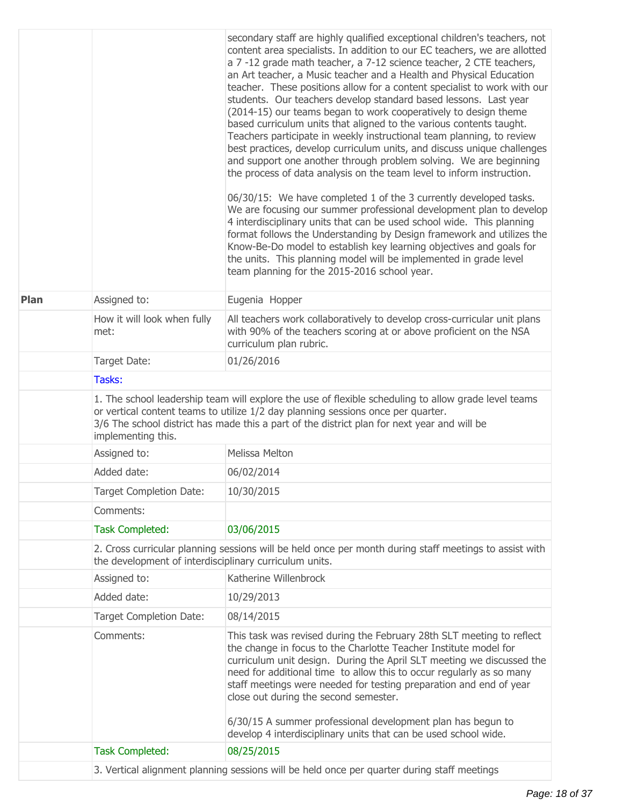|      |                                                                                                                                                                  | secondary staff are highly qualified exceptional children's teachers, not<br>content area specialists. In addition to our EC teachers, we are allotted<br>a 7 -12 grade math teacher, a 7-12 science teacher, 2 CTE teachers,<br>an Art teacher, a Music teacher and a Health and Physical Education<br>teacher. These positions allow for a content specialist to work with our<br>students. Our teachers develop standard based lessons. Last year<br>(2014-15) our teams began to work cooperatively to design theme<br>based curriculum units that aligned to the various contents taught.<br>Teachers participate in weekly instructional team planning, to review<br>best practices, develop curriculum units, and discuss unique challenges<br>and support one another through problem solving. We are beginning<br>the process of data analysis on the team level to inform instruction.<br>06/30/15: We have completed 1 of the 3 currently developed tasks.<br>We are focusing our summer professional development plan to develop<br>4 interdisciplinary units that can be used school wide. This planning<br>format follows the Understanding by Design framework and utilizes the<br>Know-Be-Do model to establish key learning objectives and goals for<br>the units. This planning model will be implemented in grade level<br>team planning for the 2015-2016 school year. |  |
|------|------------------------------------------------------------------------------------------------------------------------------------------------------------------|--------------------------------------------------------------------------------------------------------------------------------------------------------------------------------------------------------------------------------------------------------------------------------------------------------------------------------------------------------------------------------------------------------------------------------------------------------------------------------------------------------------------------------------------------------------------------------------------------------------------------------------------------------------------------------------------------------------------------------------------------------------------------------------------------------------------------------------------------------------------------------------------------------------------------------------------------------------------------------------------------------------------------------------------------------------------------------------------------------------------------------------------------------------------------------------------------------------------------------------------------------------------------------------------------------------------------------------------------------------------------------------------|--|
| Plan | Assigned to:                                                                                                                                                     | Eugenia Hopper                                                                                                                                                                                                                                                                                                                                                                                                                                                                                                                                                                                                                                                                                                                                                                                                                                                                                                                                                                                                                                                                                                                                                                                                                                                                                                                                                                             |  |
|      | How it will look when fully<br>met:                                                                                                                              | All teachers work collaboratively to develop cross-curricular unit plans<br>with 90% of the teachers scoring at or above proficient on the NSA<br>curriculum plan rubric.                                                                                                                                                                                                                                                                                                                                                                                                                                                                                                                                                                                                                                                                                                                                                                                                                                                                                                                                                                                                                                                                                                                                                                                                                  |  |
|      | Target Date:                                                                                                                                                     | 01/26/2016                                                                                                                                                                                                                                                                                                                                                                                                                                                                                                                                                                                                                                                                                                                                                                                                                                                                                                                                                                                                                                                                                                                                                                                                                                                                                                                                                                                 |  |
|      | Tasks:                                                                                                                                                           |                                                                                                                                                                                                                                                                                                                                                                                                                                                                                                                                                                                                                                                                                                                                                                                                                                                                                                                                                                                                                                                                                                                                                                                                                                                                                                                                                                                            |  |
|      | implementing this.                                                                                                                                               | 1. The school leadership team will explore the use of flexible scheduling to allow grade level teams<br>or vertical content teams to utilize 1/2 day planning sessions once per quarter.<br>3/6 The school district has made this a part of the district plan for next year and will be                                                                                                                                                                                                                                                                                                                                                                                                                                                                                                                                                                                                                                                                                                                                                                                                                                                                                                                                                                                                                                                                                                    |  |
|      | Assigned to:                                                                                                                                                     | Melissa Melton                                                                                                                                                                                                                                                                                                                                                                                                                                                                                                                                                                                                                                                                                                                                                                                                                                                                                                                                                                                                                                                                                                                                                                                                                                                                                                                                                                             |  |
|      | Added date:                                                                                                                                                      | 06/02/2014                                                                                                                                                                                                                                                                                                                                                                                                                                                                                                                                                                                                                                                                                                                                                                                                                                                                                                                                                                                                                                                                                                                                                                                                                                                                                                                                                                                 |  |
|      | <b>Target Completion Date:</b>                                                                                                                                   | 10/30/2015                                                                                                                                                                                                                                                                                                                                                                                                                                                                                                                                                                                                                                                                                                                                                                                                                                                                                                                                                                                                                                                                                                                                                                                                                                                                                                                                                                                 |  |
|      | Comments:                                                                                                                                                        |                                                                                                                                                                                                                                                                                                                                                                                                                                                                                                                                                                                                                                                                                                                                                                                                                                                                                                                                                                                                                                                                                                                                                                                                                                                                                                                                                                                            |  |
|      | <b>Task Completed:</b>                                                                                                                                           | 03/06/2015                                                                                                                                                                                                                                                                                                                                                                                                                                                                                                                                                                                                                                                                                                                                                                                                                                                                                                                                                                                                                                                                                                                                                                                                                                                                                                                                                                                 |  |
|      | 2. Cross curricular planning sessions will be held once per month during staff meetings to assist with<br>the development of interdisciplinary curriculum units. |                                                                                                                                                                                                                                                                                                                                                                                                                                                                                                                                                                                                                                                                                                                                                                                                                                                                                                                                                                                                                                                                                                                                                                                                                                                                                                                                                                                            |  |
|      | Assigned to:                                                                                                                                                     | Katherine Willenbrock                                                                                                                                                                                                                                                                                                                                                                                                                                                                                                                                                                                                                                                                                                                                                                                                                                                                                                                                                                                                                                                                                                                                                                                                                                                                                                                                                                      |  |
|      | Added date:                                                                                                                                                      | 10/29/2013                                                                                                                                                                                                                                                                                                                                                                                                                                                                                                                                                                                                                                                                                                                                                                                                                                                                                                                                                                                                                                                                                                                                                                                                                                                                                                                                                                                 |  |
|      | Target Completion Date:                                                                                                                                          | 08/14/2015                                                                                                                                                                                                                                                                                                                                                                                                                                                                                                                                                                                                                                                                                                                                                                                                                                                                                                                                                                                                                                                                                                                                                                                                                                                                                                                                                                                 |  |
|      | Comments:                                                                                                                                                        | This task was revised during the February 28th SLT meeting to reflect<br>the change in focus to the Charlotte Teacher Institute model for<br>curriculum unit design. During the April SLT meeting we discussed the<br>need for additional time to allow this to occur regularly as so many<br>staff meetings were needed for testing preparation and end of year<br>close out during the second semester.<br>6/30/15 A summer professional development plan has begun to<br>develop 4 interdisciplinary units that can be used school wide.                                                                                                                                                                                                                                                                                                                                                                                                                                                                                                                                                                                                                                                                                                                                                                                                                                                |  |
|      | <b>Task Completed:</b>                                                                                                                                           | 08/25/2015                                                                                                                                                                                                                                                                                                                                                                                                                                                                                                                                                                                                                                                                                                                                                                                                                                                                                                                                                                                                                                                                                                                                                                                                                                                                                                                                                                                 |  |
|      |                                                                                                                                                                  | 3. Vertical alignment planning sessions will be held once per quarter during staff meetings                                                                                                                                                                                                                                                                                                                                                                                                                                                                                                                                                                                                                                                                                                                                                                                                                                                                                                                                                                                                                                                                                                                                                                                                                                                                                                |  |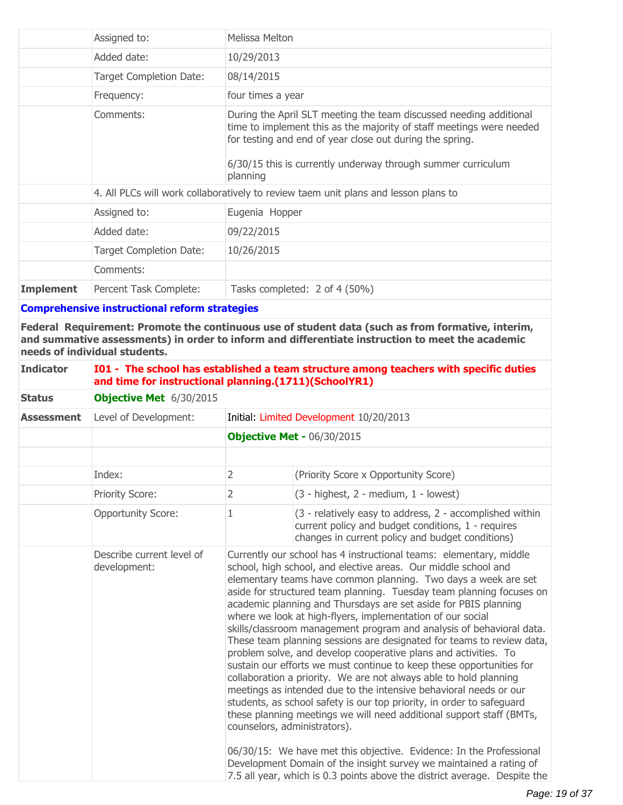|                  | Assigned to:                   | Melissa Melton                                                                                                                                                                                                                                                                     |
|------------------|--------------------------------|------------------------------------------------------------------------------------------------------------------------------------------------------------------------------------------------------------------------------------------------------------------------------------|
|                  | Added date:                    | 10/29/2013                                                                                                                                                                                                                                                                         |
|                  | <b>Target Completion Date:</b> | 08/14/2015                                                                                                                                                                                                                                                                         |
|                  | Frequency:                     | four times a year                                                                                                                                                                                                                                                                  |
|                  | Comments:                      | During the April SLT meeting the team discussed needing additional<br>time to implement this as the majority of staff meetings were needed<br>for testing and end of year close out during the spring.<br>6/30/15 this is currently underway through summer curriculum<br>planning |
|                  |                                | 4. All PLCs will work collaboratively to review taem unit plans and lesson plans to                                                                                                                                                                                                |
|                  | Assigned to:                   | Eugenia Hopper                                                                                                                                                                                                                                                                     |
|                  | Added date:                    | 09/22/2015                                                                                                                                                                                                                                                                         |
|                  | Target Completion Date:        | 10/26/2015                                                                                                                                                                                                                                                                         |
|                  | Comments:                      |                                                                                                                                                                                                                                                                                    |
| <b>Implement</b> | Percent Task Complete:         | Tasks completed: 2 of 4 (50%)                                                                                                                                                                                                                                                      |

**Comprehensive instructional reform strategies**

**Federal Requirement: Promote the continuous use of student data (such as from formative, interim, and summative assessments) in order to inform and differentiate instruction to meet the academic needs of individual students.**

| <b>Indicator</b>  | I01 - The school has established a team structure among teachers with specific duties<br>and time for instructional planning.(1711)(SchoolYR1)<br>Objective Met 6/30/2015 |                                   |                                                                                                                                                                                                                                                                                                                                                                                                                                                                                                                                                                                                                                                                                                                                                                                                                                                                                                                                                                                                                                                                                                                                                                                                                                                                  |  |
|-------------------|---------------------------------------------------------------------------------------------------------------------------------------------------------------------------|-----------------------------------|------------------------------------------------------------------------------------------------------------------------------------------------------------------------------------------------------------------------------------------------------------------------------------------------------------------------------------------------------------------------------------------------------------------------------------------------------------------------------------------------------------------------------------------------------------------------------------------------------------------------------------------------------------------------------------------------------------------------------------------------------------------------------------------------------------------------------------------------------------------------------------------------------------------------------------------------------------------------------------------------------------------------------------------------------------------------------------------------------------------------------------------------------------------------------------------------------------------------------------------------------------------|--|
| <b>Status</b>     |                                                                                                                                                                           |                                   |                                                                                                                                                                                                                                                                                                                                                                                                                                                                                                                                                                                                                                                                                                                                                                                                                                                                                                                                                                                                                                                                                                                                                                                                                                                                  |  |
| <b>Assessment</b> | Level of Development:<br>Initial: Limited Development 10/20/2013                                                                                                          |                                   |                                                                                                                                                                                                                                                                                                                                                                                                                                                                                                                                                                                                                                                                                                                                                                                                                                                                                                                                                                                                                                                                                                                                                                                                                                                                  |  |
|                   |                                                                                                                                                                           | <b>Objective Met - 06/30/2015</b> |                                                                                                                                                                                                                                                                                                                                                                                                                                                                                                                                                                                                                                                                                                                                                                                                                                                                                                                                                                                                                                                                                                                                                                                                                                                                  |  |
|                   |                                                                                                                                                                           |                                   |                                                                                                                                                                                                                                                                                                                                                                                                                                                                                                                                                                                                                                                                                                                                                                                                                                                                                                                                                                                                                                                                                                                                                                                                                                                                  |  |
|                   | Index:                                                                                                                                                                    | $\overline{2}$                    | (Priority Score x Opportunity Score)                                                                                                                                                                                                                                                                                                                                                                                                                                                                                                                                                                                                                                                                                                                                                                                                                                                                                                                                                                                                                                                                                                                                                                                                                             |  |
|                   | <b>Priority Score:</b>                                                                                                                                                    | $\overline{2}$                    | $(3 - highest, 2 - medium, 1 - lowest)$                                                                                                                                                                                                                                                                                                                                                                                                                                                                                                                                                                                                                                                                                                                                                                                                                                                                                                                                                                                                                                                                                                                                                                                                                          |  |
|                   | <b>Opportunity Score:</b>                                                                                                                                                 | 1                                 | (3 - relatively easy to address, 2 - accomplished within<br>current policy and budget conditions, 1 - requires<br>changes in current policy and budget conditions)                                                                                                                                                                                                                                                                                                                                                                                                                                                                                                                                                                                                                                                                                                                                                                                                                                                                                                                                                                                                                                                                                               |  |
|                   | Describe current level of<br>development:                                                                                                                                 |                                   | Currently our school has 4 instructional teams: elementary, middle<br>school, high school, and elective areas. Our middle school and<br>elementary teams have common planning. Two days a week are set<br>aside for structured team planning. Tuesday team planning focuses on<br>academic planning and Thursdays are set aside for PBIS planning<br>where we look at high-flyers, implementation of our social<br>skills/classroom management program and analysis of behavioral data.<br>These team planning sessions are designated for teams to review data,<br>problem solve, and develop cooperative plans and activities. To<br>sustain our efforts we must continue to keep these opportunities for<br>collaboration a priority. We are not always able to hold planning<br>meetings as intended due to the intensive behavioral needs or our<br>students, as school safety is our top priority, in order to safeguard<br>these planning meetings we will need additional support staff (BMTs,<br>counselors, administrators).<br>06/30/15: We have met this objective. Evidence: In the Professional<br>Development Domain of the insight survey we maintained a rating of<br>7.5 all year, which is 0.3 points above the district average. Despite the |  |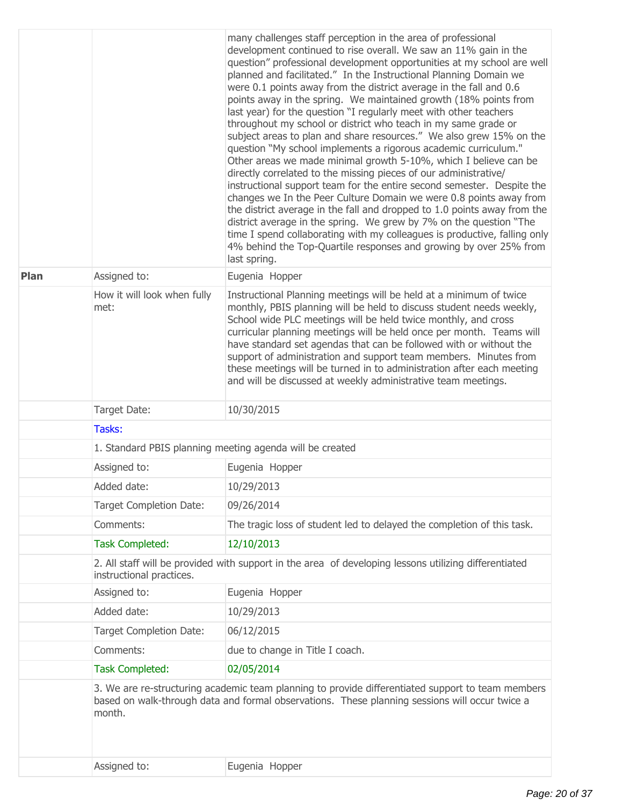|      |                                     | many challenges staff perception in the area of professional<br>development continued to rise overall. We saw an 11% gain in the<br>question" professional development opportunities at my school are well<br>planned and facilitated." In the Instructional Planning Domain we<br>were 0.1 points away from the district average in the fall and 0.6<br>points away in the spring. We maintained growth (18% points from<br>last year) for the question "I regularly meet with other teachers<br>throughout my school or district who teach in my same grade or<br>subject areas to plan and share resources." We also grew 15% on the<br>question "My school implements a rigorous academic curriculum."<br>Other areas we made minimal growth 5-10%, which I believe can be<br>directly correlated to the missing pieces of our administrative/<br>instructional support team for the entire second semester. Despite the<br>changes we In the Peer Culture Domain we were 0.8 points away from<br>the district average in the fall and dropped to 1.0 points away from the<br>district average in the spring. We grew by 7% on the question "The<br>time I spend collaborating with my colleagues is productive, falling only<br>4% behind the Top-Quartile responses and growing by over 25% from<br>last spring. |  |  |
|------|-------------------------------------|------------------------------------------------------------------------------------------------------------------------------------------------------------------------------------------------------------------------------------------------------------------------------------------------------------------------------------------------------------------------------------------------------------------------------------------------------------------------------------------------------------------------------------------------------------------------------------------------------------------------------------------------------------------------------------------------------------------------------------------------------------------------------------------------------------------------------------------------------------------------------------------------------------------------------------------------------------------------------------------------------------------------------------------------------------------------------------------------------------------------------------------------------------------------------------------------------------------------------------------------------------------------------------------------------------------------|--|--|
| Plan | Assigned to:                        | Eugenia Hopper                                                                                                                                                                                                                                                                                                                                                                                                                                                                                                                                                                                                                                                                                                                                                                                                                                                                                                                                                                                                                                                                                                                                                                                                                                                                                                         |  |  |
|      | How it will look when fully<br>met: | Instructional Planning meetings will be held at a minimum of twice<br>monthly, PBIS planning will be held to discuss student needs weekly,<br>School wide PLC meetings will be held twice monthly, and cross<br>curricular planning meetings will be held once per month. Teams will<br>have standard set agendas that can be followed with or without the<br>support of administration and support team members. Minutes from<br>these meetings will be turned in to administration after each meeting<br>and will be discussed at weekly administrative team meetings.                                                                                                                                                                                                                                                                                                                                                                                                                                                                                                                                                                                                                                                                                                                                               |  |  |
|      | Target Date:                        | 10/30/2015                                                                                                                                                                                                                                                                                                                                                                                                                                                                                                                                                                                                                                                                                                                                                                                                                                                                                                                                                                                                                                                                                                                                                                                                                                                                                                             |  |  |
|      | Tasks:                              |                                                                                                                                                                                                                                                                                                                                                                                                                                                                                                                                                                                                                                                                                                                                                                                                                                                                                                                                                                                                                                                                                                                                                                                                                                                                                                                        |  |  |
|      |                                     | 1. Standard PBIS planning meeting agenda will be created                                                                                                                                                                                                                                                                                                                                                                                                                                                                                                                                                                                                                                                                                                                                                                                                                                                                                                                                                                                                                                                                                                                                                                                                                                                               |  |  |
|      | Assigned to:                        | Eugenia Hopper                                                                                                                                                                                                                                                                                                                                                                                                                                                                                                                                                                                                                                                                                                                                                                                                                                                                                                                                                                                                                                                                                                                                                                                                                                                                                                         |  |  |
|      | Added date:                         | 10/29/2013                                                                                                                                                                                                                                                                                                                                                                                                                                                                                                                                                                                                                                                                                                                                                                                                                                                                                                                                                                                                                                                                                                                                                                                                                                                                                                             |  |  |
|      | <b>Target Completion Date:</b>      | 09/26/2014                                                                                                                                                                                                                                                                                                                                                                                                                                                                                                                                                                                                                                                                                                                                                                                                                                                                                                                                                                                                                                                                                                                                                                                                                                                                                                             |  |  |
|      | Comments:                           | The tragic loss of student led to delayed the completion of this task.                                                                                                                                                                                                                                                                                                                                                                                                                                                                                                                                                                                                                                                                                                                                                                                                                                                                                                                                                                                                                                                                                                                                                                                                                                                 |  |  |
|      | <b>Task Completed:</b>              | 12/10/2013                                                                                                                                                                                                                                                                                                                                                                                                                                                                                                                                                                                                                                                                                                                                                                                                                                                                                                                                                                                                                                                                                                                                                                                                                                                                                                             |  |  |
|      | instructional practices.            | 2. All staff will be provided with support in the area of developing lessons utilizing differentiated                                                                                                                                                                                                                                                                                                                                                                                                                                                                                                                                                                                                                                                                                                                                                                                                                                                                                                                                                                                                                                                                                                                                                                                                                  |  |  |
|      | Assigned to:                        | Eugenia Hopper                                                                                                                                                                                                                                                                                                                                                                                                                                                                                                                                                                                                                                                                                                                                                                                                                                                                                                                                                                                                                                                                                                                                                                                                                                                                                                         |  |  |
|      | Added date:                         | 10/29/2013                                                                                                                                                                                                                                                                                                                                                                                                                                                                                                                                                                                                                                                                                                                                                                                                                                                                                                                                                                                                                                                                                                                                                                                                                                                                                                             |  |  |
|      | <b>Target Completion Date:</b>      | 06/12/2015                                                                                                                                                                                                                                                                                                                                                                                                                                                                                                                                                                                                                                                                                                                                                                                                                                                                                                                                                                                                                                                                                                                                                                                                                                                                                                             |  |  |
|      | Comments:                           | due to change in Title I coach.                                                                                                                                                                                                                                                                                                                                                                                                                                                                                                                                                                                                                                                                                                                                                                                                                                                                                                                                                                                                                                                                                                                                                                                                                                                                                        |  |  |
|      | <b>Task Completed:</b>              | 02/05/2014                                                                                                                                                                                                                                                                                                                                                                                                                                                                                                                                                                                                                                                                                                                                                                                                                                                                                                                                                                                                                                                                                                                                                                                                                                                                                                             |  |  |
|      | month.                              | 3. We are re-structuring academic team planning to provide differentiated support to team members<br>based on walk-through data and formal observations. These planning sessions will occur twice a                                                                                                                                                                                                                                                                                                                                                                                                                                                                                                                                                                                                                                                                                                                                                                                                                                                                                                                                                                                                                                                                                                                    |  |  |
|      | Assigned to:                        | Eugenia Hopper                                                                                                                                                                                                                                                                                                                                                                                                                                                                                                                                                                                                                                                                                                                                                                                                                                                                                                                                                                                                                                                                                                                                                                                                                                                                                                         |  |  |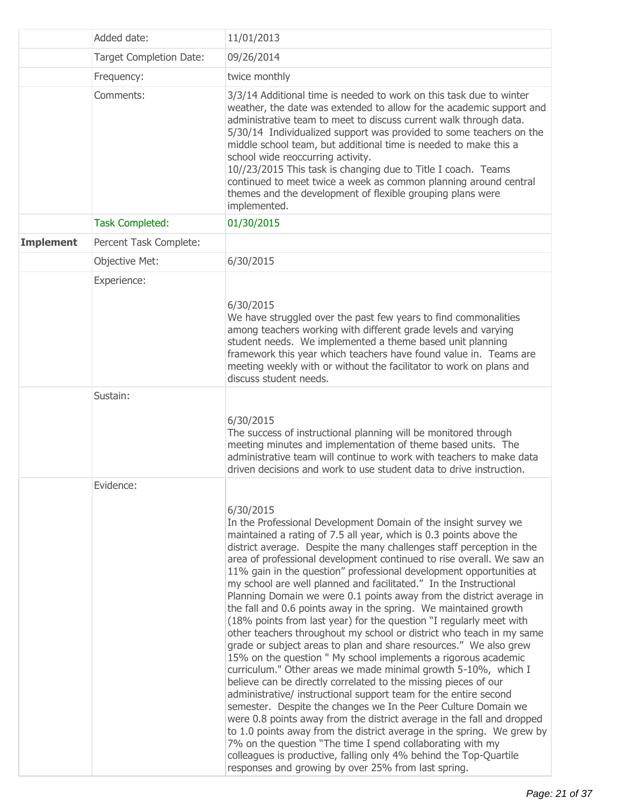|                  | Added date:                    | 11/01/2013                                                                                                                                                                                                                                                                                                                                                                                                                                                                                                                                                                                                                                                                                                                                                                                                                                                                                                                                                                                                                                                                                                                                                                                                                                                                                                                                                                                                                                                                                                  |  |
|------------------|--------------------------------|-------------------------------------------------------------------------------------------------------------------------------------------------------------------------------------------------------------------------------------------------------------------------------------------------------------------------------------------------------------------------------------------------------------------------------------------------------------------------------------------------------------------------------------------------------------------------------------------------------------------------------------------------------------------------------------------------------------------------------------------------------------------------------------------------------------------------------------------------------------------------------------------------------------------------------------------------------------------------------------------------------------------------------------------------------------------------------------------------------------------------------------------------------------------------------------------------------------------------------------------------------------------------------------------------------------------------------------------------------------------------------------------------------------------------------------------------------------------------------------------------------------|--|
|                  | <b>Target Completion Date:</b> | 09/26/2014                                                                                                                                                                                                                                                                                                                                                                                                                                                                                                                                                                                                                                                                                                                                                                                                                                                                                                                                                                                                                                                                                                                                                                                                                                                                                                                                                                                                                                                                                                  |  |
|                  | Frequency:                     | twice monthly                                                                                                                                                                                                                                                                                                                                                                                                                                                                                                                                                                                                                                                                                                                                                                                                                                                                                                                                                                                                                                                                                                                                                                                                                                                                                                                                                                                                                                                                                               |  |
|                  | Comments:                      | 3/3/14 Additional time is needed to work on this task due to winter<br>weather, the date was extended to allow for the academic support and<br>administrative team to meet to discuss current walk through data.<br>5/30/14 Individualized support was provided to some teachers on the<br>middle school team, but additional time is needed to make this a<br>school wide reoccurring activity.<br>10//23/2015 This task is changing due to Title I coach. Teams<br>continued to meet twice a week as common planning around central<br>themes and the development of flexible grouping plans were<br>implemented.                                                                                                                                                                                                                                                                                                                                                                                                                                                                                                                                                                                                                                                                                                                                                                                                                                                                                         |  |
|                  | <b>Task Completed:</b>         | 01/30/2015                                                                                                                                                                                                                                                                                                                                                                                                                                                                                                                                                                                                                                                                                                                                                                                                                                                                                                                                                                                                                                                                                                                                                                                                                                                                                                                                                                                                                                                                                                  |  |
| <b>Implement</b> | Percent Task Complete:         |                                                                                                                                                                                                                                                                                                                                                                                                                                                                                                                                                                                                                                                                                                                                                                                                                                                                                                                                                                                                                                                                                                                                                                                                                                                                                                                                                                                                                                                                                                             |  |
|                  | Objective Met:                 | 6/30/2015                                                                                                                                                                                                                                                                                                                                                                                                                                                                                                                                                                                                                                                                                                                                                                                                                                                                                                                                                                                                                                                                                                                                                                                                                                                                                                                                                                                                                                                                                                   |  |
|                  | Experience:                    | 6/30/2015<br>We have struggled over the past few years to find commonalities<br>among teachers working with different grade levels and varying<br>student needs. We implemented a theme based unit planning<br>framework this year which teachers have found value in. Teams are<br>meeting weekly with or without the facilitator to work on plans and<br>discuss student needs.                                                                                                                                                                                                                                                                                                                                                                                                                                                                                                                                                                                                                                                                                                                                                                                                                                                                                                                                                                                                                                                                                                                           |  |
|                  | Sustain:                       | 6/30/2015<br>The success of instructional planning will be monitored through<br>meeting minutes and implementation of theme based units. The<br>administrative team will continue to work with teachers to make data<br>driven decisions and work to use student data to drive instruction.                                                                                                                                                                                                                                                                                                                                                                                                                                                                                                                                                                                                                                                                                                                                                                                                                                                                                                                                                                                                                                                                                                                                                                                                                 |  |
|                  | Evidence:                      | 6/30/2015<br>In the Professional Development Domain of the insight survey we<br>maintained a rating of 7.5 all year, which is 0.3 points above the<br>district average. Despite the many challenges staff perception in the<br>area of professional development continued to rise overall. We saw an<br>11% gain in the question" professional development opportunities at<br>my school are well planned and facilitated." In the Instructional<br>Planning Domain we were 0.1 points away from the district average in<br>the fall and 0.6 points away in the spring. We maintained growth<br>(18% points from last year) for the question "I regularly meet with<br>other teachers throughout my school or district who teach in my same<br>grade or subject areas to plan and share resources." We also grew<br>15% on the question " My school implements a rigorous academic<br>curriculum." Other areas we made minimal growth 5-10%, which I<br>believe can be directly correlated to the missing pieces of our<br>administrative/ instructional support team for the entire second<br>semester. Despite the changes we In the Peer Culture Domain we<br>were 0.8 points away from the district average in the fall and dropped<br>to 1.0 points away from the district average in the spring. We grew by<br>7% on the question "The time I spend collaborating with my<br>colleagues is productive, falling only 4% behind the Top-Quartile<br>responses and growing by over 25% from last spring. |  |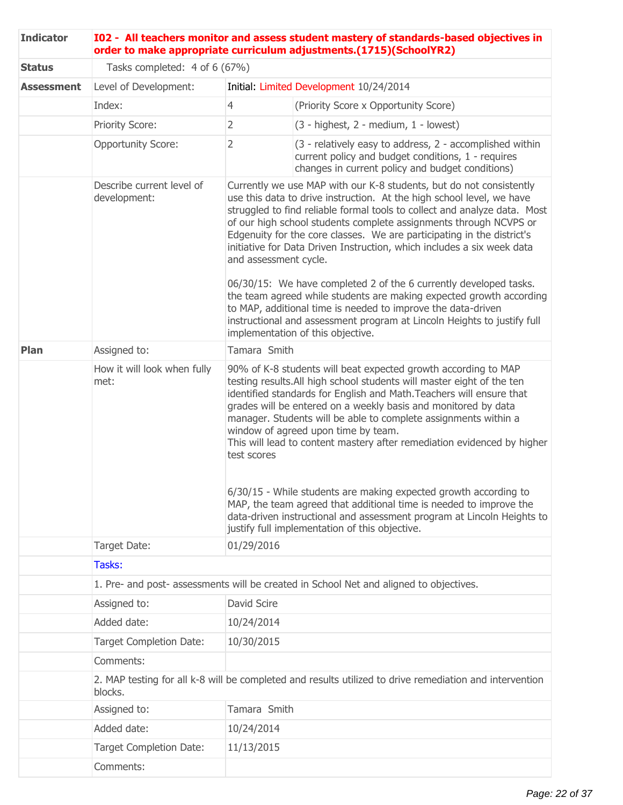| <b>Indicator</b>  | I02 - All teachers monitor and assess student mastery of standards-based objectives in<br>order to make appropriate curriculum adjustments.(1715)(SchoolYR2) |                                                                                                                                                                                                                                                                                                                                                                                                                                                                                                                                                                                                                                                                                                                                                              |                                                                                                                                                                                                                                                                                                                                                                                                                                                                                                                                                                                                                                                                                                                                                                                |  |
|-------------------|--------------------------------------------------------------------------------------------------------------------------------------------------------------|--------------------------------------------------------------------------------------------------------------------------------------------------------------------------------------------------------------------------------------------------------------------------------------------------------------------------------------------------------------------------------------------------------------------------------------------------------------------------------------------------------------------------------------------------------------------------------------------------------------------------------------------------------------------------------------------------------------------------------------------------------------|--------------------------------------------------------------------------------------------------------------------------------------------------------------------------------------------------------------------------------------------------------------------------------------------------------------------------------------------------------------------------------------------------------------------------------------------------------------------------------------------------------------------------------------------------------------------------------------------------------------------------------------------------------------------------------------------------------------------------------------------------------------------------------|--|
| <b>Status</b>     | Tasks completed: 4 of 6 (67%)                                                                                                                                |                                                                                                                                                                                                                                                                                                                                                                                                                                                                                                                                                                                                                                                                                                                                                              |                                                                                                                                                                                                                                                                                                                                                                                                                                                                                                                                                                                                                                                                                                                                                                                |  |
| <b>Assessment</b> | Level of Development:                                                                                                                                        |                                                                                                                                                                                                                                                                                                                                                                                                                                                                                                                                                                                                                                                                                                                                                              | Initial: Limited Development 10/24/2014                                                                                                                                                                                                                                                                                                                                                                                                                                                                                                                                                                                                                                                                                                                                        |  |
|                   | Index:                                                                                                                                                       | $\overline{4}$                                                                                                                                                                                                                                                                                                                                                                                                                                                                                                                                                                                                                                                                                                                                               | (Priority Score x Opportunity Score)                                                                                                                                                                                                                                                                                                                                                                                                                                                                                                                                                                                                                                                                                                                                           |  |
|                   | <b>Priority Score:</b>                                                                                                                                       | 2                                                                                                                                                                                                                                                                                                                                                                                                                                                                                                                                                                                                                                                                                                                                                            | $(3 - highest, 2 - medium, 1 - lowest)$                                                                                                                                                                                                                                                                                                                                                                                                                                                                                                                                                                                                                                                                                                                                        |  |
|                   | <b>Opportunity Score:</b>                                                                                                                                    | 2                                                                                                                                                                                                                                                                                                                                                                                                                                                                                                                                                                                                                                                                                                                                                            | (3 - relatively easy to address, 2 - accomplished within<br>current policy and budget conditions, 1 - requires<br>changes in current policy and budget conditions)                                                                                                                                                                                                                                                                                                                                                                                                                                                                                                                                                                                                             |  |
|                   | Describe current level of<br>development:                                                                                                                    | and assessment cycle.                                                                                                                                                                                                                                                                                                                                                                                                                                                                                                                                                                                                                                                                                                                                        | Currently we use MAP with our K-8 students, but do not consistently<br>use this data to drive instruction. At the high school level, we have<br>struggled to find reliable formal tools to collect and analyze data. Most<br>of our high school students complete assignments through NCVPS or<br>Edgenuity for the core classes. We are participating in the district's<br>initiative for Data Driven Instruction, which includes a six week data<br>06/30/15: We have completed 2 of the 6 currently developed tasks.<br>the team agreed while students are making expected growth according<br>to MAP, additional time is needed to improve the data-driven<br>instructional and assessment program at Lincoln Heights to justify full<br>implementation of this objective. |  |
| Plan              | Assigned to:                                                                                                                                                 | Tamara Smith                                                                                                                                                                                                                                                                                                                                                                                                                                                                                                                                                                                                                                                                                                                                                 |                                                                                                                                                                                                                                                                                                                                                                                                                                                                                                                                                                                                                                                                                                                                                                                |  |
|                   | How it will look when fully<br>met:                                                                                                                          | 90% of K-8 students will beat expected growth according to MAP<br>testing results. All high school students will master eight of the ten<br>identified standards for English and Math. Teachers will ensure that<br>grades will be entered on a weekly basis and monitored by data<br>manager. Students will be able to complete assignments within a<br>window of agreed upon time by team.<br>This will lead to content mastery after remediation evidenced by higher<br>test scores<br>6/30/15 - While students are making expected growth according to<br>MAP, the team agreed that additional time is needed to improve the<br>data-driven instructional and assessment program at Lincoln Heights to<br>justify full implementation of this objective. |                                                                                                                                                                                                                                                                                                                                                                                                                                                                                                                                                                                                                                                                                                                                                                                |  |
|                   | Target Date:                                                                                                                                                 | 01/29/2016                                                                                                                                                                                                                                                                                                                                                                                                                                                                                                                                                                                                                                                                                                                                                   |                                                                                                                                                                                                                                                                                                                                                                                                                                                                                                                                                                                                                                                                                                                                                                                |  |
|                   | Tasks:                                                                                                                                                       |                                                                                                                                                                                                                                                                                                                                                                                                                                                                                                                                                                                                                                                                                                                                                              |                                                                                                                                                                                                                                                                                                                                                                                                                                                                                                                                                                                                                                                                                                                                                                                |  |
|                   |                                                                                                                                                              |                                                                                                                                                                                                                                                                                                                                                                                                                                                                                                                                                                                                                                                                                                                                                              | 1. Pre- and post- assessments will be created in School Net and aligned to objectives.                                                                                                                                                                                                                                                                                                                                                                                                                                                                                                                                                                                                                                                                                         |  |
|                   | Assigned to:                                                                                                                                                 | David Scire                                                                                                                                                                                                                                                                                                                                                                                                                                                                                                                                                                                                                                                                                                                                                  |                                                                                                                                                                                                                                                                                                                                                                                                                                                                                                                                                                                                                                                                                                                                                                                |  |
|                   | Added date:                                                                                                                                                  | 10/24/2014                                                                                                                                                                                                                                                                                                                                                                                                                                                                                                                                                                                                                                                                                                                                                   |                                                                                                                                                                                                                                                                                                                                                                                                                                                                                                                                                                                                                                                                                                                                                                                |  |
|                   | Target Completion Date:                                                                                                                                      | 10/30/2015                                                                                                                                                                                                                                                                                                                                                                                                                                                                                                                                                                                                                                                                                                                                                   |                                                                                                                                                                                                                                                                                                                                                                                                                                                                                                                                                                                                                                                                                                                                                                                |  |
|                   | Comments:                                                                                                                                                    |                                                                                                                                                                                                                                                                                                                                                                                                                                                                                                                                                                                                                                                                                                                                                              |                                                                                                                                                                                                                                                                                                                                                                                                                                                                                                                                                                                                                                                                                                                                                                                |  |
|                   | blocks.                                                                                                                                                      |                                                                                                                                                                                                                                                                                                                                                                                                                                                                                                                                                                                                                                                                                                                                                              | 2. MAP testing for all k-8 will be completed and results utilized to drive remediation and intervention                                                                                                                                                                                                                                                                                                                                                                                                                                                                                                                                                                                                                                                                        |  |
|                   | Assigned to:                                                                                                                                                 | Tamara Smith                                                                                                                                                                                                                                                                                                                                                                                                                                                                                                                                                                                                                                                                                                                                                 |                                                                                                                                                                                                                                                                                                                                                                                                                                                                                                                                                                                                                                                                                                                                                                                |  |
|                   | Added date:                                                                                                                                                  | 10/24/2014                                                                                                                                                                                                                                                                                                                                                                                                                                                                                                                                                                                                                                                                                                                                                   |                                                                                                                                                                                                                                                                                                                                                                                                                                                                                                                                                                                                                                                                                                                                                                                |  |
|                   | <b>Target Completion Date:</b>                                                                                                                               | 11/13/2015                                                                                                                                                                                                                                                                                                                                                                                                                                                                                                                                                                                                                                                                                                                                                   |                                                                                                                                                                                                                                                                                                                                                                                                                                                                                                                                                                                                                                                                                                                                                                                |  |
|                   | Comments:                                                                                                                                                    |                                                                                                                                                                                                                                                                                                                                                                                                                                                                                                                                                                                                                                                                                                                                                              |                                                                                                                                                                                                                                                                                                                                                                                                                                                                                                                                                                                                                                                                                                                                                                                |  |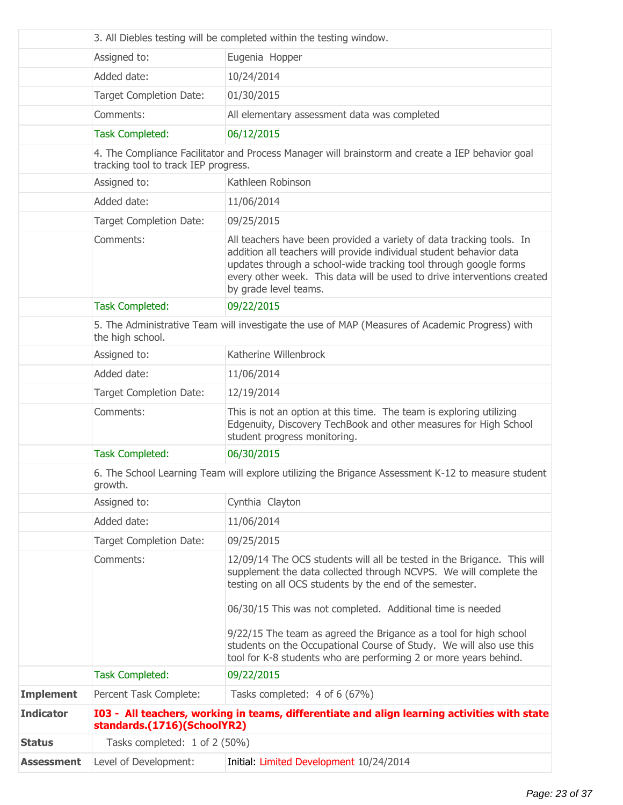|                   |                                      | 3. All Diebles testing will be completed within the testing window.                                                                                                                                                                                                                                                 |
|-------------------|--------------------------------------|---------------------------------------------------------------------------------------------------------------------------------------------------------------------------------------------------------------------------------------------------------------------------------------------------------------------|
|                   | Assigned to:                         | Eugenia Hopper                                                                                                                                                                                                                                                                                                      |
|                   | Added date:                          | 10/24/2014                                                                                                                                                                                                                                                                                                          |
|                   | <b>Target Completion Date:</b>       | 01/30/2015                                                                                                                                                                                                                                                                                                          |
|                   | Comments:                            | All elementary assessment data was completed                                                                                                                                                                                                                                                                        |
|                   | <b>Task Completed:</b>               | 06/12/2015                                                                                                                                                                                                                                                                                                          |
|                   | tracking tool to track IEP progress. | 4. The Compliance Facilitator and Process Manager will brainstorm and create a IEP behavior goal                                                                                                                                                                                                                    |
|                   | Assigned to:                         | Kathleen Robinson                                                                                                                                                                                                                                                                                                   |
|                   | Added date:                          | 11/06/2014                                                                                                                                                                                                                                                                                                          |
|                   | <b>Target Completion Date:</b>       | 09/25/2015                                                                                                                                                                                                                                                                                                          |
|                   | Comments:                            | All teachers have been provided a variety of data tracking tools. In<br>addition all teachers will provide individual student behavior data<br>updates through a school-wide tracking tool through google forms<br>every other week. This data will be used to drive interventions created<br>by grade level teams. |
|                   | <b>Task Completed:</b>               | 09/22/2015                                                                                                                                                                                                                                                                                                          |
|                   | the high school.                     | 5. The Administrative Team will investigate the use of MAP (Measures of Academic Progress) with                                                                                                                                                                                                                     |
|                   | Assigned to:                         | Katherine Willenbrock                                                                                                                                                                                                                                                                                               |
|                   | Added date:                          | 11/06/2014                                                                                                                                                                                                                                                                                                          |
|                   | <b>Target Completion Date:</b>       | 12/19/2014                                                                                                                                                                                                                                                                                                          |
|                   | Comments:                            | This is not an option at this time. The team is exploring utilizing<br>Edgenuity, Discovery TechBook and other measures for High School<br>student progress monitoring.                                                                                                                                             |
|                   | <b>Task Completed:</b>               | 06/30/2015                                                                                                                                                                                                                                                                                                          |
|                   | growth.                              | 6. The School Learning Team will explore utilizing the Brigance Assessment K-12 to measure student                                                                                                                                                                                                                  |
|                   | Assigned to:                         | Cynthia Clayton                                                                                                                                                                                                                                                                                                     |
|                   | Added date:                          | 11/06/2014                                                                                                                                                                                                                                                                                                          |
|                   | <b>Target Completion Date:</b>       | 09/25/2015                                                                                                                                                                                                                                                                                                          |
|                   | Comments:                            | 12/09/14 The OCS students will all be tested in the Brigance. This will<br>supplement the data collected through NCVPS. We will complete the<br>testing on all OCS students by the end of the semester.                                                                                                             |
|                   |                                      | 06/30/15 This was not completed. Additional time is needed                                                                                                                                                                                                                                                          |
|                   |                                      | 9/22/15 The team as agreed the Brigance as a tool for high school<br>students on the Occupational Course of Study. We will also use this<br>tool for K-8 students who are performing 2 or more years behind.                                                                                                        |
|                   | <b>Task Completed:</b>               | 09/22/2015                                                                                                                                                                                                                                                                                                          |
| <b>Implement</b>  | Percent Task Complete:               | Tasks completed: 4 of 6 (67%)                                                                                                                                                                                                                                                                                       |
| <b>Indicator</b>  | standards.(1716)(SchoolYR2)          | I03 - All teachers, working in teams, differentiate and align learning activities with state                                                                                                                                                                                                                        |
| <b>Status</b>     | Tasks completed: 1 of 2 (50%)        |                                                                                                                                                                                                                                                                                                                     |
| <b>Assessment</b> | Level of Development:                | Initial: Limited Development 10/24/2014                                                                                                                                                                                                                                                                             |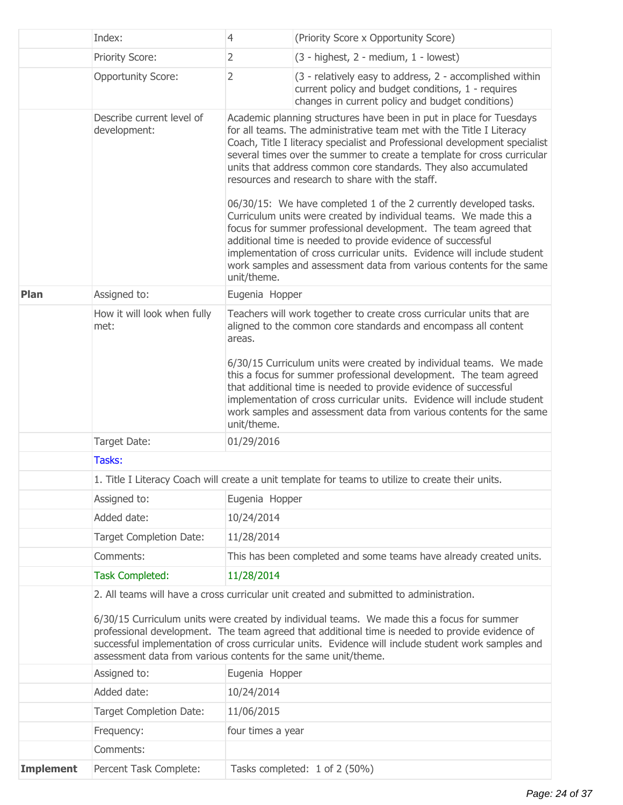|                  | Index:                                                                                                                                                                                                                                                                                                                                                                                                                                                            | $\overline{4}$        | (Priority Score x Opportunity Score)                                                                                                                                                                                                                                                                                                                                                                                                                                                                                                                                                                                                                                                                                                                                                                                                                     |
|------------------|-------------------------------------------------------------------------------------------------------------------------------------------------------------------------------------------------------------------------------------------------------------------------------------------------------------------------------------------------------------------------------------------------------------------------------------------------------------------|-----------------------|----------------------------------------------------------------------------------------------------------------------------------------------------------------------------------------------------------------------------------------------------------------------------------------------------------------------------------------------------------------------------------------------------------------------------------------------------------------------------------------------------------------------------------------------------------------------------------------------------------------------------------------------------------------------------------------------------------------------------------------------------------------------------------------------------------------------------------------------------------|
|                  | Priority Score:                                                                                                                                                                                                                                                                                                                                                                                                                                                   | $\overline{2}$        | $(3 - highest, 2 - medium, 1 - lowest)$                                                                                                                                                                                                                                                                                                                                                                                                                                                                                                                                                                                                                                                                                                                                                                                                                  |
|                  | <b>Opportunity Score:</b>                                                                                                                                                                                                                                                                                                                                                                                                                                         | $\overline{2}$        | (3 - relatively easy to address, 2 - accomplished within<br>current policy and budget conditions, 1 - requires<br>changes in current policy and budget conditions)                                                                                                                                                                                                                                                                                                                                                                                                                                                                                                                                                                                                                                                                                       |
|                  | Describe current level of<br>development:                                                                                                                                                                                                                                                                                                                                                                                                                         | unit/theme.           | Academic planning structures have been in put in place for Tuesdays<br>for all teams. The administrative team met with the Title I Literacy<br>Coach, Title I literacy specialist and Professional development specialist<br>several times over the summer to create a template for cross curricular<br>units that address common core standards. They also accumulated<br>resources and research to share with the staff.<br>06/30/15: We have completed 1 of the 2 currently developed tasks.<br>Curriculum units were created by individual teams. We made this a<br>focus for summer professional development. The team agreed that<br>additional time is needed to provide evidence of successful<br>implementation of cross curricular units. Evidence will include student<br>work samples and assessment data from various contents for the same |
| Plan             | Assigned to:                                                                                                                                                                                                                                                                                                                                                                                                                                                      | Eugenia Hopper        |                                                                                                                                                                                                                                                                                                                                                                                                                                                                                                                                                                                                                                                                                                                                                                                                                                                          |
|                  | How it will look when fully<br>met:                                                                                                                                                                                                                                                                                                                                                                                                                               | areas.<br>unit/theme. | Teachers will work together to create cross curricular units that are<br>aligned to the common core standards and encompass all content<br>6/30/15 Curriculum units were created by individual teams. We made<br>this a focus for summer professional development. The team agreed<br>that additional time is needed to provide evidence of successful<br>implementation of cross curricular units. Evidence will include student<br>work samples and assessment data from various contents for the same                                                                                                                                                                                                                                                                                                                                                 |
|                  | Target Date:                                                                                                                                                                                                                                                                                                                                                                                                                                                      | 01/29/2016            |                                                                                                                                                                                                                                                                                                                                                                                                                                                                                                                                                                                                                                                                                                                                                                                                                                                          |
|                  | Tasks:                                                                                                                                                                                                                                                                                                                                                                                                                                                            |                       |                                                                                                                                                                                                                                                                                                                                                                                                                                                                                                                                                                                                                                                                                                                                                                                                                                                          |
|                  |                                                                                                                                                                                                                                                                                                                                                                                                                                                                   |                       | 1. Title I Literacy Coach will create a unit template for teams to utilize to create their units.                                                                                                                                                                                                                                                                                                                                                                                                                                                                                                                                                                                                                                                                                                                                                        |
|                  | Assigned to:                                                                                                                                                                                                                                                                                                                                                                                                                                                      | Eugenia Hopper        |                                                                                                                                                                                                                                                                                                                                                                                                                                                                                                                                                                                                                                                                                                                                                                                                                                                          |
|                  | Added date:                                                                                                                                                                                                                                                                                                                                                                                                                                                       | 10/24/2014            |                                                                                                                                                                                                                                                                                                                                                                                                                                                                                                                                                                                                                                                                                                                                                                                                                                                          |
|                  | Target Completion Date:                                                                                                                                                                                                                                                                                                                                                                                                                                           | 11/28/2014            |                                                                                                                                                                                                                                                                                                                                                                                                                                                                                                                                                                                                                                                                                                                                                                                                                                                          |
|                  | Comments:                                                                                                                                                                                                                                                                                                                                                                                                                                                         |                       | This has been completed and some teams have already created units.                                                                                                                                                                                                                                                                                                                                                                                                                                                                                                                                                                                                                                                                                                                                                                                       |
|                  | <b>Task Completed:</b>                                                                                                                                                                                                                                                                                                                                                                                                                                            | 11/28/2014            |                                                                                                                                                                                                                                                                                                                                                                                                                                                                                                                                                                                                                                                                                                                                                                                                                                                          |
|                  | 2. All teams will have a cross curricular unit created and submitted to administration.<br>6/30/15 Curriculum units were created by individual teams. We made this a focus for summer<br>professional development. The team agreed that additional time is needed to provide evidence of<br>successful implementation of cross curricular units. Evidence will include student work samples and<br>assessment data from various contents for the same unit/theme. |                       |                                                                                                                                                                                                                                                                                                                                                                                                                                                                                                                                                                                                                                                                                                                                                                                                                                                          |
|                  | Assigned to:                                                                                                                                                                                                                                                                                                                                                                                                                                                      | Eugenia Hopper        |                                                                                                                                                                                                                                                                                                                                                                                                                                                                                                                                                                                                                                                                                                                                                                                                                                                          |
|                  | Added date:                                                                                                                                                                                                                                                                                                                                                                                                                                                       | 10/24/2014            |                                                                                                                                                                                                                                                                                                                                                                                                                                                                                                                                                                                                                                                                                                                                                                                                                                                          |
|                  | Target Completion Date:                                                                                                                                                                                                                                                                                                                                                                                                                                           | 11/06/2015            |                                                                                                                                                                                                                                                                                                                                                                                                                                                                                                                                                                                                                                                                                                                                                                                                                                                          |
|                  | Frequency:                                                                                                                                                                                                                                                                                                                                                                                                                                                        | four times a year     |                                                                                                                                                                                                                                                                                                                                                                                                                                                                                                                                                                                                                                                                                                                                                                                                                                                          |
|                  | Comments:                                                                                                                                                                                                                                                                                                                                                                                                                                                         |                       |                                                                                                                                                                                                                                                                                                                                                                                                                                                                                                                                                                                                                                                                                                                                                                                                                                                          |
| <b>Implement</b> | Percent Task Complete:                                                                                                                                                                                                                                                                                                                                                                                                                                            |                       | Tasks completed: 1 of 2 (50%)                                                                                                                                                                                                                                                                                                                                                                                                                                                                                                                                                                                                                                                                                                                                                                                                                            |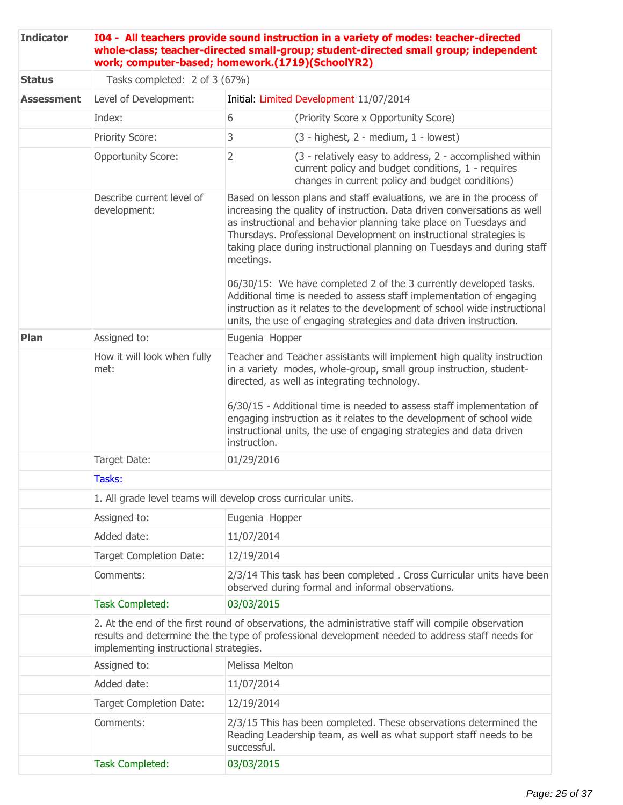| <b>Indicator</b>  | 104 - All teachers provide sound instruction in a variety of modes: teacher-directed<br>whole-class; teacher-directed small-group; student-directed small group; independent<br>work; computer-based; homework.(1719)(SchoolYR2)                  |                                                                                                                                                                                                                                                                                                                                                                                                                                                                                                                                                                                                                                                                                      |                                                                                                                                                                    |  |  |
|-------------------|---------------------------------------------------------------------------------------------------------------------------------------------------------------------------------------------------------------------------------------------------|--------------------------------------------------------------------------------------------------------------------------------------------------------------------------------------------------------------------------------------------------------------------------------------------------------------------------------------------------------------------------------------------------------------------------------------------------------------------------------------------------------------------------------------------------------------------------------------------------------------------------------------------------------------------------------------|--------------------------------------------------------------------------------------------------------------------------------------------------------------------|--|--|
| <b>Status</b>     | Tasks completed: 2 of 3 (67%)                                                                                                                                                                                                                     |                                                                                                                                                                                                                                                                                                                                                                                                                                                                                                                                                                                                                                                                                      |                                                                                                                                                                    |  |  |
| <b>Assessment</b> | Level of Development:                                                                                                                                                                                                                             |                                                                                                                                                                                                                                                                                                                                                                                                                                                                                                                                                                                                                                                                                      | Initial: Limited Development 11/07/2014                                                                                                                            |  |  |
|                   | Index:                                                                                                                                                                                                                                            | 6                                                                                                                                                                                                                                                                                                                                                                                                                                                                                                                                                                                                                                                                                    | (Priority Score x Opportunity Score)                                                                                                                               |  |  |
|                   | Priority Score:                                                                                                                                                                                                                                   | 3                                                                                                                                                                                                                                                                                                                                                                                                                                                                                                                                                                                                                                                                                    | $(3 - highest, 2 - medium, 1 - lowest)$                                                                                                                            |  |  |
|                   | <b>Opportunity Score:</b>                                                                                                                                                                                                                         | $\overline{2}$                                                                                                                                                                                                                                                                                                                                                                                                                                                                                                                                                                                                                                                                       | (3 - relatively easy to address, 2 - accomplished within<br>current policy and budget conditions, 1 - requires<br>changes in current policy and budget conditions) |  |  |
|                   | Describe current level of<br>development:                                                                                                                                                                                                         | Based on lesson plans and staff evaluations, we are in the process of<br>increasing the quality of instruction. Data driven conversations as well<br>as instructional and behavior planning take place on Tuesdays and<br>Thursdays. Professional Development on instructional strategies is<br>taking place during instructional planning on Tuesdays and during staff<br>meetings.<br>06/30/15: We have completed 2 of the 3 currently developed tasks.<br>Additional time is needed to assess staff implementation of engaging<br>instruction as it relates to the development of school wide instructional<br>units, the use of engaging strategies and data driven instruction. |                                                                                                                                                                    |  |  |
| Plan              | Assigned to:                                                                                                                                                                                                                                      | Eugenia Hopper                                                                                                                                                                                                                                                                                                                                                                                                                                                                                                                                                                                                                                                                       |                                                                                                                                                                    |  |  |
|                   | How it will look when fully<br>met:                                                                                                                                                                                                               | Teacher and Teacher assistants will implement high quality instruction<br>in a variety modes, whole-group, small group instruction, student-<br>directed, as well as integrating technology.<br>6/30/15 - Additional time is needed to assess staff implementation of<br>engaging instruction as it relates to the development of school wide<br>instructional units, the use of engaging strategies and data driven<br>instruction.                                                                                                                                                                                                                                                 |                                                                                                                                                                    |  |  |
|                   | Target Date:                                                                                                                                                                                                                                      | 01/29/2016                                                                                                                                                                                                                                                                                                                                                                                                                                                                                                                                                                                                                                                                           |                                                                                                                                                                    |  |  |
|                   | Tasks:                                                                                                                                                                                                                                            |                                                                                                                                                                                                                                                                                                                                                                                                                                                                                                                                                                                                                                                                                      |                                                                                                                                                                    |  |  |
|                   | 1. All grade level teams will develop cross curricular units.                                                                                                                                                                                     |                                                                                                                                                                                                                                                                                                                                                                                                                                                                                                                                                                                                                                                                                      |                                                                                                                                                                    |  |  |
|                   | Assigned to:                                                                                                                                                                                                                                      | Eugenia Hopper                                                                                                                                                                                                                                                                                                                                                                                                                                                                                                                                                                                                                                                                       |                                                                                                                                                                    |  |  |
|                   | Added date:                                                                                                                                                                                                                                       | 11/07/2014                                                                                                                                                                                                                                                                                                                                                                                                                                                                                                                                                                                                                                                                           |                                                                                                                                                                    |  |  |
|                   | Target Completion Date:                                                                                                                                                                                                                           | 12/19/2014                                                                                                                                                                                                                                                                                                                                                                                                                                                                                                                                                                                                                                                                           |                                                                                                                                                                    |  |  |
|                   | Comments:                                                                                                                                                                                                                                         | 2/3/14 This task has been completed. Cross Curricular units have been<br>observed during formal and informal observations.                                                                                                                                                                                                                                                                                                                                                                                                                                                                                                                                                           |                                                                                                                                                                    |  |  |
|                   | <b>Task Completed:</b>                                                                                                                                                                                                                            | 03/03/2015                                                                                                                                                                                                                                                                                                                                                                                                                                                                                                                                                                                                                                                                           |                                                                                                                                                                    |  |  |
|                   | 2. At the end of the first round of observations, the administrative staff will compile observation<br>results and determine the the type of professional development needed to address staff needs for<br>implementing instructional strategies. |                                                                                                                                                                                                                                                                                                                                                                                                                                                                                                                                                                                                                                                                                      |                                                                                                                                                                    |  |  |
|                   | Assigned to:                                                                                                                                                                                                                                      | Melissa Melton                                                                                                                                                                                                                                                                                                                                                                                                                                                                                                                                                                                                                                                                       |                                                                                                                                                                    |  |  |
|                   | Added date:                                                                                                                                                                                                                                       | 11/07/2014                                                                                                                                                                                                                                                                                                                                                                                                                                                                                                                                                                                                                                                                           |                                                                                                                                                                    |  |  |
|                   | <b>Target Completion Date:</b>                                                                                                                                                                                                                    | 12/19/2014                                                                                                                                                                                                                                                                                                                                                                                                                                                                                                                                                                                                                                                                           |                                                                                                                                                                    |  |  |
|                   | Comments:                                                                                                                                                                                                                                         | successful.                                                                                                                                                                                                                                                                                                                                                                                                                                                                                                                                                                                                                                                                          | 2/3/15 This has been completed. These observations determined the<br>Reading Leadership team, as well as what support staff needs to be                            |  |  |
|                   | <b>Task Completed:</b>                                                                                                                                                                                                                            | 03/03/2015                                                                                                                                                                                                                                                                                                                                                                                                                                                                                                                                                                                                                                                                           |                                                                                                                                                                    |  |  |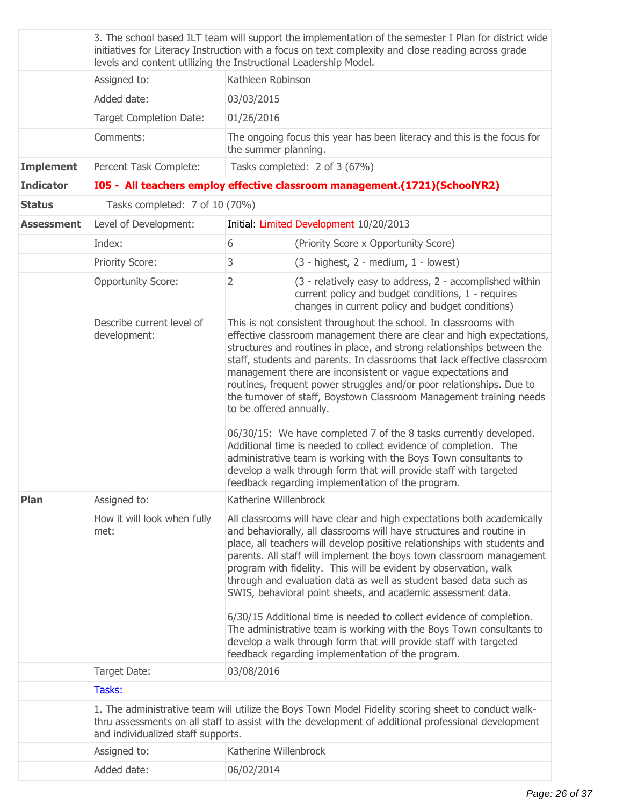|                   | 3. The school based ILT team will support the implementation of the semester I Plan for district wide<br>initiatives for Literacy Instruction with a focus on text complexity and close reading across grade<br>levels and content utilizing the Instructional Leadership Model. |                                                                                                 |                                                                                                                                                                                                                                                                                                                                                                                                                                                                                                                                                                                                                                                                                                                                                                                                                                                      |  |
|-------------------|----------------------------------------------------------------------------------------------------------------------------------------------------------------------------------------------------------------------------------------------------------------------------------|-------------------------------------------------------------------------------------------------|------------------------------------------------------------------------------------------------------------------------------------------------------------------------------------------------------------------------------------------------------------------------------------------------------------------------------------------------------------------------------------------------------------------------------------------------------------------------------------------------------------------------------------------------------------------------------------------------------------------------------------------------------------------------------------------------------------------------------------------------------------------------------------------------------------------------------------------------------|--|
|                   | Assigned to:                                                                                                                                                                                                                                                                     | Kathleen Robinson                                                                               |                                                                                                                                                                                                                                                                                                                                                                                                                                                                                                                                                                                                                                                                                                                                                                                                                                                      |  |
|                   | Added date:                                                                                                                                                                                                                                                                      | 03/03/2015                                                                                      |                                                                                                                                                                                                                                                                                                                                                                                                                                                                                                                                                                                                                                                                                                                                                                                                                                                      |  |
|                   | <b>Target Completion Date:</b>                                                                                                                                                                                                                                                   | 01/26/2016                                                                                      |                                                                                                                                                                                                                                                                                                                                                                                                                                                                                                                                                                                                                                                                                                                                                                                                                                                      |  |
|                   | Comments:                                                                                                                                                                                                                                                                        | The ongoing focus this year has been literacy and this is the focus for<br>the summer planning. |                                                                                                                                                                                                                                                                                                                                                                                                                                                                                                                                                                                                                                                                                                                                                                                                                                                      |  |
| <b>Implement</b>  | Percent Task Complete:                                                                                                                                                                                                                                                           |                                                                                                 | Tasks completed: 2 of 3 (67%)                                                                                                                                                                                                                                                                                                                                                                                                                                                                                                                                                                                                                                                                                                                                                                                                                        |  |
| <b>Indicator</b>  |                                                                                                                                                                                                                                                                                  |                                                                                                 | I05 - All teachers employ effective classroom management.(1721)(SchoolYR2)                                                                                                                                                                                                                                                                                                                                                                                                                                                                                                                                                                                                                                                                                                                                                                           |  |
| <b>Status</b>     | Tasks completed: 7 of 10 (70%)                                                                                                                                                                                                                                                   |                                                                                                 |                                                                                                                                                                                                                                                                                                                                                                                                                                                                                                                                                                                                                                                                                                                                                                                                                                                      |  |
| <b>Assessment</b> | Level of Development:                                                                                                                                                                                                                                                            | Initial: Limited Development 10/20/2013                                                         |                                                                                                                                                                                                                                                                                                                                                                                                                                                                                                                                                                                                                                                                                                                                                                                                                                                      |  |
|                   | Index:                                                                                                                                                                                                                                                                           | 6                                                                                               | (Priority Score x Opportunity Score)                                                                                                                                                                                                                                                                                                                                                                                                                                                                                                                                                                                                                                                                                                                                                                                                                 |  |
|                   | Priority Score:                                                                                                                                                                                                                                                                  | 3                                                                                               | $(3 - highest, 2 - medium, 1 - lowest)$                                                                                                                                                                                                                                                                                                                                                                                                                                                                                                                                                                                                                                                                                                                                                                                                              |  |
|                   | <b>Opportunity Score:</b>                                                                                                                                                                                                                                                        | $\overline{2}$                                                                                  | (3 - relatively easy to address, 2 - accomplished within<br>current policy and budget conditions, 1 - requires<br>changes in current policy and budget conditions)                                                                                                                                                                                                                                                                                                                                                                                                                                                                                                                                                                                                                                                                                   |  |
|                   | Describe current level of<br>development:                                                                                                                                                                                                                                        | to be offered annually.                                                                         | This is not consistent throughout the school. In classrooms with<br>effective classroom management there are clear and high expectations,<br>structures and routines in place, and strong relationships between the<br>staff, students and parents. In classrooms that lack effective classroom<br>management there are inconsistent or vague expectations and<br>routines, frequent power struggles and/or poor relationships. Due to<br>the turnover of staff, Boystown Classroom Management training needs<br>06/30/15: We have completed 7 of the 8 tasks currently developed.<br>Additional time is needed to collect evidence of completion. The<br>administrative team is working with the Boys Town consultants to<br>develop a walk through form that will provide staff with targeted<br>feedback regarding implementation of the program. |  |
| Plan              | Assigned to:                                                                                                                                                                                                                                                                     | Katherine Willenbrock                                                                           |                                                                                                                                                                                                                                                                                                                                                                                                                                                                                                                                                                                                                                                                                                                                                                                                                                                      |  |
|                   | How it will look when fully<br>met:                                                                                                                                                                                                                                              |                                                                                                 | All classrooms will have clear and high expectations both academically<br>and behaviorally, all classrooms will have structures and routine in<br>place, all teachers will develop positive relationships with students and<br>parents. All staff will implement the boys town classroom management<br>program with fidelity. This will be evident by observation, walk<br>through and evaluation data as well as student based data such as<br>SWIS, behavioral point sheets, and academic assessment data.<br>6/30/15 Additional time is needed to collect evidence of completion.<br>The administrative team is working with the Boys Town consultants to<br>develop a walk through form that will provide staff with targeted                                                                                                                    |  |
|                   |                                                                                                                                                                                                                                                                                  |                                                                                                 | feedback regarding implementation of the program.                                                                                                                                                                                                                                                                                                                                                                                                                                                                                                                                                                                                                                                                                                                                                                                                    |  |
|                   | Target Date:                                                                                                                                                                                                                                                                     | 03/08/2016                                                                                      |                                                                                                                                                                                                                                                                                                                                                                                                                                                                                                                                                                                                                                                                                                                                                                                                                                                      |  |
|                   | Tasks:                                                                                                                                                                                                                                                                           |                                                                                                 |                                                                                                                                                                                                                                                                                                                                                                                                                                                                                                                                                                                                                                                                                                                                                                                                                                                      |  |
|                   | and individualized staff supports.                                                                                                                                                                                                                                               |                                                                                                 | 1. The administrative team will utilize the Boys Town Model Fidelity scoring sheet to conduct walk-<br>thru assessments on all staff to assist with the development of additional professional development                                                                                                                                                                                                                                                                                                                                                                                                                                                                                                                                                                                                                                           |  |
|                   | Assigned to:                                                                                                                                                                                                                                                                     | Katherine Willenbrock                                                                           |                                                                                                                                                                                                                                                                                                                                                                                                                                                                                                                                                                                                                                                                                                                                                                                                                                                      |  |
|                   | Added date:                                                                                                                                                                                                                                                                      | 06/02/2014                                                                                      |                                                                                                                                                                                                                                                                                                                                                                                                                                                                                                                                                                                                                                                                                                                                                                                                                                                      |  |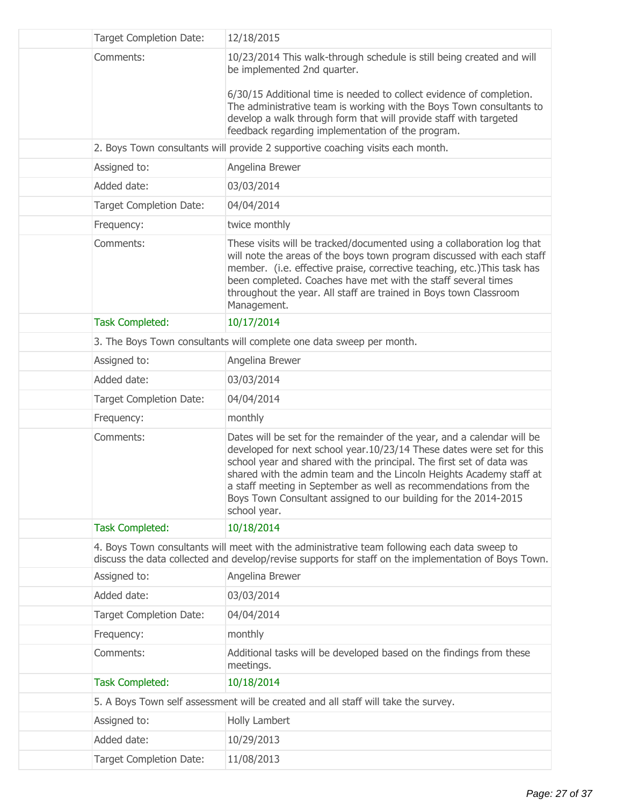| <b>Target Completion Date:</b> | 12/18/2015                                                                                                                                                                                                                                                                                                                                                                                                                                             |
|--------------------------------|--------------------------------------------------------------------------------------------------------------------------------------------------------------------------------------------------------------------------------------------------------------------------------------------------------------------------------------------------------------------------------------------------------------------------------------------------------|
| Comments:                      | 10/23/2014 This walk-through schedule is still being created and will<br>be implemented 2nd quarter.<br>6/30/15 Additional time is needed to collect evidence of completion.<br>The administrative team is working with the Boys Town consultants to<br>develop a walk through form that will provide staff with targeted<br>feedback regarding implementation of the program.                                                                         |
|                                | 2. Boys Town consultants will provide 2 supportive coaching visits each month.                                                                                                                                                                                                                                                                                                                                                                         |
| Assigned to:                   | Angelina Brewer                                                                                                                                                                                                                                                                                                                                                                                                                                        |
| Added date:                    | 03/03/2014                                                                                                                                                                                                                                                                                                                                                                                                                                             |
| <b>Target Completion Date:</b> | 04/04/2014                                                                                                                                                                                                                                                                                                                                                                                                                                             |
| Frequency:                     | twice monthly                                                                                                                                                                                                                                                                                                                                                                                                                                          |
| Comments:                      | These visits will be tracked/documented using a collaboration log that<br>will note the areas of the boys town program discussed with each staff<br>member. (i.e. effective praise, corrective teaching, etc.) This task has<br>been completed. Coaches have met with the staff several times<br>throughout the year. All staff are trained in Boys town Classroom<br>Management.                                                                      |
| <b>Task Completed:</b>         | 10/17/2014                                                                                                                                                                                                                                                                                                                                                                                                                                             |
|                                | 3. The Boys Town consultants will complete one data sweep per month.                                                                                                                                                                                                                                                                                                                                                                                   |
| Assigned to:                   | Angelina Brewer                                                                                                                                                                                                                                                                                                                                                                                                                                        |
| Added date:                    | 03/03/2014                                                                                                                                                                                                                                                                                                                                                                                                                                             |
| Target Completion Date:        | 04/04/2014                                                                                                                                                                                                                                                                                                                                                                                                                                             |
| Frequency:                     | monthly                                                                                                                                                                                                                                                                                                                                                                                                                                                |
| Comments:                      | Dates will be set for the remainder of the year, and a calendar will be<br>developed for next school year.10/23/14 These dates were set for this<br>school year and shared with the principal. The first set of data was<br>shared with the admin team and the Lincoln Heights Academy staff at<br>a staff meeting in September as well as recommendations from the<br>Boys Town Consultant assigned to our building for the 2014-2015<br>school year. |
| <b>Task Completed:</b>         | 10/18/2014                                                                                                                                                                                                                                                                                                                                                                                                                                             |
|                                | 4. Boys Town consultants will meet with the administrative team following each data sweep to<br>discuss the data collected and develop/revise supports for staff on the implementation of Boys Town.                                                                                                                                                                                                                                                   |
| Assigned to:                   | Angelina Brewer                                                                                                                                                                                                                                                                                                                                                                                                                                        |
| Added date:                    | 03/03/2014                                                                                                                                                                                                                                                                                                                                                                                                                                             |
| <b>Target Completion Date:</b> | 04/04/2014                                                                                                                                                                                                                                                                                                                                                                                                                                             |
| Frequency:                     | monthly                                                                                                                                                                                                                                                                                                                                                                                                                                                |
| Comments:                      | Additional tasks will be developed based on the findings from these<br>meetings.                                                                                                                                                                                                                                                                                                                                                                       |
| <b>Task Completed:</b>         | 10/18/2014                                                                                                                                                                                                                                                                                                                                                                                                                                             |
|                                | 5. A Boys Town self assessment will be created and all staff will take the survey.                                                                                                                                                                                                                                                                                                                                                                     |
| Assigned to:                   | Holly Lambert                                                                                                                                                                                                                                                                                                                                                                                                                                          |
| Added date:                    | 10/29/2013                                                                                                                                                                                                                                                                                                                                                                                                                                             |
| <b>Target Completion Date:</b> | 11/08/2013                                                                                                                                                                                                                                                                                                                                                                                                                                             |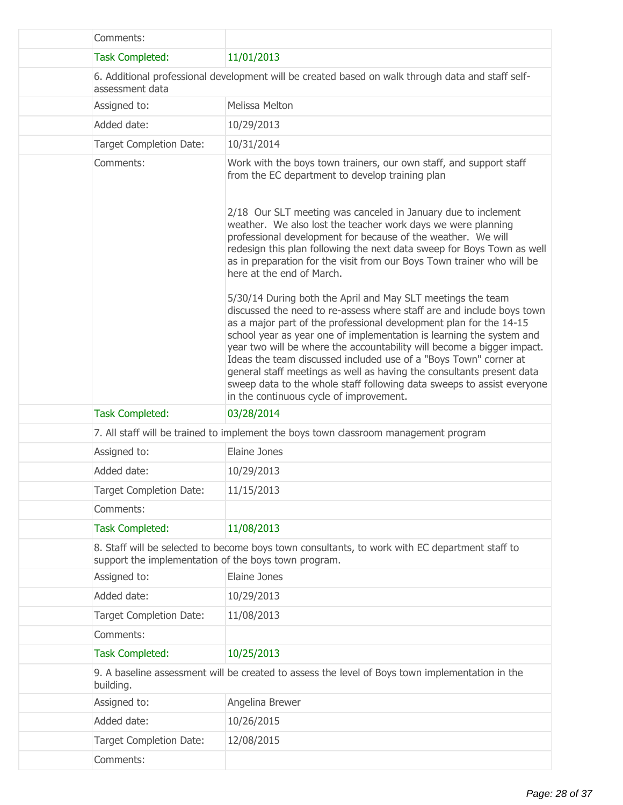| Comments:                                            |                                                                                                                                                                                                                                                                                                                                                                                                                                                                                                                                                                                                                                |
|------------------------------------------------------|--------------------------------------------------------------------------------------------------------------------------------------------------------------------------------------------------------------------------------------------------------------------------------------------------------------------------------------------------------------------------------------------------------------------------------------------------------------------------------------------------------------------------------------------------------------------------------------------------------------------------------|
| <b>Task Completed:</b>                               | 11/01/2013                                                                                                                                                                                                                                                                                                                                                                                                                                                                                                                                                                                                                     |
| assessment data                                      | 6. Additional professional development will be created based on walk through data and staff self-                                                                                                                                                                                                                                                                                                                                                                                                                                                                                                                              |
| Assigned to:                                         | Melissa Melton                                                                                                                                                                                                                                                                                                                                                                                                                                                                                                                                                                                                                 |
| Added date:                                          | 10/29/2013                                                                                                                                                                                                                                                                                                                                                                                                                                                                                                                                                                                                                     |
| <b>Target Completion Date:</b>                       | 10/31/2014                                                                                                                                                                                                                                                                                                                                                                                                                                                                                                                                                                                                                     |
| Comments:                                            | Work with the boys town trainers, our own staff, and support staff<br>from the EC department to develop training plan                                                                                                                                                                                                                                                                                                                                                                                                                                                                                                          |
|                                                      | 2/18 Our SLT meeting was canceled in January due to inclement<br>weather. We also lost the teacher work days we were planning<br>professional development for because of the weather. We will<br>redesign this plan following the next data sweep for Boys Town as well<br>as in preparation for the visit from our Boys Town trainer who will be<br>here at the end of March.                                                                                                                                                                                                                                                 |
|                                                      | 5/30/14 During both the April and May SLT meetings the team<br>discussed the need to re-assess where staff are and include boys town<br>as a major part of the professional development plan for the 14-15<br>school year as year one of implementation is learning the system and<br>year two will be where the accountability will become a bigger impact.<br>Ideas the team discussed included use of a "Boys Town" corner at<br>general staff meetings as well as having the consultants present data<br>sweep data to the whole staff following data sweeps to assist everyone<br>in the continuous cycle of improvement. |
| <b>Task Completed:</b>                               | 03/28/2014                                                                                                                                                                                                                                                                                                                                                                                                                                                                                                                                                                                                                     |
|                                                      | 7. All staff will be trained to implement the boys town classroom management program                                                                                                                                                                                                                                                                                                                                                                                                                                                                                                                                           |
| Assigned to:                                         | Elaine Jones                                                                                                                                                                                                                                                                                                                                                                                                                                                                                                                                                                                                                   |
| Added date:                                          | 10/29/2013                                                                                                                                                                                                                                                                                                                                                                                                                                                                                                                                                                                                                     |
| <b>Target Completion Date:</b>                       | 11/15/2013                                                                                                                                                                                                                                                                                                                                                                                                                                                                                                                                                                                                                     |
| Comments:                                            |                                                                                                                                                                                                                                                                                                                                                                                                                                                                                                                                                                                                                                |
| <b>Task Completed:</b>                               | 11/08/2013                                                                                                                                                                                                                                                                                                                                                                                                                                                                                                                                                                                                                     |
| support the implementation of the boys town program. | 8. Staff will be selected to become boys town consultants, to work with EC department staff to                                                                                                                                                                                                                                                                                                                                                                                                                                                                                                                                 |
| Assigned to:                                         | Elaine Jones                                                                                                                                                                                                                                                                                                                                                                                                                                                                                                                                                                                                                   |
| Added date:                                          | 10/29/2013                                                                                                                                                                                                                                                                                                                                                                                                                                                                                                                                                                                                                     |
| Target Completion Date:                              | 11/08/2013                                                                                                                                                                                                                                                                                                                                                                                                                                                                                                                                                                                                                     |
| Comments:                                            |                                                                                                                                                                                                                                                                                                                                                                                                                                                                                                                                                                                                                                |
| <b>Task Completed:</b>                               | 10/25/2013                                                                                                                                                                                                                                                                                                                                                                                                                                                                                                                                                                                                                     |
| building.                                            | 9. A baseline assessment will be created to assess the level of Boys town implementation in the                                                                                                                                                                                                                                                                                                                                                                                                                                                                                                                                |
| Assigned to:                                         | Angelina Brewer                                                                                                                                                                                                                                                                                                                                                                                                                                                                                                                                                                                                                |
| Added date:                                          | 10/26/2015                                                                                                                                                                                                                                                                                                                                                                                                                                                                                                                                                                                                                     |
| <b>Target Completion Date:</b>                       | 12/08/2015                                                                                                                                                                                                                                                                                                                                                                                                                                                                                                                                                                                                                     |
| Comments:                                            |                                                                                                                                                                                                                                                                                                                                                                                                                                                                                                                                                                                                                                |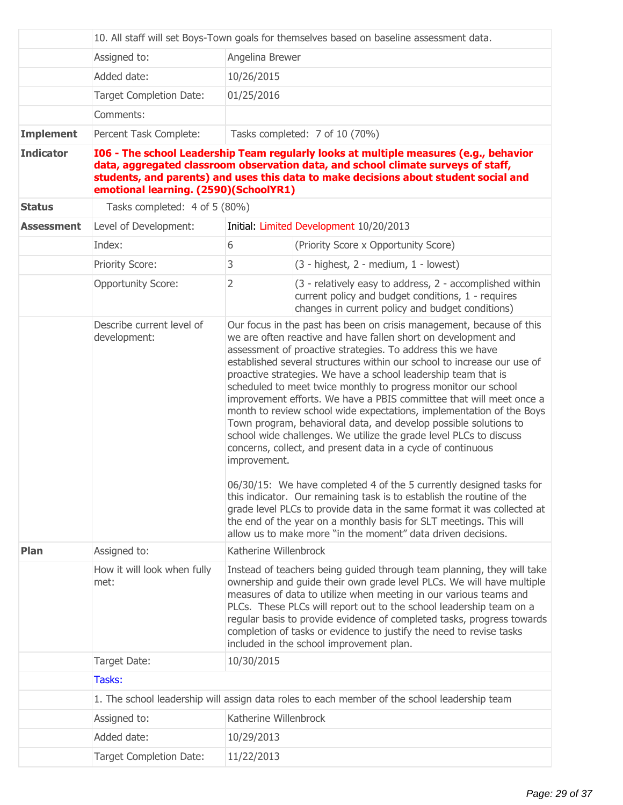|                   | 10. All staff will set Boys-Town goals for themselves based on baseline assessment data. |                                                                                                                                                                                                                                                                                                                                                                                                                                                                                          |                                                                                                                                                                                                                                                                                                                                                                                                                                                                                                                                                                                                                                                                                                                                                                                                                                                                                                                                                                                                                                                                                                                                                |  |
|-------------------|------------------------------------------------------------------------------------------|------------------------------------------------------------------------------------------------------------------------------------------------------------------------------------------------------------------------------------------------------------------------------------------------------------------------------------------------------------------------------------------------------------------------------------------------------------------------------------------|------------------------------------------------------------------------------------------------------------------------------------------------------------------------------------------------------------------------------------------------------------------------------------------------------------------------------------------------------------------------------------------------------------------------------------------------------------------------------------------------------------------------------------------------------------------------------------------------------------------------------------------------------------------------------------------------------------------------------------------------------------------------------------------------------------------------------------------------------------------------------------------------------------------------------------------------------------------------------------------------------------------------------------------------------------------------------------------------------------------------------------------------|--|
|                   | Assigned to:                                                                             | Angelina Brewer                                                                                                                                                                                                                                                                                                                                                                                                                                                                          |                                                                                                                                                                                                                                                                                                                                                                                                                                                                                                                                                                                                                                                                                                                                                                                                                                                                                                                                                                                                                                                                                                                                                |  |
|                   | Added date:                                                                              | 10/26/2015                                                                                                                                                                                                                                                                                                                                                                                                                                                                               |                                                                                                                                                                                                                                                                                                                                                                                                                                                                                                                                                                                                                                                                                                                                                                                                                                                                                                                                                                                                                                                                                                                                                |  |
|                   | <b>Target Completion Date:</b>                                                           | 01/25/2016                                                                                                                                                                                                                                                                                                                                                                                                                                                                               |                                                                                                                                                                                                                                                                                                                                                                                                                                                                                                                                                                                                                                                                                                                                                                                                                                                                                                                                                                                                                                                                                                                                                |  |
|                   | Comments:                                                                                |                                                                                                                                                                                                                                                                                                                                                                                                                                                                                          |                                                                                                                                                                                                                                                                                                                                                                                                                                                                                                                                                                                                                                                                                                                                                                                                                                                                                                                                                                                                                                                                                                                                                |  |
| <b>Implement</b>  | Percent Task Complete:                                                                   |                                                                                                                                                                                                                                                                                                                                                                                                                                                                                          | Tasks completed: 7 of 10 (70%)                                                                                                                                                                                                                                                                                                                                                                                                                                                                                                                                                                                                                                                                                                                                                                                                                                                                                                                                                                                                                                                                                                                 |  |
| <b>Indicator</b>  | emotional learning. (2590)(SchoolYR1)                                                    |                                                                                                                                                                                                                                                                                                                                                                                                                                                                                          | 106 - The school Leadership Team regularly looks at multiple measures (e.g., behavior<br>data, aggregated classroom observation data, and school climate surveys of staff,<br>students, and parents) and uses this data to make decisions about student social and                                                                                                                                                                                                                                                                                                                                                                                                                                                                                                                                                                                                                                                                                                                                                                                                                                                                             |  |
| <b>Status</b>     | Tasks completed: 4 of 5 (80%)                                                            |                                                                                                                                                                                                                                                                                                                                                                                                                                                                                          |                                                                                                                                                                                                                                                                                                                                                                                                                                                                                                                                                                                                                                                                                                                                                                                                                                                                                                                                                                                                                                                                                                                                                |  |
| <b>Assessment</b> | Level of Development:                                                                    |                                                                                                                                                                                                                                                                                                                                                                                                                                                                                          | Initial: Limited Development 10/20/2013                                                                                                                                                                                                                                                                                                                                                                                                                                                                                                                                                                                                                                                                                                                                                                                                                                                                                                                                                                                                                                                                                                        |  |
|                   | Index:                                                                                   | 6                                                                                                                                                                                                                                                                                                                                                                                                                                                                                        | (Priority Score x Opportunity Score)                                                                                                                                                                                                                                                                                                                                                                                                                                                                                                                                                                                                                                                                                                                                                                                                                                                                                                                                                                                                                                                                                                           |  |
|                   | <b>Priority Score:</b>                                                                   | 3                                                                                                                                                                                                                                                                                                                                                                                                                                                                                        | $(3 - highest, 2 - medium, 1 - lowest)$                                                                                                                                                                                                                                                                                                                                                                                                                                                                                                                                                                                                                                                                                                                                                                                                                                                                                                                                                                                                                                                                                                        |  |
|                   | <b>Opportunity Score:</b>                                                                | $\overline{2}$                                                                                                                                                                                                                                                                                                                                                                                                                                                                           | (3 - relatively easy to address, 2 - accomplished within<br>current policy and budget conditions, 1 - requires<br>changes in current policy and budget conditions)                                                                                                                                                                                                                                                                                                                                                                                                                                                                                                                                                                                                                                                                                                                                                                                                                                                                                                                                                                             |  |
|                   | Describe current level of<br>development:                                                | improvement.                                                                                                                                                                                                                                                                                                                                                                                                                                                                             | Our focus in the past has been on crisis management, because of this<br>we are often reactive and have fallen short on development and<br>assessment of proactive strategies. To address this we have<br>established several structures within our school to increase our use of<br>proactive strategies. We have a school leadership team that is<br>scheduled to meet twice monthly to progress monitor our school<br>improvement efforts. We have a PBIS committee that will meet once a<br>month to review school wide expectations, implementation of the Boys<br>Town program, behavioral data, and develop possible solutions to<br>school wide challenges. We utilize the grade level PLCs to discuss<br>concerns, collect, and present data in a cycle of continuous<br>06/30/15: We have completed 4 of the 5 currently designed tasks for<br>this indicator. Our remaining task is to establish the routine of the<br>grade level PLCs to provide data in the same format it was collected at<br>the end of the year on a monthly basis for SLT meetings. This will<br>allow us to make more "in the moment" data driven decisions. |  |
| Plan              | Assigned to:                                                                             | Katherine Willenbrock                                                                                                                                                                                                                                                                                                                                                                                                                                                                    |                                                                                                                                                                                                                                                                                                                                                                                                                                                                                                                                                                                                                                                                                                                                                                                                                                                                                                                                                                                                                                                                                                                                                |  |
|                   | How it will look when fully<br>met:                                                      | Instead of teachers being guided through team planning, they will take<br>ownership and guide their own grade level PLCs. We will have multiple<br>measures of data to utilize when meeting in our various teams and<br>PLCs. These PLCs will report out to the school leadership team on a<br>regular basis to provide evidence of completed tasks, progress towards<br>completion of tasks or evidence to justify the need to revise tasks<br>included in the school improvement plan. |                                                                                                                                                                                                                                                                                                                                                                                                                                                                                                                                                                                                                                                                                                                                                                                                                                                                                                                                                                                                                                                                                                                                                |  |
|                   | Target Date:                                                                             | 10/30/2015                                                                                                                                                                                                                                                                                                                                                                                                                                                                               |                                                                                                                                                                                                                                                                                                                                                                                                                                                                                                                                                                                                                                                                                                                                                                                                                                                                                                                                                                                                                                                                                                                                                |  |
|                   | Tasks:                                                                                   |                                                                                                                                                                                                                                                                                                                                                                                                                                                                                          |                                                                                                                                                                                                                                                                                                                                                                                                                                                                                                                                                                                                                                                                                                                                                                                                                                                                                                                                                                                                                                                                                                                                                |  |
|                   |                                                                                          |                                                                                                                                                                                                                                                                                                                                                                                                                                                                                          | 1. The school leadership will assign data roles to each member of the school leadership team                                                                                                                                                                                                                                                                                                                                                                                                                                                                                                                                                                                                                                                                                                                                                                                                                                                                                                                                                                                                                                                   |  |
|                   | Assigned to:                                                                             | Katherine Willenbrock                                                                                                                                                                                                                                                                                                                                                                                                                                                                    |                                                                                                                                                                                                                                                                                                                                                                                                                                                                                                                                                                                                                                                                                                                                                                                                                                                                                                                                                                                                                                                                                                                                                |  |
|                   | Added date:                                                                              | 10/29/2013                                                                                                                                                                                                                                                                                                                                                                                                                                                                               |                                                                                                                                                                                                                                                                                                                                                                                                                                                                                                                                                                                                                                                                                                                                                                                                                                                                                                                                                                                                                                                                                                                                                |  |
|                   | <b>Target Completion Date:</b>                                                           | 11/22/2013                                                                                                                                                                                                                                                                                                                                                                                                                                                                               |                                                                                                                                                                                                                                                                                                                                                                                                                                                                                                                                                                                                                                                                                                                                                                                                                                                                                                                                                                                                                                                                                                                                                |  |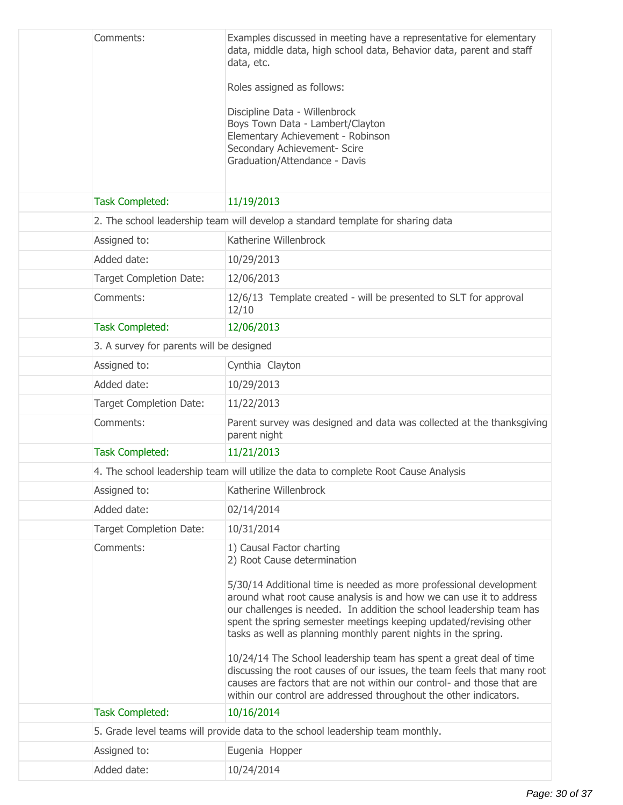| Comments:                                | Examples discussed in meeting have a representative for elementary<br>data, middle data, high school data, Behavior data, parent and staff<br>data, etc.                                                                                                                                                                                                 |
|------------------------------------------|----------------------------------------------------------------------------------------------------------------------------------------------------------------------------------------------------------------------------------------------------------------------------------------------------------------------------------------------------------|
|                                          | Roles assigned as follows:                                                                                                                                                                                                                                                                                                                               |
|                                          | Discipline Data - Willenbrock                                                                                                                                                                                                                                                                                                                            |
|                                          | Boys Town Data - Lambert/Clayton                                                                                                                                                                                                                                                                                                                         |
|                                          | Elementary Achievement - Robinson<br>Secondary Achievement- Scire                                                                                                                                                                                                                                                                                        |
|                                          | Graduation/Attendance - Davis                                                                                                                                                                                                                                                                                                                            |
|                                          |                                                                                                                                                                                                                                                                                                                                                          |
| <b>Task Completed:</b>                   | 11/19/2013                                                                                                                                                                                                                                                                                                                                               |
|                                          | 2. The school leadership team will develop a standard template for sharing data                                                                                                                                                                                                                                                                          |
| Assigned to:                             | Katherine Willenbrock                                                                                                                                                                                                                                                                                                                                    |
| Added date:                              | 10/29/2013                                                                                                                                                                                                                                                                                                                                               |
| <b>Target Completion Date:</b>           | 12/06/2013                                                                                                                                                                                                                                                                                                                                               |
| Comments:                                | 12/6/13 Template created - will be presented to SLT for approval<br>12/10                                                                                                                                                                                                                                                                                |
| <b>Task Completed:</b>                   | 12/06/2013                                                                                                                                                                                                                                                                                                                                               |
| 3. A survey for parents will be designed |                                                                                                                                                                                                                                                                                                                                                          |
| Assigned to:                             | Cynthia Clayton                                                                                                                                                                                                                                                                                                                                          |
| Added date:                              | 10/29/2013                                                                                                                                                                                                                                                                                                                                               |
| Target Completion Date:                  | 11/22/2013                                                                                                                                                                                                                                                                                                                                               |
| Comments:                                | Parent survey was designed and data was collected at the thanksgiving<br>parent night                                                                                                                                                                                                                                                                    |
| <b>Task Completed:</b>                   | 11/21/2013                                                                                                                                                                                                                                                                                                                                               |
|                                          | 4. The school leadership team will utilize the data to complete Root Cause Analysis                                                                                                                                                                                                                                                                      |
| Assigned to:                             | Katherine Willenbrock                                                                                                                                                                                                                                                                                                                                    |
| Added date:                              | 02/14/2014                                                                                                                                                                                                                                                                                                                                               |
| <b>Target Completion Date:</b>           | 10/31/2014                                                                                                                                                                                                                                                                                                                                               |
| Comments:                                | 1) Causal Factor charting<br>2) Root Cause determination                                                                                                                                                                                                                                                                                                 |
|                                          | 5/30/14 Additional time is needed as more professional development<br>around what root cause analysis is and how we can use it to address<br>our challenges is needed. In addition the school leadership team has<br>spent the spring semester meetings keeping updated/revising other<br>tasks as well as planning monthly parent nights in the spring. |
|                                          | 10/24/14 The School leadership team has spent a great deal of time<br>discussing the root causes of our issues, the team feels that many root<br>causes are factors that are not within our control- and those that are<br>within our control are addressed throughout the other indicators.                                                             |
| <b>Task Completed:</b>                   | 10/16/2014                                                                                                                                                                                                                                                                                                                                               |
|                                          | 5. Grade level teams will provide data to the school leadership team monthly.                                                                                                                                                                                                                                                                            |
| Assigned to:                             | Eugenia Hopper                                                                                                                                                                                                                                                                                                                                           |
| Added date:                              | 10/24/2014                                                                                                                                                                                                                                                                                                                                               |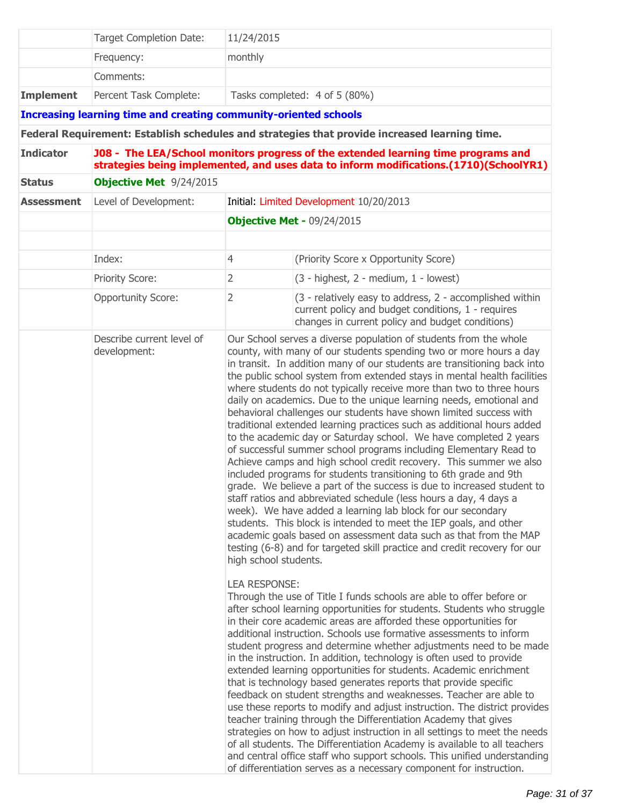|                   | <b>Target Completion Date:</b>                                          | 11/24/2015                                                                                                                                                                 |                                                                                                                                                                                                                                                                                                                                                                                                                                                                                                                                                                                                                                                                                                                                                                                                                                                                                                                                                                                                                                                                                                                                                                                                                                                                                                                                                                                                                                                                                                                                                                                                                                                                                                                                                                                                                                                                                                                                                                                                                                                                                                                                                                                                                                                                                                                                                                                                                                                  |
|-------------------|-------------------------------------------------------------------------|----------------------------------------------------------------------------------------------------------------------------------------------------------------------------|--------------------------------------------------------------------------------------------------------------------------------------------------------------------------------------------------------------------------------------------------------------------------------------------------------------------------------------------------------------------------------------------------------------------------------------------------------------------------------------------------------------------------------------------------------------------------------------------------------------------------------------------------------------------------------------------------------------------------------------------------------------------------------------------------------------------------------------------------------------------------------------------------------------------------------------------------------------------------------------------------------------------------------------------------------------------------------------------------------------------------------------------------------------------------------------------------------------------------------------------------------------------------------------------------------------------------------------------------------------------------------------------------------------------------------------------------------------------------------------------------------------------------------------------------------------------------------------------------------------------------------------------------------------------------------------------------------------------------------------------------------------------------------------------------------------------------------------------------------------------------------------------------------------------------------------------------------------------------------------------------------------------------------------------------------------------------------------------------------------------------------------------------------------------------------------------------------------------------------------------------------------------------------------------------------------------------------------------------------------------------------------------------------------------------------------------------|
|                   | Frequency:                                                              | monthly                                                                                                                                                                    |                                                                                                                                                                                                                                                                                                                                                                                                                                                                                                                                                                                                                                                                                                                                                                                                                                                                                                                                                                                                                                                                                                                                                                                                                                                                                                                                                                                                                                                                                                                                                                                                                                                                                                                                                                                                                                                                                                                                                                                                                                                                                                                                                                                                                                                                                                                                                                                                                                                  |
|                   | Comments:                                                               |                                                                                                                                                                            |                                                                                                                                                                                                                                                                                                                                                                                                                                                                                                                                                                                                                                                                                                                                                                                                                                                                                                                                                                                                                                                                                                                                                                                                                                                                                                                                                                                                                                                                                                                                                                                                                                                                                                                                                                                                                                                                                                                                                                                                                                                                                                                                                                                                                                                                                                                                                                                                                                                  |
| <b>Implement</b>  | Percent Task Complete:                                                  |                                                                                                                                                                            | Tasks completed: 4 of 5 (80%)                                                                                                                                                                                                                                                                                                                                                                                                                                                                                                                                                                                                                                                                                                                                                                                                                                                                                                                                                                                                                                                                                                                                                                                                                                                                                                                                                                                                                                                                                                                                                                                                                                                                                                                                                                                                                                                                                                                                                                                                                                                                                                                                                                                                                                                                                                                                                                                                                    |
|                   | <b>Increasing learning time and creating community-oriented schools</b> |                                                                                                                                                                            |                                                                                                                                                                                                                                                                                                                                                                                                                                                                                                                                                                                                                                                                                                                                                                                                                                                                                                                                                                                                                                                                                                                                                                                                                                                                                                                                                                                                                                                                                                                                                                                                                                                                                                                                                                                                                                                                                                                                                                                                                                                                                                                                                                                                                                                                                                                                                                                                                                                  |
|                   |                                                                         |                                                                                                                                                                            | Federal Requirement: Establish schedules and strategies that provide increased learning time.                                                                                                                                                                                                                                                                                                                                                                                                                                                                                                                                                                                                                                                                                                                                                                                                                                                                                                                                                                                                                                                                                                                                                                                                                                                                                                                                                                                                                                                                                                                                                                                                                                                                                                                                                                                                                                                                                                                                                                                                                                                                                                                                                                                                                                                                                                                                                    |
| <b>Indicator</b>  |                                                                         | J08 - The LEA/School monitors progress of the extended learning time programs and<br>strategies being implemented, and uses data to inform modifications.(1710)(SchoolYR1) |                                                                                                                                                                                                                                                                                                                                                                                                                                                                                                                                                                                                                                                                                                                                                                                                                                                                                                                                                                                                                                                                                                                                                                                                                                                                                                                                                                                                                                                                                                                                                                                                                                                                                                                                                                                                                                                                                                                                                                                                                                                                                                                                                                                                                                                                                                                                                                                                                                                  |
| <b>Status</b>     | <b>Objective Met</b> 9/24/2015                                          |                                                                                                                                                                            |                                                                                                                                                                                                                                                                                                                                                                                                                                                                                                                                                                                                                                                                                                                                                                                                                                                                                                                                                                                                                                                                                                                                                                                                                                                                                                                                                                                                                                                                                                                                                                                                                                                                                                                                                                                                                                                                                                                                                                                                                                                                                                                                                                                                                                                                                                                                                                                                                                                  |
| <b>Assessment</b> | Level of Development:                                                   | Initial: Limited Development 10/20/2013                                                                                                                                    |                                                                                                                                                                                                                                                                                                                                                                                                                                                                                                                                                                                                                                                                                                                                                                                                                                                                                                                                                                                                                                                                                                                                                                                                                                                                                                                                                                                                                                                                                                                                                                                                                                                                                                                                                                                                                                                                                                                                                                                                                                                                                                                                                                                                                                                                                                                                                                                                                                                  |
|                   | <b>Objective Met - 09/24/2015</b>                                       |                                                                                                                                                                            |                                                                                                                                                                                                                                                                                                                                                                                                                                                                                                                                                                                                                                                                                                                                                                                                                                                                                                                                                                                                                                                                                                                                                                                                                                                                                                                                                                                                                                                                                                                                                                                                                                                                                                                                                                                                                                                                                                                                                                                                                                                                                                                                                                                                                                                                                                                                                                                                                                                  |
|                   | Index:                                                                  | $\overline{4}$                                                                                                                                                             | (Priority Score x Opportunity Score)                                                                                                                                                                                                                                                                                                                                                                                                                                                                                                                                                                                                                                                                                                                                                                                                                                                                                                                                                                                                                                                                                                                                                                                                                                                                                                                                                                                                                                                                                                                                                                                                                                                                                                                                                                                                                                                                                                                                                                                                                                                                                                                                                                                                                                                                                                                                                                                                             |
|                   | <b>Priority Score:</b>                                                  | 2                                                                                                                                                                          | $(3 - highest, 2 - medium, 1 - lowest)$                                                                                                                                                                                                                                                                                                                                                                                                                                                                                                                                                                                                                                                                                                                                                                                                                                                                                                                                                                                                                                                                                                                                                                                                                                                                                                                                                                                                                                                                                                                                                                                                                                                                                                                                                                                                                                                                                                                                                                                                                                                                                                                                                                                                                                                                                                                                                                                                          |
|                   | <b>Opportunity Score:</b>                                               | $\overline{2}$                                                                                                                                                             | (3 - relatively easy to address, 2 - accomplished within<br>current policy and budget conditions, 1 - requires<br>changes in current policy and budget conditions)                                                                                                                                                                                                                                                                                                                                                                                                                                                                                                                                                                                                                                                                                                                                                                                                                                                                                                                                                                                                                                                                                                                                                                                                                                                                                                                                                                                                                                                                                                                                                                                                                                                                                                                                                                                                                                                                                                                                                                                                                                                                                                                                                                                                                                                                               |
|                   | Describe current level of<br>development:                               | high school students.<br><b>LEA RESPONSE:</b>                                                                                                                              | Our School serves a diverse population of students from the whole<br>county, with many of our students spending two or more hours a day<br>in transit. In addition many of our students are transitioning back into<br>the public school system from extended stays in mental health facilities<br>where students do not typically receive more than two to three hours<br>daily on academics. Due to the unique learning needs, emotional and<br>behavioral challenges our students have shown limited success with<br>traditional extended learning practices such as additional hours added<br>to the academic day or Saturday school. We have completed 2 years<br>of successful summer school programs including Elementary Read to<br>Achieve camps and high school credit recovery. This summer we also<br>included programs for students transitioning to 6th grade and 9th<br>grade. We believe a part of the success is due to increased student to<br>staff ratios and abbreviated schedule (less hours a day, 4 days a<br>week). We have added a learning lab block for our secondary<br>students. This block is intended to meet the IEP goals, and other<br>academic goals based on assessment data such as that from the MAP<br>testing (6-8) and for targeted skill practice and credit recovery for our<br>Through the use of Title I funds schools are able to offer before or<br>after school learning opportunities for students. Students who struggle<br>in their core academic areas are afforded these opportunities for<br>additional instruction. Schools use formative assessments to inform<br>student progress and determine whether adjustments need to be made<br>in the instruction. In addition, technology is often used to provide<br>extended learning opportunities for students. Academic enrichment<br>that is technology based generates reports that provide specific<br>feedback on student strengths and weaknesses. Teacher are able to<br>use these reports to modify and adjust instruction. The district provides<br>teacher training through the Differentiation Academy that gives<br>strategies on how to adjust instruction in all settings to meet the needs<br>of all students. The Differentiation Academy is available to all teachers<br>and central office staff who support schools. This unified understanding<br>of differentiation serves as a necessary component for instruction. |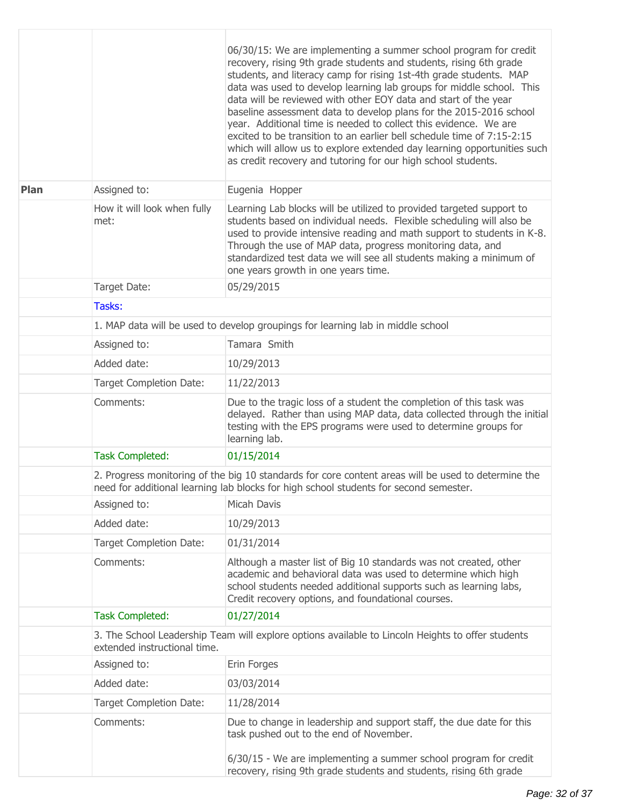|      |                                     | 06/30/15: We are implementing a summer school program for credit<br>recovery, rising 9th grade students and students, rising 6th grade<br>students, and literacy camp for rising 1st-4th grade students. MAP<br>data was used to develop learning lab groups for middle school. This<br>data will be reviewed with other EOY data and start of the year<br>baseline assessment data to develop plans for the 2015-2016 school<br>year. Additional time is needed to collect this evidence. We are<br>excited to be transition to an earlier bell schedule time of 7:15-2:15<br>which will allow us to explore extended day learning opportunities such<br>as credit recovery and tutoring for our high school students. |  |  |  |
|------|-------------------------------------|-------------------------------------------------------------------------------------------------------------------------------------------------------------------------------------------------------------------------------------------------------------------------------------------------------------------------------------------------------------------------------------------------------------------------------------------------------------------------------------------------------------------------------------------------------------------------------------------------------------------------------------------------------------------------------------------------------------------------|--|--|--|
| Plan | Assigned to:                        | Eugenia Hopper                                                                                                                                                                                                                                                                                                                                                                                                                                                                                                                                                                                                                                                                                                          |  |  |  |
|      | How it will look when fully<br>met: | Learning Lab blocks will be utilized to provided targeted support to<br>students based on individual needs. Flexible scheduling will also be<br>used to provide intensive reading and math support to students in K-8.<br>Through the use of MAP data, progress monitoring data, and<br>standardized test data we will see all students making a minimum of<br>one years growth in one years time.                                                                                                                                                                                                                                                                                                                      |  |  |  |
|      | Target Date:                        | 05/29/2015                                                                                                                                                                                                                                                                                                                                                                                                                                                                                                                                                                                                                                                                                                              |  |  |  |
|      | Tasks:                              |                                                                                                                                                                                                                                                                                                                                                                                                                                                                                                                                                                                                                                                                                                                         |  |  |  |
|      |                                     | 1. MAP data will be used to develop groupings for learning lab in middle school                                                                                                                                                                                                                                                                                                                                                                                                                                                                                                                                                                                                                                         |  |  |  |
|      | Assigned to:                        | Tamara Smith                                                                                                                                                                                                                                                                                                                                                                                                                                                                                                                                                                                                                                                                                                            |  |  |  |
|      | Added date:                         | 10/29/2013                                                                                                                                                                                                                                                                                                                                                                                                                                                                                                                                                                                                                                                                                                              |  |  |  |
|      | <b>Target Completion Date:</b>      | 11/22/2013                                                                                                                                                                                                                                                                                                                                                                                                                                                                                                                                                                                                                                                                                                              |  |  |  |
|      | Comments:                           | Due to the tragic loss of a student the completion of this task was<br>delayed. Rather than using MAP data, data collected through the initial<br>testing with the EPS programs were used to determine groups for<br>learning lab.                                                                                                                                                                                                                                                                                                                                                                                                                                                                                      |  |  |  |
|      | <b>Task Completed:</b>              | 01/15/2014                                                                                                                                                                                                                                                                                                                                                                                                                                                                                                                                                                                                                                                                                                              |  |  |  |
|      |                                     | 2. Progress monitoring of the big 10 standards for core content areas will be used to determine the<br>need for additional learning lab blocks for high school students for second semester.                                                                                                                                                                                                                                                                                                                                                                                                                                                                                                                            |  |  |  |
|      | Assigned to:                        | Micah Davis                                                                                                                                                                                                                                                                                                                                                                                                                                                                                                                                                                                                                                                                                                             |  |  |  |
|      | Added date:                         | 10/29/2013                                                                                                                                                                                                                                                                                                                                                                                                                                                                                                                                                                                                                                                                                                              |  |  |  |
|      | <b>Target Completion Date:</b>      | 01/31/2014                                                                                                                                                                                                                                                                                                                                                                                                                                                                                                                                                                                                                                                                                                              |  |  |  |
|      | Comments:                           | Although a master list of Big 10 standards was not created, other<br>academic and behavioral data was used to determine which high<br>school students needed additional supports such as learning labs,<br>Credit recovery options, and foundational courses.                                                                                                                                                                                                                                                                                                                                                                                                                                                           |  |  |  |
|      | <b>Task Completed:</b>              | 01/27/2014                                                                                                                                                                                                                                                                                                                                                                                                                                                                                                                                                                                                                                                                                                              |  |  |  |
|      | extended instructional time.        | 3. The School Leadership Team will explore options available to Lincoln Heights to offer students                                                                                                                                                                                                                                                                                                                                                                                                                                                                                                                                                                                                                       |  |  |  |
|      | Assigned to:                        | Erin Forges                                                                                                                                                                                                                                                                                                                                                                                                                                                                                                                                                                                                                                                                                                             |  |  |  |
|      | Added date:                         | 03/03/2014                                                                                                                                                                                                                                                                                                                                                                                                                                                                                                                                                                                                                                                                                                              |  |  |  |
|      | <b>Target Completion Date:</b>      | 11/28/2014                                                                                                                                                                                                                                                                                                                                                                                                                                                                                                                                                                                                                                                                                                              |  |  |  |
|      | Comments:                           | Due to change in leadership and support staff, the due date for this<br>task pushed out to the end of November.                                                                                                                                                                                                                                                                                                                                                                                                                                                                                                                                                                                                         |  |  |  |
|      |                                     | 6/30/15 - We are implementing a summer school program for credit<br>recovery, rising 9th grade students and students, rising 6th grade                                                                                                                                                                                                                                                                                                                                                                                                                                                                                                                                                                                  |  |  |  |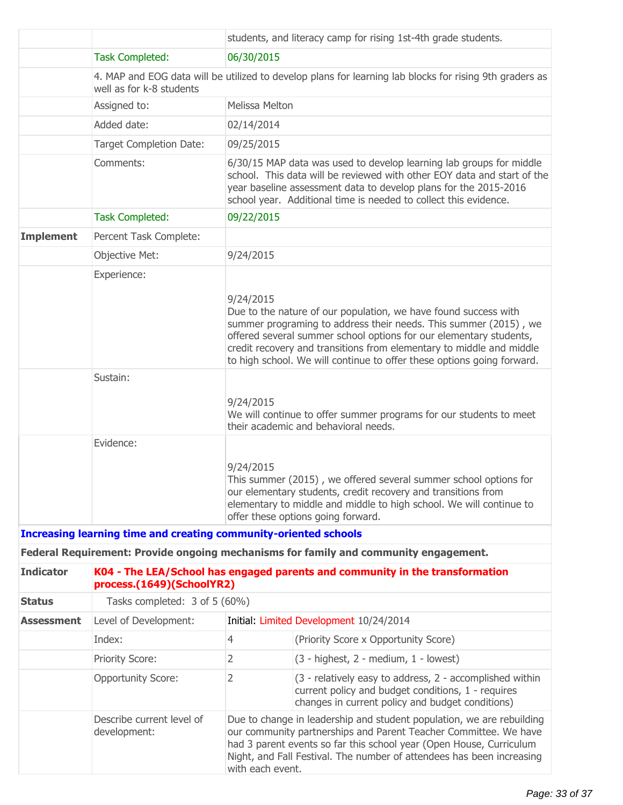|                                                                         |                                                                                                                                     |                | students, and literacy camp for rising 1st-4th grade students.                                                                                                                                                                                                                                                                                              |  |
|-------------------------------------------------------------------------|-------------------------------------------------------------------------------------------------------------------------------------|----------------|-------------------------------------------------------------------------------------------------------------------------------------------------------------------------------------------------------------------------------------------------------------------------------------------------------------------------------------------------------------|--|
|                                                                         | <b>Task Completed:</b>                                                                                                              | 06/30/2015     |                                                                                                                                                                                                                                                                                                                                                             |  |
|                                                                         | 4. MAP and EOG data will be utilized to develop plans for learning lab blocks for rising 9th graders as<br>well as for k-8 students |                |                                                                                                                                                                                                                                                                                                                                                             |  |
|                                                                         | Assigned to:                                                                                                                        | Melissa Melton |                                                                                                                                                                                                                                                                                                                                                             |  |
|                                                                         | Added date:                                                                                                                         | 02/14/2014     |                                                                                                                                                                                                                                                                                                                                                             |  |
|                                                                         | Target Completion Date:                                                                                                             | 09/25/2015     |                                                                                                                                                                                                                                                                                                                                                             |  |
|                                                                         | Comments:                                                                                                                           |                | 6/30/15 MAP data was used to develop learning lab groups for middle<br>school. This data will be reviewed with other EOY data and start of the<br>year baseline assessment data to develop plans for the 2015-2016<br>school year. Additional time is needed to collect this evidence.                                                                      |  |
|                                                                         | <b>Task Completed:</b>                                                                                                              | 09/22/2015     |                                                                                                                                                                                                                                                                                                                                                             |  |
| <b>Implement</b>                                                        | Percent Task Complete:                                                                                                              |                |                                                                                                                                                                                                                                                                                                                                                             |  |
|                                                                         | Objective Met:                                                                                                                      | 9/24/2015      |                                                                                                                                                                                                                                                                                                                                                             |  |
|                                                                         | Experience:<br>Sustain:                                                                                                             | 9/24/2015      | Due to the nature of our population, we have found success with<br>summer programing to address their needs. This summer (2015), we<br>offered several summer school options for our elementary students,<br>credit recovery and transitions from elementary to middle and middle<br>to high school. We will continue to offer these options going forward. |  |
|                                                                         |                                                                                                                                     | 9/24/2015      | We will continue to offer summer programs for our students to meet<br>their academic and behavioral needs.                                                                                                                                                                                                                                                  |  |
|                                                                         | Evidence:                                                                                                                           | 9/24/2015      | This summer (2015), we offered several summer school options for<br>our elementary students, credit recovery and transitions from<br>elementary to middle and middle to high school. We will continue to<br>offer these options going forward.                                                                                                              |  |
| <b>Increasing learning time and creating community-oriented schools</b> |                                                                                                                                     |                |                                                                                                                                                                                                                                                                                                                                                             |  |
|                                                                         |                                                                                                                                     |                | Federal Requirement: Provide ongoing mechanisms for family and community engagement.                                                                                                                                                                                                                                                                        |  |
| <b>Indicator</b>                                                        | K04 - The LEA/School has engaged parents and community in the transformation<br>process.(1649)(SchoolYR2)                           |                |                                                                                                                                                                                                                                                                                                                                                             |  |
| <b>Status</b>                                                           | Tasks completed: 3 of 5 (60%)                                                                                                       |                |                                                                                                                                                                                                                                                                                                                                                             |  |
| <b>Assessment</b>                                                       | Level of Development:                                                                                                               |                | Initial: Limited Development 10/24/2014                                                                                                                                                                                                                                                                                                                     |  |
|                                                                         | Index:                                                                                                                              | 4              | (Priority Score x Opportunity Score)                                                                                                                                                                                                                                                                                                                        |  |
|                                                                         | <b>Priority Score:</b>                                                                                                              | 2              | (3 - highest, 2 - medium, 1 - lowest)                                                                                                                                                                                                                                                                                                                       |  |
|                                                                         | <b>Opportunity Score:</b>                                                                                                           | 2              | (3 - relatively easy to address, 2 - accomplished within<br>current policy and budget conditions, 1 - requires<br>changes in current policy and budget conditions)                                                                                                                                                                                          |  |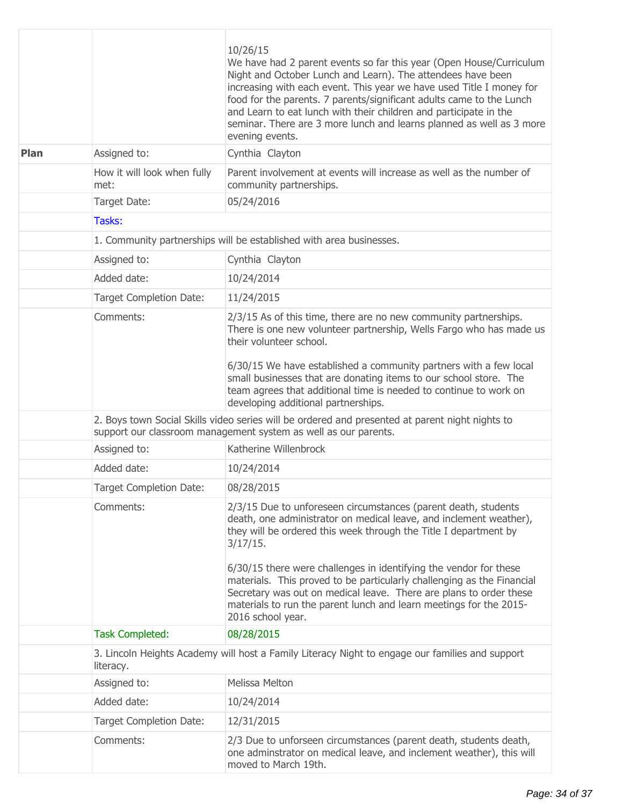|      |                                     | 10/26/15<br>We have had 2 parent events so far this year (Open House/Curriculum<br>Night and October Lunch and Learn). The attendees have been<br>increasing with each event. This year we have used Title I money for<br>food for the parents. 7 parents/significant adults came to the Lunch<br>and Learn to eat lunch with their children and participate in the<br>seminar. There are 3 more lunch and learns planned as well as 3 more<br>evening events. |  |  |  |
|------|-------------------------------------|----------------------------------------------------------------------------------------------------------------------------------------------------------------------------------------------------------------------------------------------------------------------------------------------------------------------------------------------------------------------------------------------------------------------------------------------------------------|--|--|--|
| Plan | Assigned to:                        | Cynthia Clayton                                                                                                                                                                                                                                                                                                                                                                                                                                                |  |  |  |
|      | How it will look when fully<br>met: | Parent involvement at events will increase as well as the number of<br>community partnerships.                                                                                                                                                                                                                                                                                                                                                                 |  |  |  |
|      | Target Date:                        | 05/24/2016                                                                                                                                                                                                                                                                                                                                                                                                                                                     |  |  |  |
|      | Tasks:                              |                                                                                                                                                                                                                                                                                                                                                                                                                                                                |  |  |  |
|      |                                     | 1. Community partnerships will be established with area businesses.                                                                                                                                                                                                                                                                                                                                                                                            |  |  |  |
|      | Assigned to:                        | Cynthia Clayton                                                                                                                                                                                                                                                                                                                                                                                                                                                |  |  |  |
|      | Added date:                         | 10/24/2014                                                                                                                                                                                                                                                                                                                                                                                                                                                     |  |  |  |
|      | <b>Target Completion Date:</b>      | 11/24/2015                                                                                                                                                                                                                                                                                                                                                                                                                                                     |  |  |  |
|      | Comments:                           | 2/3/15 As of this time, there are no new community partnerships.<br>There is one new volunteer partnership, Wells Fargo who has made us<br>their volunteer school.                                                                                                                                                                                                                                                                                             |  |  |  |
|      |                                     | 6/30/15 We have established a community partners with a few local<br>small businesses that are donating items to our school store. The<br>team agrees that additional time is needed to continue to work on<br>developing additional partnerships.                                                                                                                                                                                                             |  |  |  |
|      |                                     | 2. Boys town Social Skills video series will be ordered and presented at parent night nights to<br>support our classroom management system as well as our parents.                                                                                                                                                                                                                                                                                             |  |  |  |
|      | Assigned to:                        | Katherine Willenbrock                                                                                                                                                                                                                                                                                                                                                                                                                                          |  |  |  |
|      | Added date:                         | 10/24/2014                                                                                                                                                                                                                                                                                                                                                                                                                                                     |  |  |  |
|      | <b>Target Completion Date:</b>      | 08/28/2015                                                                                                                                                                                                                                                                                                                                                                                                                                                     |  |  |  |
|      | Comments:                           | 2/3/15 Due to unforeseen circumstances (parent death, students<br>death, one administrator on medical leave, and inclement weather),<br>they will be ordered this week through the Title I department by<br>3/17/15.                                                                                                                                                                                                                                           |  |  |  |
|      |                                     | 6/30/15 there were challenges in identifying the vendor for these<br>materials. This proved to be particularly challenging as the Financial<br>Secretary was out on medical leave. There are plans to order these<br>materials to run the parent lunch and learn meetings for the 2015-<br>2016 school year.                                                                                                                                                   |  |  |  |
|      | <b>Task Completed:</b>              | 08/28/2015                                                                                                                                                                                                                                                                                                                                                                                                                                                     |  |  |  |
|      | literacy.                           | 3. Lincoln Heights Academy will host a Family Literacy Night to engage our families and support                                                                                                                                                                                                                                                                                                                                                                |  |  |  |
|      | Assigned to:                        | Melissa Melton                                                                                                                                                                                                                                                                                                                                                                                                                                                 |  |  |  |
|      | Added date:                         | 10/24/2014                                                                                                                                                                                                                                                                                                                                                                                                                                                     |  |  |  |
|      | <b>Target Completion Date:</b>      | 12/31/2015                                                                                                                                                                                                                                                                                                                                                                                                                                                     |  |  |  |
|      | Comments:                           | 2/3 Due to unforseen circumstances (parent death, students death,<br>one adminstrator on medical leave, and inclement weather), this will<br>moved to March 19th.                                                                                                                                                                                                                                                                                              |  |  |  |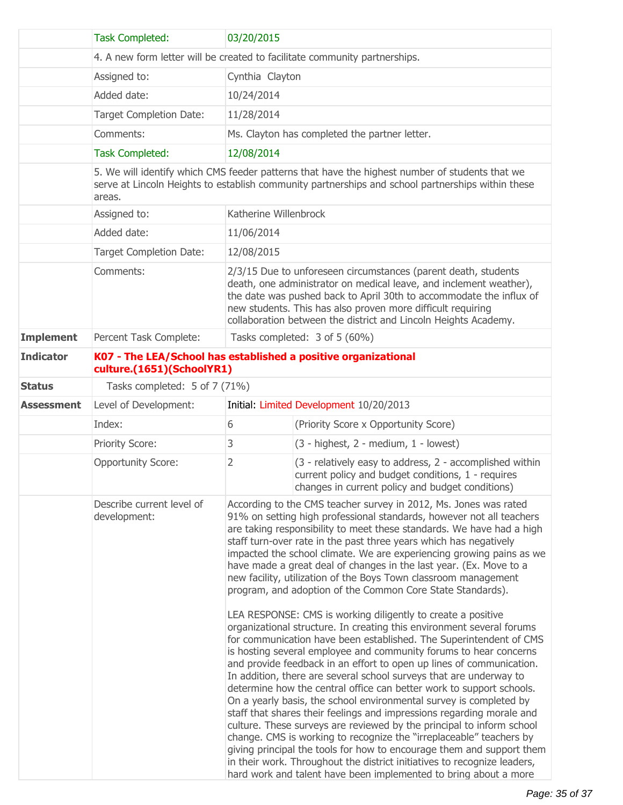|                   | <b>Task Completed:</b>                                                                                                                                                                                        | 03/20/2015                                                                                                                                                                                                                                                                                                                                                                                                                                                                                                                                                                                                                                                                                                                                                                                                                                                                                                                                                                                                                                                                                                                                                                                                                                                                                                                                                                                                                                                                                                                                                                                              |                                                                                                                                                                                                                                                                                                                                               |  |  |
|-------------------|---------------------------------------------------------------------------------------------------------------------------------------------------------------------------------------------------------------|---------------------------------------------------------------------------------------------------------------------------------------------------------------------------------------------------------------------------------------------------------------------------------------------------------------------------------------------------------------------------------------------------------------------------------------------------------------------------------------------------------------------------------------------------------------------------------------------------------------------------------------------------------------------------------------------------------------------------------------------------------------------------------------------------------------------------------------------------------------------------------------------------------------------------------------------------------------------------------------------------------------------------------------------------------------------------------------------------------------------------------------------------------------------------------------------------------------------------------------------------------------------------------------------------------------------------------------------------------------------------------------------------------------------------------------------------------------------------------------------------------------------------------------------------------------------------------------------------------|-----------------------------------------------------------------------------------------------------------------------------------------------------------------------------------------------------------------------------------------------------------------------------------------------------------------------------------------------|--|--|
|                   | 4. A new form letter will be created to facilitate community partnerships.                                                                                                                                    |                                                                                                                                                                                                                                                                                                                                                                                                                                                                                                                                                                                                                                                                                                                                                                                                                                                                                                                                                                                                                                                                                                                                                                                                                                                                                                                                                                                                                                                                                                                                                                                                         |                                                                                                                                                                                                                                                                                                                                               |  |  |
|                   | Assigned to:                                                                                                                                                                                                  | Cynthia Clayton                                                                                                                                                                                                                                                                                                                                                                                                                                                                                                                                                                                                                                                                                                                                                                                                                                                                                                                                                                                                                                                                                                                                                                                                                                                                                                                                                                                                                                                                                                                                                                                         |                                                                                                                                                                                                                                                                                                                                               |  |  |
|                   | Added date:                                                                                                                                                                                                   | 10/24/2014                                                                                                                                                                                                                                                                                                                                                                                                                                                                                                                                                                                                                                                                                                                                                                                                                                                                                                                                                                                                                                                                                                                                                                                                                                                                                                                                                                                                                                                                                                                                                                                              |                                                                                                                                                                                                                                                                                                                                               |  |  |
|                   | Target Completion Date:                                                                                                                                                                                       | 11/28/2014                                                                                                                                                                                                                                                                                                                                                                                                                                                                                                                                                                                                                                                                                                                                                                                                                                                                                                                                                                                                                                                                                                                                                                                                                                                                                                                                                                                                                                                                                                                                                                                              |                                                                                                                                                                                                                                                                                                                                               |  |  |
|                   | Comments:                                                                                                                                                                                                     |                                                                                                                                                                                                                                                                                                                                                                                                                                                                                                                                                                                                                                                                                                                                                                                                                                                                                                                                                                                                                                                                                                                                                                                                                                                                                                                                                                                                                                                                                                                                                                                                         | Ms. Clayton has completed the partner letter.                                                                                                                                                                                                                                                                                                 |  |  |
|                   | <b>Task Completed:</b>                                                                                                                                                                                        | 12/08/2014                                                                                                                                                                                                                                                                                                                                                                                                                                                                                                                                                                                                                                                                                                                                                                                                                                                                                                                                                                                                                                                                                                                                                                                                                                                                                                                                                                                                                                                                                                                                                                                              |                                                                                                                                                                                                                                                                                                                                               |  |  |
|                   | 5. We will identify which CMS feeder patterns that have the highest number of students that we<br>serve at Lincoln Heights to establish community partnerships and school partnerships within these<br>areas. |                                                                                                                                                                                                                                                                                                                                                                                                                                                                                                                                                                                                                                                                                                                                                                                                                                                                                                                                                                                                                                                                                                                                                                                                                                                                                                                                                                                                                                                                                                                                                                                                         |                                                                                                                                                                                                                                                                                                                                               |  |  |
|                   | Assigned to:                                                                                                                                                                                                  | Katherine Willenbrock                                                                                                                                                                                                                                                                                                                                                                                                                                                                                                                                                                                                                                                                                                                                                                                                                                                                                                                                                                                                                                                                                                                                                                                                                                                                                                                                                                                                                                                                                                                                                                                   |                                                                                                                                                                                                                                                                                                                                               |  |  |
|                   | Added date:                                                                                                                                                                                                   | 11/06/2014                                                                                                                                                                                                                                                                                                                                                                                                                                                                                                                                                                                                                                                                                                                                                                                                                                                                                                                                                                                                                                                                                                                                                                                                                                                                                                                                                                                                                                                                                                                                                                                              |                                                                                                                                                                                                                                                                                                                                               |  |  |
|                   | Target Completion Date:                                                                                                                                                                                       | 12/08/2015                                                                                                                                                                                                                                                                                                                                                                                                                                                                                                                                                                                                                                                                                                                                                                                                                                                                                                                                                                                                                                                                                                                                                                                                                                                                                                                                                                                                                                                                                                                                                                                              |                                                                                                                                                                                                                                                                                                                                               |  |  |
|                   | Comments:                                                                                                                                                                                                     |                                                                                                                                                                                                                                                                                                                                                                                                                                                                                                                                                                                                                                                                                                                                                                                                                                                                                                                                                                                                                                                                                                                                                                                                                                                                                                                                                                                                                                                                                                                                                                                                         | 2/3/15 Due to unforeseen circumstances (parent death, students<br>death, one administrator on medical leave, and inclement weather),<br>the date was pushed back to April 30th to accommodate the influx of<br>new students. This has also proven more difficult requiring<br>collaboration between the district and Lincoln Heights Academy. |  |  |
| <b>Implement</b>  | Percent Task Complete:                                                                                                                                                                                        |                                                                                                                                                                                                                                                                                                                                                                                                                                                                                                                                                                                                                                                                                                                                                                                                                                                                                                                                                                                                                                                                                                                                                                                                                                                                                                                                                                                                                                                                                                                                                                                                         | Tasks completed: 3 of 5 (60%)                                                                                                                                                                                                                                                                                                                 |  |  |
| <b>Indicator</b>  | K07 - The LEA/School has established a positive organizational<br>culture.(1651)(SchoolYR1)                                                                                                                   |                                                                                                                                                                                                                                                                                                                                                                                                                                                                                                                                                                                                                                                                                                                                                                                                                                                                                                                                                                                                                                                                                                                                                                                                                                                                                                                                                                                                                                                                                                                                                                                                         |                                                                                                                                                                                                                                                                                                                                               |  |  |
| <b>Status</b>     | Tasks completed: 5 of 7 (71%)                                                                                                                                                                                 |                                                                                                                                                                                                                                                                                                                                                                                                                                                                                                                                                                                                                                                                                                                                                                                                                                                                                                                                                                                                                                                                                                                                                                                                                                                                                                                                                                                                                                                                                                                                                                                                         |                                                                                                                                                                                                                                                                                                                                               |  |  |
| <b>Assessment</b> | Level of Development:                                                                                                                                                                                         |                                                                                                                                                                                                                                                                                                                                                                                                                                                                                                                                                                                                                                                                                                                                                                                                                                                                                                                                                                                                                                                                                                                                                                                                                                                                                                                                                                                                                                                                                                                                                                                                         | Initial: Limited Development 10/20/2013                                                                                                                                                                                                                                                                                                       |  |  |
|                   | Index:                                                                                                                                                                                                        | 6                                                                                                                                                                                                                                                                                                                                                                                                                                                                                                                                                                                                                                                                                                                                                                                                                                                                                                                                                                                                                                                                                                                                                                                                                                                                                                                                                                                                                                                                                                                                                                                                       | (Priority Score x Opportunity Score)                                                                                                                                                                                                                                                                                                          |  |  |
|                   | Priority Score:                                                                                                                                                                                               | 3                                                                                                                                                                                                                                                                                                                                                                                                                                                                                                                                                                                                                                                                                                                                                                                                                                                                                                                                                                                                                                                                                                                                                                                                                                                                                                                                                                                                                                                                                                                                                                                                       | $(3 - higher, 2 - medium, 1 - lowest)$                                                                                                                                                                                                                                                                                                        |  |  |
|                   | <b>Opportunity Score:</b>                                                                                                                                                                                     | 2                                                                                                                                                                                                                                                                                                                                                                                                                                                                                                                                                                                                                                                                                                                                                                                                                                                                                                                                                                                                                                                                                                                                                                                                                                                                                                                                                                                                                                                                                                                                                                                                       | (3 - relatively easy to address, 2 - accomplished within<br>current policy and budget conditions, 1 - requires<br>changes in current policy and budget conditions)                                                                                                                                                                            |  |  |
|                   | Describe current level of<br>development:                                                                                                                                                                     | According to the CMS teacher survey in 2012, Ms. Jones was rated<br>91% on setting high professional standards, however not all teachers<br>are taking responsibility to meet these standards. We have had a high<br>staff turn-over rate in the past three years which has negatively<br>impacted the school climate. We are experiencing growing pains as we<br>have made a great deal of changes in the last year. (Ex. Move to a<br>new facility, utilization of the Boys Town classroom management<br>program, and adoption of the Common Core State Standards).<br>LEA RESPONSE: CMS is working diligently to create a positive<br>organizational structure. In creating this environment several forums<br>for communication have been established. The Superintendent of CMS<br>is hosting several employee and community forums to hear concerns<br>and provide feedback in an effort to open up lines of communication.<br>In addition, there are several school surveys that are underway to<br>determine how the central office can better work to support schools.<br>On a yearly basis, the school environmental survey is completed by<br>staff that shares their feelings and impressions regarding morale and<br>culture. These surveys are reviewed by the principal to inform school<br>change. CMS is working to recognize the "irreplaceable" teachers by<br>giving principal the tools for how to encourage them and support them<br>in their work. Throughout the district initiatives to recognize leaders,<br>hard work and talent have been implemented to bring about a more |                                                                                                                                                                                                                                                                                                                                               |  |  |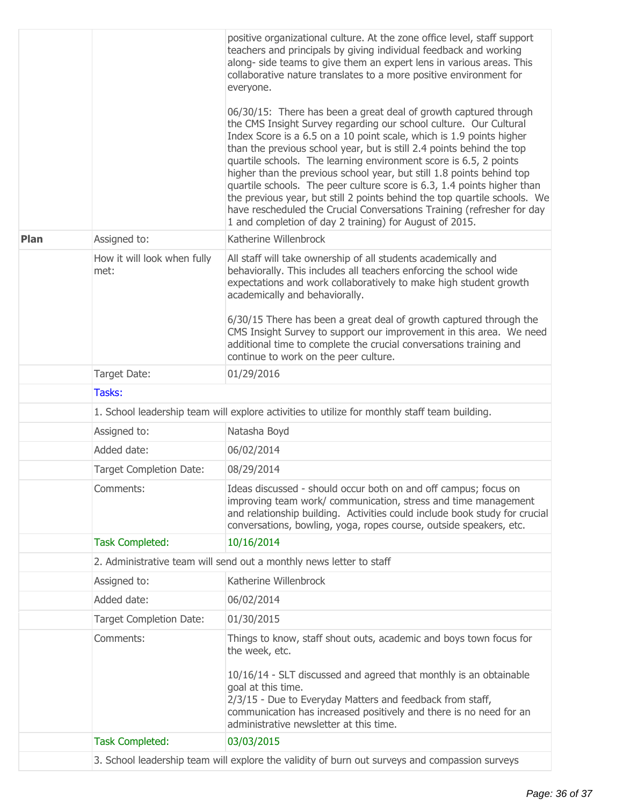|      |                                                                     | positive organizational culture. At the zone office level, staff support<br>teachers and principals by giving individual feedback and working<br>along- side teams to give them an expert lens in various areas. This<br>collaborative nature translates to a more positive environment for<br>everyone.<br>06/30/15: There has been a great deal of growth captured through<br>the CMS Insight Survey regarding our school culture. Our Cultural<br>Index Score is a 6.5 on a 10 point scale, which is 1.9 points higher<br>than the previous school year, but is still 2.4 points behind the top<br>quartile schools. The learning environment score is 6.5, 2 points<br>higher than the previous school year, but still 1.8 points behind top<br>quartile schools. The peer culture score is 6.3, 1.4 points higher than<br>the previous year, but still 2 points behind the top quartile schools. We<br>have rescheduled the Crucial Conversations Training (refresher for day<br>1 and completion of day 2 training) for August of 2015. |  |
|------|---------------------------------------------------------------------|-----------------------------------------------------------------------------------------------------------------------------------------------------------------------------------------------------------------------------------------------------------------------------------------------------------------------------------------------------------------------------------------------------------------------------------------------------------------------------------------------------------------------------------------------------------------------------------------------------------------------------------------------------------------------------------------------------------------------------------------------------------------------------------------------------------------------------------------------------------------------------------------------------------------------------------------------------------------------------------------------------------------------------------------------|--|
| Plan | Assigned to:                                                        | Katherine Willenbrock                                                                                                                                                                                                                                                                                                                                                                                                                                                                                                                                                                                                                                                                                                                                                                                                                                                                                                                                                                                                                         |  |
|      | How it will look when fully<br>met:                                 | All staff will take ownership of all students academically and<br>behaviorally. This includes all teachers enforcing the school wide<br>expectations and work collaboratively to make high student growth<br>academically and behaviorally.<br>6/30/15 There has been a great deal of growth captured through the<br>CMS Insight Survey to support our improvement in this area. We need<br>additional time to complete the crucial conversations training and<br>continue to work on the peer culture.                                                                                                                                                                                                                                                                                                                                                                                                                                                                                                                                       |  |
|      | Target Date:                                                        | 01/29/2016                                                                                                                                                                                                                                                                                                                                                                                                                                                                                                                                                                                                                                                                                                                                                                                                                                                                                                                                                                                                                                    |  |
|      | Tasks:                                                              |                                                                                                                                                                                                                                                                                                                                                                                                                                                                                                                                                                                                                                                                                                                                                                                                                                                                                                                                                                                                                                               |  |
|      |                                                                     | 1. School leadership team will explore activities to utilize for monthly staff team building.                                                                                                                                                                                                                                                                                                                                                                                                                                                                                                                                                                                                                                                                                                                                                                                                                                                                                                                                                 |  |
|      | Assigned to:                                                        | Natasha Boyd                                                                                                                                                                                                                                                                                                                                                                                                                                                                                                                                                                                                                                                                                                                                                                                                                                                                                                                                                                                                                                  |  |
|      | Added date:                                                         | 06/02/2014                                                                                                                                                                                                                                                                                                                                                                                                                                                                                                                                                                                                                                                                                                                                                                                                                                                                                                                                                                                                                                    |  |
|      | <b>Target Completion Date:</b>                                      | 08/29/2014                                                                                                                                                                                                                                                                                                                                                                                                                                                                                                                                                                                                                                                                                                                                                                                                                                                                                                                                                                                                                                    |  |
|      | Comments:                                                           | Ideas discussed - should occur both on and off campus; focus on<br>improving team work/ communication, stress and time management<br>and relationship building. Activities could include book study for crucial<br>conversations, bowling, yoga, ropes course, outside speakers, etc.                                                                                                                                                                                                                                                                                                                                                                                                                                                                                                                                                                                                                                                                                                                                                         |  |
|      | <b>Task Completed:</b>                                              | 10/16/2014                                                                                                                                                                                                                                                                                                                                                                                                                                                                                                                                                                                                                                                                                                                                                                                                                                                                                                                                                                                                                                    |  |
|      | 2. Administrative team will send out a monthly news letter to staff |                                                                                                                                                                                                                                                                                                                                                                                                                                                                                                                                                                                                                                                                                                                                                                                                                                                                                                                                                                                                                                               |  |
|      | Assigned to:                                                        | Katherine Willenbrock                                                                                                                                                                                                                                                                                                                                                                                                                                                                                                                                                                                                                                                                                                                                                                                                                                                                                                                                                                                                                         |  |
|      | Added date:                                                         | 06/02/2014                                                                                                                                                                                                                                                                                                                                                                                                                                                                                                                                                                                                                                                                                                                                                                                                                                                                                                                                                                                                                                    |  |
|      | <b>Target Completion Date:</b>                                      | 01/30/2015                                                                                                                                                                                                                                                                                                                                                                                                                                                                                                                                                                                                                                                                                                                                                                                                                                                                                                                                                                                                                                    |  |
|      | Comments:                                                           | Things to know, staff shout outs, academic and boys town focus for<br>the week, etc.<br>10/16/14 - SLT discussed and agreed that monthly is an obtainable<br>goal at this time.<br>2/3/15 - Due to Everyday Matters and feedback from staff,<br>communication has increased positively and there is no need for an<br>administrative newsletter at this time.                                                                                                                                                                                                                                                                                                                                                                                                                                                                                                                                                                                                                                                                                 |  |
|      | <b>Task Completed:</b>                                              | 03/03/2015                                                                                                                                                                                                                                                                                                                                                                                                                                                                                                                                                                                                                                                                                                                                                                                                                                                                                                                                                                                                                                    |  |
|      |                                                                     | 3. School leadership team will explore the validity of burn out surveys and compassion surveys                                                                                                                                                                                                                                                                                                                                                                                                                                                                                                                                                                                                                                                                                                                                                                                                                                                                                                                                                |  |